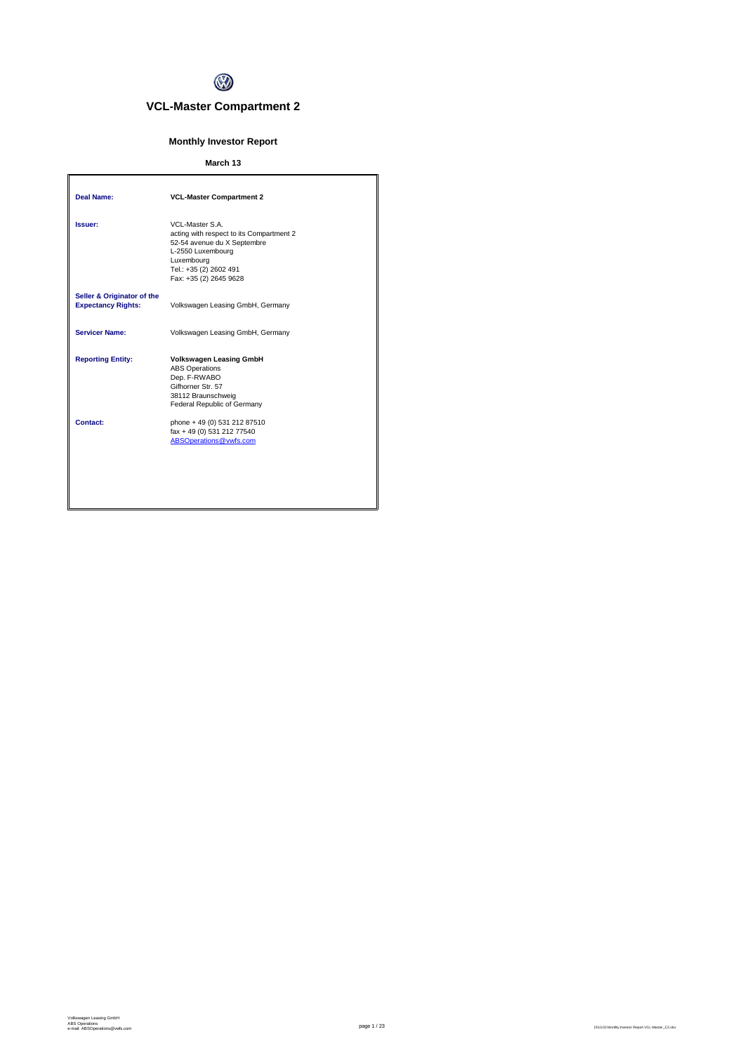

# **VCL-Master Compartment 2**

# **Monthly Investor Report**

# **March 13**

| <b>Deal Name:</b>                                       | <b>VCL-Master Compartment 2</b>                                                                                                                                                   |
|---------------------------------------------------------|-----------------------------------------------------------------------------------------------------------------------------------------------------------------------------------|
| Issuer:                                                 | VCL-Master S.A.<br>acting with respect to its Compartment 2<br>52-54 avenue du X Septembre<br>L-2550 Luxembourg<br>Luxembourg<br>Tel.: +35 (2) 2602 491<br>Fax: +35 (2) 2645 9628 |
| Seller & Originator of the<br><b>Expectancy Rights:</b> | Volkswagen Leasing GmbH, Germany                                                                                                                                                  |
| <b>Servicer Name:</b>                                   | Volkswagen Leasing GmbH, Germany                                                                                                                                                  |
| <b>Reporting Entity:</b>                                | <b>Volkswagen Leasing GmbH</b><br><b>ABS Operations</b><br>Dep. F-RWABO<br>Gifhorner Str. 57<br>38112 Braunschweig<br>Federal Republic of Germany                                 |
| Contact:                                                | phone + 49 (0) 531 212 87510<br>fax + 49 (0) 531 212 77540<br>ABSOperations@vwfs.com                                                                                              |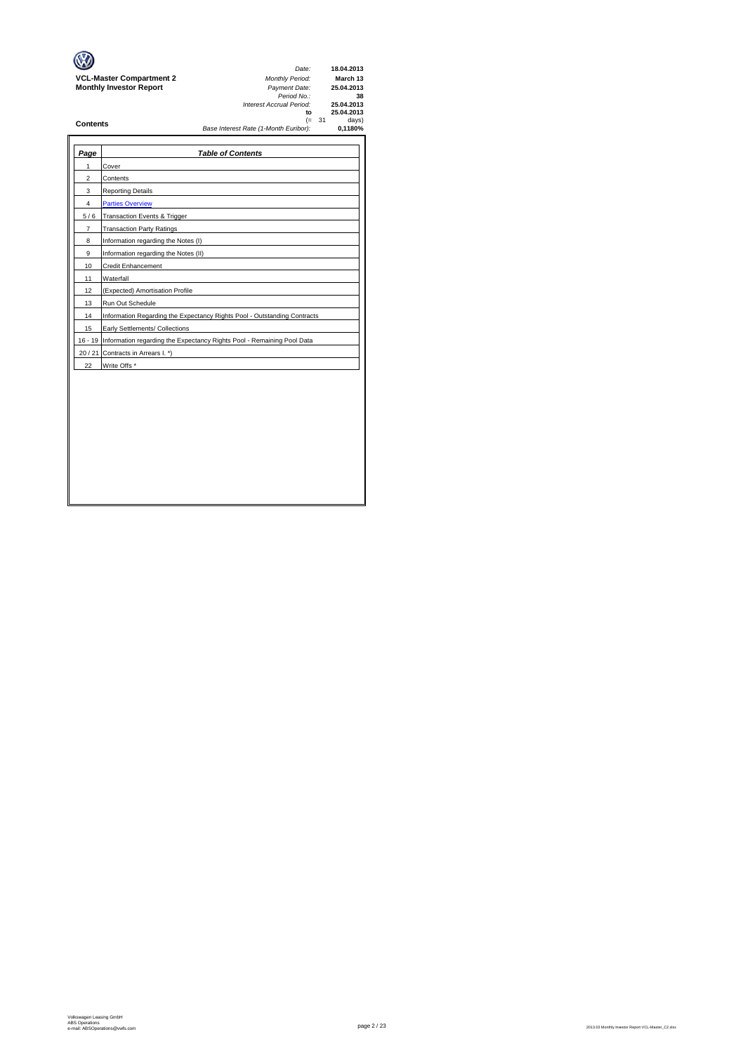|                                 | Date:                                                    | 18.04.2013                     |
|---------------------------------|----------------------------------------------------------|--------------------------------|
| <b>VCL-Master Compartment 2</b> | <b>Monthly Period:</b>                                   | March 13                       |
| <b>Monthly Investor Report</b>  | Payment Date:<br>Period No.:<br>Interest Accrual Period: | 25.04.2013<br>38<br>25.04.2013 |
|                                 | to                                                       | 25.04.2013                     |
| <b>Contents</b>                 | (= 31<br>Base Interest Rate (1-Month Euribor):           | days)<br>0.1180%               |
|                                 |                                                          |                                |

| Page           | <b>Table of Contents</b>                                                       |
|----------------|--------------------------------------------------------------------------------|
| 1              | Cover                                                                          |
| $\overline{c}$ | Contents                                                                       |
| 3              | <b>Reporting Details</b>                                                       |
| 4              | <b>Parties Overview</b>                                                        |
| 5/6            | <b>Transaction Events &amp; Trigger</b>                                        |
| $\overline{7}$ | <b>Transaction Party Ratings</b>                                               |
| 8              | Information regarding the Notes (I)                                            |
| 9              | Information regarding the Notes (II)                                           |
| 10             | <b>Credit Enhancement</b>                                                      |
| 11             | Waterfall                                                                      |
| 12             | (Expected) Amortisation Profile                                                |
| 13             | Run Out Schedule                                                               |
| 14             | Information Regarding the Expectancy Rights Pool - Outstanding Contracts       |
| 15             | Early Settlements/ Collections                                                 |
|                | 16 - 19 Information regarding the Expectancy Rights Pool - Remaining Pool Data |
| 20/21          | Contracts in Arrears I. *)                                                     |
| 22             | Write Offs *                                                                   |
|                |                                                                                |
|                |                                                                                |
|                |                                                                                |
|                |                                                                                |
|                |                                                                                |
|                |                                                                                |
|                |                                                                                |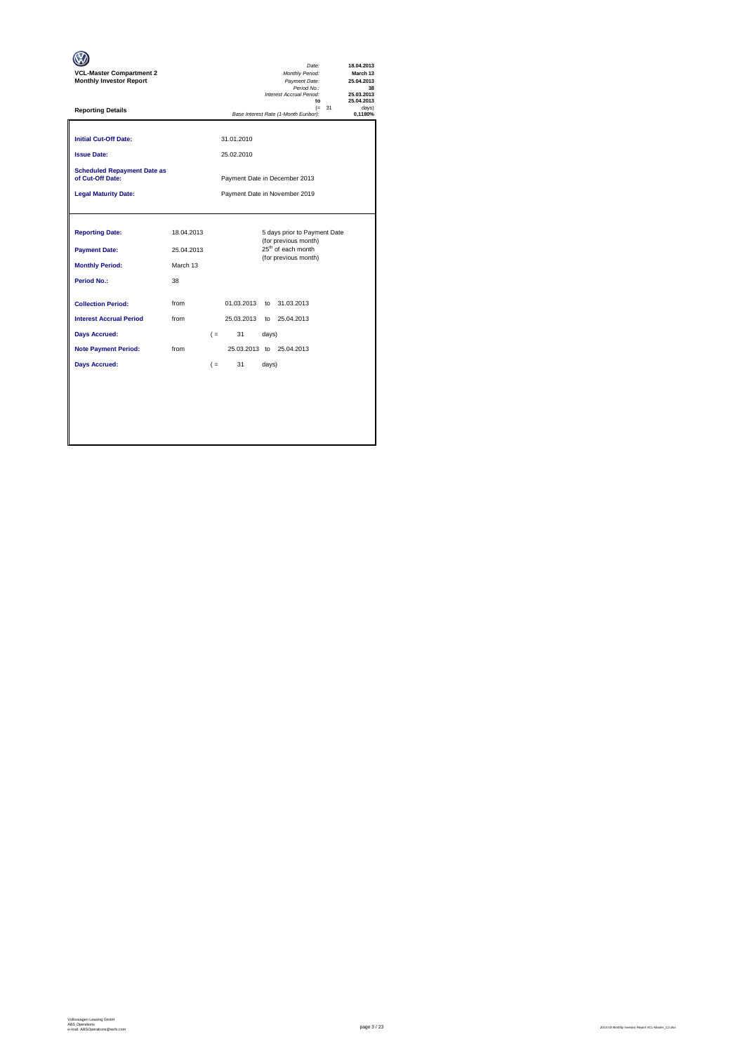| <b>VCL-Master Compartment 2</b><br><b>Monthly Investor Report</b>                       |                                            |                               |                          |                | Date:<br>Monthly Period:<br>Payment Date:<br>Period No.:<br>Interest Accrual Period:<br>to                     |          | 18.04.2013<br>March 13<br>25.04.2013<br>38<br>25.03.2013<br>25.04.2013 |  |  |
|-----------------------------------------------------------------------------------------|--------------------------------------------|-------------------------------|--------------------------|----------------|----------------------------------------------------------------------------------------------------------------|----------|------------------------------------------------------------------------|--|--|
| <b>Reporting Details</b>                                                                |                                            |                               |                          |                | Base Interest Rate (1-Month Euribor):                                                                          | $(= 31)$ | davs)<br>0,1180%                                                       |  |  |
| <b>Initial Cut-Off Date:</b><br><b>Issue Date:</b>                                      |                                            |                               | 31.01.2010<br>25.02.2010 |                |                                                                                                                |          |                                                                        |  |  |
| <b>Scheduled Repayment Date as</b><br>of Cut-Off Date:                                  | Payment Date in December 2013              |                               |                          |                |                                                                                                                |          |                                                                        |  |  |
| <b>Legal Maturity Date:</b>                                                             |                                            | Payment Date in November 2019 |                          |                |                                                                                                                |          |                                                                        |  |  |
| <b>Reporting Date:</b><br><b>Payment Date:</b><br><b>Monthly Period:</b><br>Period No.: | 18.04.2013<br>25.04.2013<br>March 13<br>38 |                               |                          |                | 5 days prior to Payment Date<br>(for previous month)<br>25 <sup>th</sup> of each month<br>(for previous month) |          |                                                                        |  |  |
| <b>Collection Period:</b>                                                               | from                                       |                               | 01.03.2013               | to             | 31.03.2013                                                                                                     |          |                                                                        |  |  |
| <b>Interest Accrual Period</b>                                                          | from                                       |                               | 25.03.2013               |                | to 25.04.2013                                                                                                  |          |                                                                        |  |  |
| <b>Days Accrued:</b><br><b>Note Payment Period:</b><br><b>Days Accrued:</b>             | from                                       | $($ =<br>$($ =                | 31<br>31                 | days)<br>days) | 25.03.2013 to 25.04.2013                                                                                       |          |                                                                        |  |  |
|                                                                                         |                                            |                               |                          |                |                                                                                                                |          |                                                                        |  |  |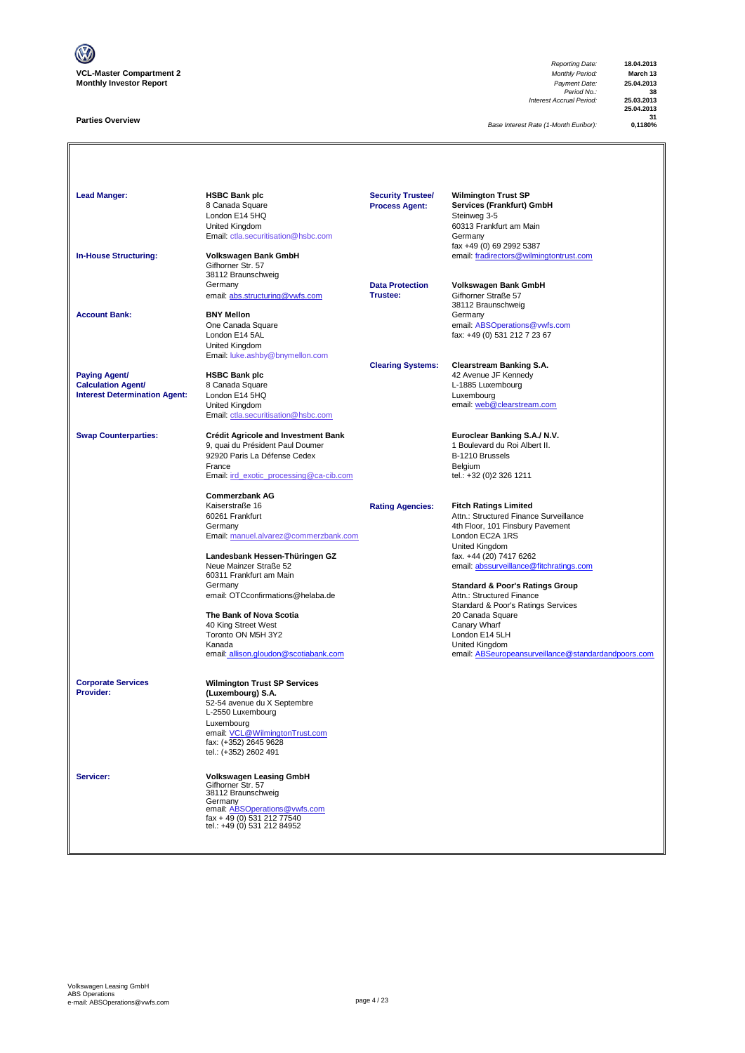

### **Parties Overview**

*Reporting Date:* **18.04.2013** *Payment Date:* **25.04.2013**<br>*Period No.:* **38**<br>*Accrual Period:* **25.03.2013** *Interest Accrual Period:* **25.03.2013**

**25.04.2013 31**<br>1180%

*Base Interest Rate (1-Month Euribor):* **0,1180%**

Lead Manger:<br> **HSBC Bank plc**<br>
8 Canada Square<br>
London E14 5HO<br>
London E14 5HO<br> **Homage Steinweg 3-5**<br>
Steinweg 3-5 Services (Frankfurt) GmbH London E14 5HQ Steinweg 3-5 Summay 2<br>60313 Frankfurt am Main<br>Germany [Email: ctla.securitisation@hsbc.com](mailto:ctla.securitisation@hsbc.com) fax +49 (0) 69 2992 5387 **In-House Structuring: Volkswagen Bank GmbH** email: fradirectors@wilmingtontrust.com Gifhorner Str. 57 38112 Braunschweig<br>Germany **Data Protection Volkswagen Bank GmbH**<br>**Trustee:** Gifhorner Straße 57 email: abs.structuring@vwfs.com 38112 Braunschweig **Account Bank: BNY Mellon**<br>
One Canada Square One Canada Square email: ABSOperations@vwfs.com London E14 5AL fax: +49 (0) 531 212 7 23 67 United Kingdom [Email: luke.ashby@bnymellon.com](mailto:ctla.securitisation@hsbc.com) **Clearing Systems: Clearstream Banking S.A. Paying Agent/ HSBC Bank plc All and Account 1999 12 Avenue JF Kennedy Calculation Agent/** 8 Canada Square **Calculation Agent/ Business Agent/ Business Agent/ Canada Square Calculation Agent/ Canada Square Calculation Agent/ Canada Square Canada Square Calculation Agent/ Interest Determination Agent:** London E14 5HQ<br>United Kingdom United Kingdom email: <u>web @clearstream.com</u> [Email: ctla.securitisation@hsbc.com](mailto:ctla.securitisation@hsbc.com) **Swap Counterparties: Crédit Agricole and Investment Bank Euroclear Banking S.A./ N.V.**<br>9, quai du Président Paul Doumer **1996** 1 Boulevard du Roi Albert II. 9, quai du Président Paul Doumer 1 au 1000 et du Roi du Roi Albert II.<br>1 Boulevard du Franç II.<br>1 B-1210 Brussels 92920 Paris La Défense Cedex B-1210 Brussels<br>
France Belgium<br>
Email: <u>ird exotic processing@ca-cib.com</u> B-1211 entities tel.: +32 (0)2 326 1211 France Belgium [Email: ird\\_exotic\\_processing@ca-cib.com](mailto:ctla.securitisation@hsbc.com) tel.: +32 (0)2 326 1211 **Commerzbank AG** Kaiserstraße 16 **Rating Agencies: Fitch Ratings Limited** 60261 Frankfurt Attn.: Structured Finance Surveillance 4th Floor, 101 Finsbury Pavement [Email: manuel.alvarez@commerzbank.com](mailto:ctla.securitisation@hsbc.com) London EC2A 1RS United Kingdom<br>fax. +44 (20) 7417 6262 **Landesbank Hessen-Thüringen GZ**<br>Neue Mainzer Straße 52 [email: abssurveillance@fitchratings.com](mailto:abssurveillance@fitchratings.com) 60311 Frankfurt am Main **Standard & Poor's Ratings Group**<br>Attn.: Structured Finance email: OTCconfirmations@helaba.de Standard & Poor's Ratings Services<br>20 Canada Square **The Bank of Nova Scotia** 20 Canada Square 20 Canada Square 20 Canada Square 20 Canada Square 20 Canada Square 20 Canada Square 20 Canada Square 20 Canada Square 20 Canada Square 20 Canada Square 20 Canada Square 20 Canada 40 King Street West Canary Wharf Canary Wharf Canary What Canary What Canary What Canary What Canary What Canary What Canary What Canary What Canary What Canary What Canary What Canary Canary Canary Canary Canary Canary Ca Toronto ON M5H 3Y2 Kanada<br>
Expansification of the Company of the United Kingdom<br>
Expansification of the Seurope of the Company of the Company of the Company of the Company of the Company of the Company of the Company of the Company of the Co email: allison.gloudon@scotiabank.com email: ABSeuropeansurveillance@standardandpoors.com **Corporate Services Wilmington Trust SP Services Provider: (Luxembourg) S.A.** 52-54 avenue du X Septembre L-2550 Luxembourg Luxembourg email: VCL@WilmingtonTrust.com fax: (+352) 2645 9628 tel.: (+352) 2602 491 **Servicer: Volkswagen Leasing GmbH** Gifhorner Str. 57 38112 Braunschweig Germany<br>email: <u>ABSOperations@vwfs.com</u><br>fax + 49 (0) 531 212 77540<br>tel.: +49 (0) 531 212 84952 **Security Trustee/ Process Agent:**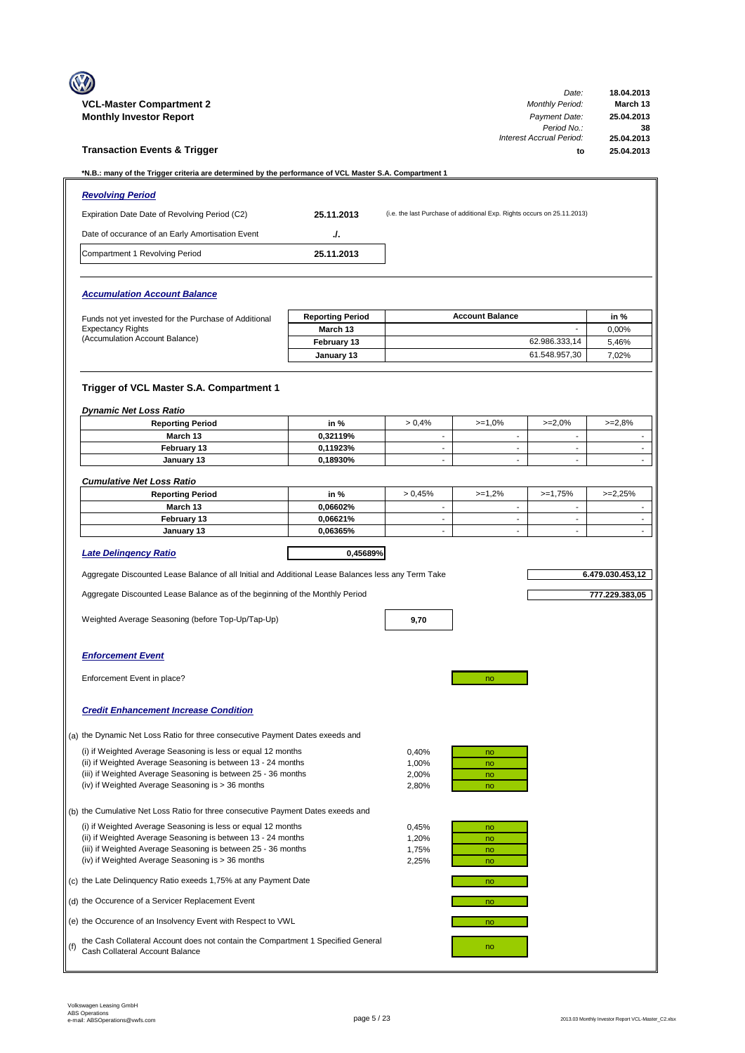|     | <b>VCL-Master Compartment 2</b>                                                                                               |                         |                                    |                                                                         | Date:<br><b>Monthly Period:</b>      | 18.04.2013<br>March 13      |
|-----|-------------------------------------------------------------------------------------------------------------------------------|-------------------------|------------------------------------|-------------------------------------------------------------------------|--------------------------------------|-----------------------------|
|     | <b>Monthly Investor Report</b>                                                                                                |                         |                                    |                                                                         | Payment Date:<br>Period No.:         | 25.04.2013<br>38            |
|     | <b>Transaction Events &amp; Trigger</b>                                                                                       |                         |                                    |                                                                         | Interest Accrual Period:<br>to       | 25.04.2013<br>25.04.2013    |
|     | *N.B.: many of the Trigger criteria are determined by the performance of VCL Master S.A. Compartment 1                        |                         |                                    |                                                                         |                                      |                             |
|     | <b>Revolving Period</b>                                                                                                       |                         |                                    |                                                                         |                                      |                             |
|     | Expiration Date Date of Revolving Period (C2)                                                                                 | 25.11.2013              |                                    | (i.e. the last Purchase of additional Exp. Rights occurs on 25.11.2013) |                                      |                             |
|     | Date of occurance of an Early Amortisation Event                                                                              | J.                      |                                    |                                                                         |                                      |                             |
|     | Compartment 1 Revolving Period                                                                                                | 25.11.2013              |                                    |                                                                         |                                      |                             |
|     |                                                                                                                               |                         |                                    |                                                                         |                                      |                             |
|     | <b>Accumulation Account Balance</b>                                                                                           |                         |                                    |                                                                         |                                      |                             |
|     | Funds not yet invested for the Purchase of Additional                                                                         | <b>Reporting Period</b> |                                    | <b>Account Balance</b>                                                  |                                      | in %                        |
|     | <b>Expectancy Rights</b>                                                                                                      | March 13                |                                    |                                                                         |                                      | 0,00%                       |
|     | (Accumulation Account Balance)                                                                                                | February 13             |                                    |                                                                         | 62.986.333,14                        | 5,46%                       |
|     |                                                                                                                               | January 13              |                                    |                                                                         | 61.548.957,30                        | 7.02%                       |
|     |                                                                                                                               |                         |                                    |                                                                         |                                      |                             |
|     | Trigger of VCL Master S.A. Compartment 1                                                                                      |                         |                                    |                                                                         |                                      |                             |
|     | <b>Dynamic Net Loss Ratio</b>                                                                                                 |                         |                                    |                                                                         |                                      |                             |
|     | <b>Reporting Period</b><br>March 13                                                                                           | in %<br>0,32119%        | > 0.4%<br>$\overline{\phantom{a}}$ | $>=1,0%$<br>$\overline{\phantom{a}}$                                    | $>=2,0%$<br>$\overline{\phantom{a}}$ | $>=2,8%$                    |
|     | February 13                                                                                                                   | 0,11923%                | $\blacksquare$                     | $\sim$                                                                  | $\sim$                               | $\overline{\phantom{a}}$    |
|     | January 13                                                                                                                    | 0,18930%                | $\overline{\phantom{a}}$           | $\blacksquare$                                                          | $\blacksquare$                       | $\mathcal{L}^{\mathcal{L}}$ |
|     | <b>Cumulative Net Loss Ratio</b>                                                                                              |                         |                                    |                                                                         |                                      |                             |
|     | <b>Reporting Period</b>                                                                                                       | in %                    | > 0.45%                            | $>=1,2%$                                                                | $>=1,75%$                            | $>=2,25%$                   |
|     | March 13                                                                                                                      | 0,06602%                | ÷,                                 | $\sim$                                                                  | $\sim$                               |                             |
|     | February 13                                                                                                                   | 0,06621%                | $\overline{\phantom{a}}$           | $\blacksquare$                                                          | $\blacksquare$                       | $\blacksquare$              |
|     | January 13                                                                                                                    | 0.06365%                | $\overline{\phantom{a}}$           | $\overline{\phantom{a}}$                                                | $\overline{\phantom{a}}$             |                             |
|     | <b>Late Delingency Ratio</b>                                                                                                  | 0,45689%                |                                    |                                                                         |                                      |                             |
|     | Aggregate Discounted Lease Balance of all Initial and Additional Lease Balances less any Term Take                            |                         |                                    |                                                                         |                                      | 6.479.030.453,12            |
|     | Aggregate Discounted Lease Balance as of the beginning of the Monthly Period                                                  |                         |                                    |                                                                         |                                      | 777.229.383,05              |
|     | Weighted Average Seasoning (before Top-Up/Tap-Up)                                                                             |                         |                                    |                                                                         |                                      |                             |
|     |                                                                                                                               |                         | 9,70                               |                                                                         |                                      |                             |
|     | <b>Enforcement Event</b>                                                                                                      |                         |                                    |                                                                         |                                      |                             |
|     |                                                                                                                               |                         |                                    |                                                                         |                                      |                             |
|     | Enforcement Event in place?                                                                                                   |                         |                                    | no                                                                      |                                      |                             |
|     | <b>Credit Enhancement Increase Condition</b>                                                                                  |                         |                                    |                                                                         |                                      |                             |
|     | (a) the Dynamic Net Loss Ratio for three consecutive Payment Dates exeeds and                                                 |                         |                                    |                                                                         |                                      |                             |
|     | (i) if Weighted Average Seasoning is less or equal 12 months                                                                  |                         | 0,40%                              | no                                                                      |                                      |                             |
|     | (ii) if Weighted Average Seasoning is between 13 - 24 months                                                                  |                         | 1,00%                              | no                                                                      |                                      |                             |
|     | (iii) if Weighted Average Seasoning is between 25 - 36 months                                                                 |                         | 2,00%                              | no                                                                      |                                      |                             |
|     | (iv) if Weighted Average Seasoning is > 36 months                                                                             |                         | 2,80%                              | no                                                                      |                                      |                             |
|     | (b) the Cumulative Net Loss Ratio for three consecutive Payment Dates exeeds and                                              |                         |                                    |                                                                         |                                      |                             |
|     | (i) if Weighted Average Seasoning is less or equal 12 months                                                                  |                         | 0,45%                              | no                                                                      |                                      |                             |
|     | (ii) if Weighted Average Seasoning is between 13 - 24 months<br>(iii) if Weighted Average Seasoning is between 25 - 36 months |                         | 1,20%                              | no                                                                      |                                      |                             |
|     | (iv) if Weighted Average Seasoning is > 36 months                                                                             |                         | 1,75%<br>2,25%                     | no<br>no                                                                |                                      |                             |
|     | (c) the Late Delinquency Ratio exeeds 1,75% at any Payment Date                                                               |                         |                                    | no                                                                      |                                      |                             |
|     | (d) the Occurence of a Servicer Replacement Event                                                                             |                         |                                    | no                                                                      |                                      |                             |
|     | (e) the Occurence of an Insolvency Event with Respect to VWL                                                                  |                         |                                    | no                                                                      |                                      |                             |
| (f) | the Cash Collateral Account does not contain the Compartment 1 Specified General                                              |                         |                                    | no                                                                      |                                      |                             |
|     | Cash Collateral Account Balance                                                                                               |                         |                                    |                                                                         |                                      |                             |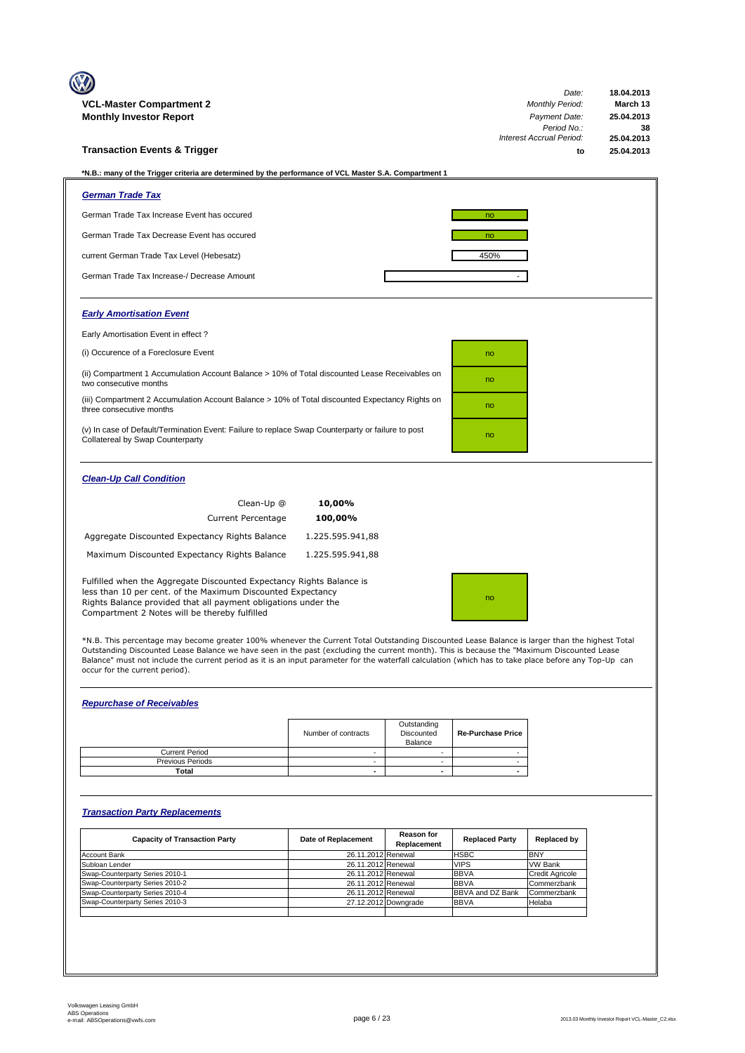| <b>VCL-Master Compartment 2</b>                                                                                                                                                                                                                        | Date:<br><b>Monthly Period:</b> | 18.04.2013<br>March 13 |
|--------------------------------------------------------------------------------------------------------------------------------------------------------------------------------------------------------------------------------------------------------|---------------------------------|------------------------|
| <b>Monthly Investor Report</b>                                                                                                                                                                                                                         | Payment Date:                   | 25.04.2013             |
|                                                                                                                                                                                                                                                        | Period No.:                     | 38                     |
|                                                                                                                                                                                                                                                        | Interest Accrual Period:        | 25.04.2013             |
| <b>Transaction Events &amp; Trigger</b>                                                                                                                                                                                                                | to                              | 25.04.2013             |
| *N.B.: many of the Trigger criteria are determined by the performance of VCL Master S.A. Compartment 1                                                                                                                                                 |                                 |                        |
| <b>German Trade Tax</b>                                                                                                                                                                                                                                |                                 |                        |
| German Trade Tax Increase Event has occured                                                                                                                                                                                                            | no                              |                        |
| German Trade Tax Decrease Event has occured                                                                                                                                                                                                            | no                              |                        |
| current German Trade Tax Level (Hebesatz)                                                                                                                                                                                                              | 450%                            |                        |
| German Trade Tax Increase-/ Decrease Amount                                                                                                                                                                                                            |                                 |                        |
| <b>Early Amortisation Event</b>                                                                                                                                                                                                                        |                                 |                        |
| Early Amortisation Event in effect?                                                                                                                                                                                                                    |                                 |                        |
| (i) Occurence of a Foreclosure Event                                                                                                                                                                                                                   | no                              |                        |
| (ii) Compartment 1 Accumulation Account Balance > 10% of Total discounted Lease Receivables on<br>two consecutive months                                                                                                                               | no                              |                        |
| (iii) Compartment 2 Accumulation Account Balance > 10% of Total discounted Expectancy Rights on<br>three consecutive months                                                                                                                            | no                              |                        |
| (v) In case of Default/Termination Event: Failure to replace Swap Counterparty or failure to post<br>Collatereal by Swap Counterparty                                                                                                                  | no                              |                        |
| <b>Clean-Up Call Condition</b>                                                                                                                                                                                                                         |                                 |                        |
| Clean-Up @<br>10,00%                                                                                                                                                                                                                                   |                                 |                        |
| <b>Current Percentage</b><br>100,00%                                                                                                                                                                                                                   |                                 |                        |
| Aggregate Discounted Expectancy Rights Balance<br>1.225.595.941,88                                                                                                                                                                                     |                                 |                        |
| Maximum Discounted Expectancy Rights Balance<br>1.225.595.941,88                                                                                                                                                                                       |                                 |                        |
| Fulfilled when the Aggregate Discounted Expectancy Rights Balance is<br>less than 10 per cent. of the Maximum Discounted Expectancy<br>Rights Balance provided that all payment obligations under the<br>Compartment 2 Notes will be thereby fulfilled | no                              |                        |

\*N.B. This percentage may become greater 100% whenever the Current Total Outstanding Discounted Lease Balance is larger than the highest Total<br>Outstanding Discounted Lease Balance we have seen in the past (excluding the cu Balance" must not include the current period as it is an input parameter for the waterfall calculation (which has to take place before any Top-Up can occur for the current period).

# *Repurchase of Receivables*

|                         | Number of contracts | Outstanding<br>Discounted<br>Balance | <b>Re-Purchase Price</b> |
|-------------------------|---------------------|--------------------------------------|--------------------------|
| <b>Current Period</b>   |                     |                                      |                          |
| <b>Previous Periods</b> |                     |                                      |                          |
| Total                   |                     |                                      |                          |

# *Transaction Party Replacements*

| <b>Capacity of Transaction Party</b> | Date of Replacement | <b>Reason for</b><br>Replacement | <b>Replaced Party</b>   | Replaced by            |
|--------------------------------------|---------------------|----------------------------------|-------------------------|------------------------|
| <b>Account Bank</b>                  | 26.11.2012 Renewal  |                                  | <b>HSBC</b>             | <b>BNY</b>             |
| Subloan Lender                       | 26.11.2012 Renewal  |                                  | <b>VIPS</b>             | <b>VW Bank</b>         |
| Swap-Counterparty Series 2010-1      | 26.11.2012 Renewal  |                                  | <b>BBVA</b>             | <b>Credit Agricole</b> |
| Swap-Counterparty Series 2010-2      | 26.11.2012 Renewal  |                                  | <b>BBVA</b>             | Commerzbank            |
| Swap-Counterparty Series 2010-4      | 26.11.2012 Renewal  |                                  | <b>BBVA and DZ Bank</b> | Commerzbank            |
| Swap-Counterparty Series 2010-3      |                     | 27.12.2012 Downgrade             | <b>BBVA</b>             | Helaba                 |
|                                      |                     |                                  |                         |                        |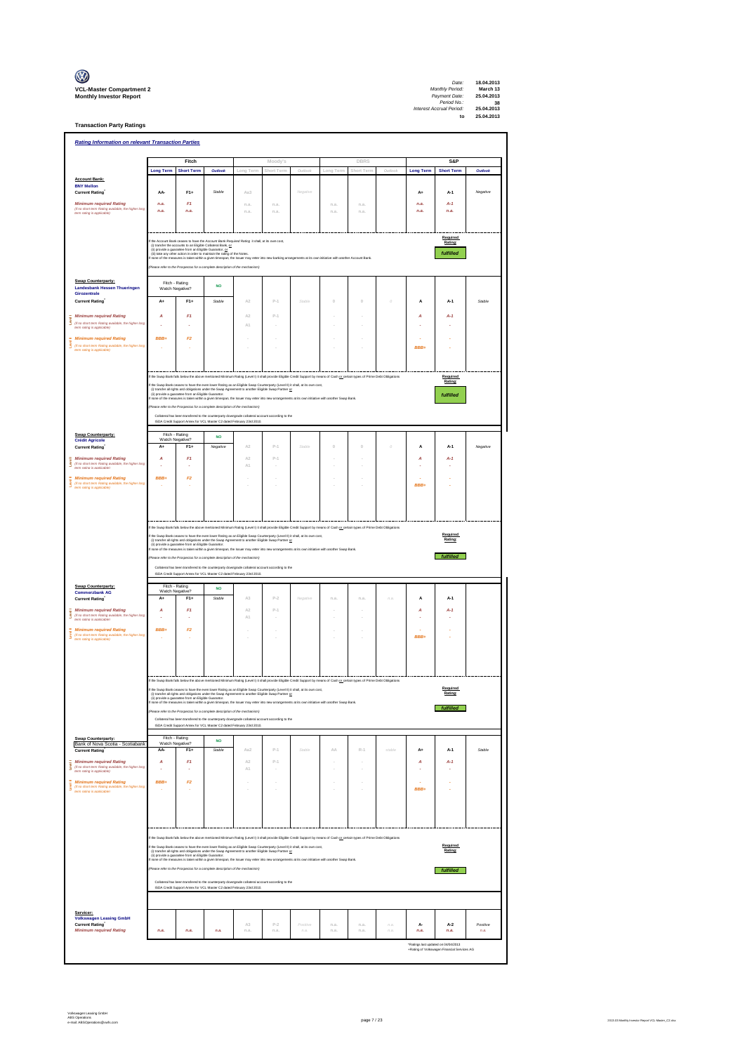| $\mathbb{C}$                                                      |
|-------------------------------------------------------------------|
| <b>VCL-Master Compartment</b> :<br><b>Monthly Investor Report</b> |

**Transaction Party Ratings**

| Moody's<br>DBRS<br>S&P<br>Fitch<br><b>Long Term</b><br><b>Short Term</b><br>Outlook<br>Outlo<br><b>Long Term</b><br><b>Short Term</b><br>Outlook<br>Long Term<br>Short Term<br>Long Term<br>Short Term<br><b>Account Bank:</b><br><b>BNY Mellon</b><br>$F1+$<br>Aa3<br><b>Current Rating</b><br>AA-<br>Stable<br>A+<br>A-1<br>Negative<br>Negative<br>F <sub>1</sub><br><b>Minimum required Rating</b><br>n.a.<br>n.a<br>n.a<br>n.a<br>n.a<br>n.a.<br>$A-1$<br>(if no short term Rating available, the higher long<br>n.a.<br>n.a.<br>n.a.<br>n.a<br>n.a<br>n.a.<br>n.a.<br>n.a.<br>term rating is applicable)<br>Required<br>the Account Bank ceases to have the Account Bank Required Rating it shall, at its own cost,<br>Rating:<br>(i) transfer the accounts to an Eligible Collateral Bank, or<br>(i) provide a guarantee from an Eligible Guarantor, $\alpha$<br>(ii) provide a guarantee from an Eligible Guarantor, $\alpha$<br>(ii) take any other action in order to maintain the rating of the Notes.<br>fulfilled<br>f none of the measures is taken within a given timespan, the Issuer may enter into new banking arrangements at its own initiative with another Account Bank<br>ease refer to the Prospectus for a complete description of the mechanism)<br><b>Swap Counterparty:</b><br>Fitch - Rating<br><b>NO</b><br>Landesbank Hessen Thueringen<br>Watch Negative?<br>Girozentrale<br>$P-1$<br>$F1+$<br>Stable<br>A2<br>$\mathbb O$<br>$\theta$<br><b>Current Rating</b><br>$A+$<br>Stable<br>А<br>A-1<br>Stable<br><b>Minimum required Rating</b><br>F1<br>A2<br>$P-1$<br>A<br>$A-1$<br>А<br>š<br>(if no short term Rating available, the higher long<br>A1<br>term rating is applicable)<br>BBB+<br>F2<br><b>Minimum required Rating</b><br>ŝ<br>(if no short term Rating available, the higher long<br>BBB+<br>term rating is applicable)<br>f the Swap Bank falls below the above mentioned Minimum Rating (Level I) it shall provide Eligible Credit Support by means of Cash or certain types of Prime Debt Obligations<br>Required<br>Rating:<br>the Swap Bank ceases to have the even lower Rating as an Eligible Swap Counterparty (Level II) it shall, at its own cost,<br>(i) transfer all rights and obigations under the Swap Agreement to another Eligible Swap Partner <u>or</u><br>(ii) provide a guaratiee from an Eligible Guarantor.<br>none of the measures is taken within a given timespan, the Issuer m<br>fulfilled<br>refer to the Prospectus for a complete description of the mechanism)<br>Collateral has been transfered to the counterparty downcrade collateral account according to the<br>ISDA Credit Support Annex for VCL Master C2 dated February 23rd 2010.<br>Fitch - Rating<br>Swap Counterparty:<br><b>NO</b><br>Watch Negative?<br><b>Crédit Agricole</b><br>$F1+$<br>Negative<br>A2<br>$P-1$<br>Stable<br>Negative<br><b>Current Rating</b><br>A+<br>$\begin{array}{c} 0 \\ 0 \end{array}$<br>$\mathbb O$<br>$\theta$<br>A<br>A-1<br>F1<br>A2<br>$P-1$<br><b>Minimum required Rating</b><br>$A-1$<br>А<br>А<br>(f no short term Rating available, the higher long<br>term rating is applicable)<br>ŝ<br>$\mathbb{A}1$<br><b>Minimum required Rating</b><br><b>RRR</b><br>F <sub>2</sub><br>š<br>(if no short term Rating available, the higher long<br>BBB+<br>term rating is applicable)<br>the Swap Bank falls below the above mentioned Minimum Rating (Level I) it shall provide Eligible Credit Support by means of Cash or octain types of Prime Debt Obligations<br>Required<br>f the Swap Bank ceases to have the even lower Rating as an Eligible Swap Counterparty (Level II) it shall, at its own cost,<br>(i) transfer all rights and obligations under the Swap Agreement to another Eligible Swap Partner<br>Rating:<br>none of the measures is taken within a given timespan, the Issuer may enter into new arrangements at its own initiative with another Swap Bank.<br>fulfilled<br>e refer to the Prospectus for a complete description of the mechanism)<br>Collateral has been transfered to the counterparty downgrade collateral account according to the<br>ISDA Credit Support Annex for VCL Master C2 dated February 23rd 2010.<br>Fitch - Rating<br><b>Swap Counterparty:</b><br><b>NO</b><br>Watch Negative?<br><b>Commerzbank AG</b><br><b>Current Rating</b><br>A-<br>$F1+$<br>Stable<br>A3<br>$P-2$<br>$A-1$<br>Negative<br>n.a<br>n.a<br>n.a.<br>A<br>F1<br><b>Minimum required Rating</b><br>A<br>A2<br>$P-1$<br>A<br>$A-1$<br>(if no short term Rating available, the higher long<br>term rating is applicable)<br>$\mathbb{A}1$<br><b>Minimum required Rating</b><br><b>RRR</b><br>F <sub>2</sub><br>š<br>(if no short term Rating available, the higher long<br>BBB+<br>term rating is applicable)<br>f the Swap Bank falls below the above mentioned Minimum Rating (Level I) it shall provide Eligible Credit Support by means of Cash or certain types of Prime Debt Obligations<br>Required<br>If the Swap Bank ceases to have the even lower Rating as an Eligible Swap Counterparty (Level II) it shall, at its own cost,<br>I) transfer all rights and obligations under the Swap Agre<br>ment to another Eligible Swap Partner or<br>Rating:<br>(ii) provide a guarantee from an Eligible Guaranter.<br>none of the measures is taken within a given timescan, the Issuer may enter into new arrangements at its own initiative with another Swap Bank<br>fulfilled<br>se refer to the Prospectus for a complete description of the mechanism)<br>Collateral has been transfered to the counterparty downgrade collateral account according to the<br>ISDA Credit Support Annex for VCL Master C2 dated February 23rd 2010.<br>Fitch - Rating<br>Swap Counterparty:<br><b>NO</b><br>Watch Negative?<br>Bank of Nova Scotia - Scotiabank<br><b>Current Rating</b><br>AA-<br>$F1+$<br><b>Stable</b><br>Aa2<br>$p_{-1}$<br>Stable<br>$\triangle \triangle$<br>$R-1$<br>stable<br>A+<br>A-1<br>Stable<br><b>Minimum required Rating</b><br>F1<br>A2<br>$P-1$<br>A<br>A<br>$A-1$<br>š<br>(if no short term Rating available, the higher long<br>term rating is applicable)<br>A1<br>÷<br>$\overline{\phantom{a}}$<br>BBB+<br>F2<br><b>Minimum required Rating</b><br>×<br>š<br>(If no short term Rating available, the higher long<br>BBB+<br>÷,<br>÷,<br>term rating is applicable)<br>f the Swap Bank falls below the above mentioned Minimum Rating (Level I) it shall provide Eligible Credit Support by means of Cash or oestain types of Prime Debt Obligations<br>Required<br>the Swap Bank ceases to have the even lower Rating as an Eligible Swap Counterparty (Level II) it shall, at its own cost,<br>Rating:<br>(i) transfer all rights and obligations under the Swap Agreement to another Eligible Swap Partner or<br>(ii) provide a guinaritie from an Eligible Guarantor.<br>(ii) provide a guinaritie from an Eligible Guarantor.<br>none of the measures is taken within a given timespan, the Issuer may enter into new arrangements at its own initi<br>Please refer to the Prospectus for a complete description of the mechanism)<br>fulfilled<br>Collateral has been transfered to the counterparty downgrade collateral account according to the<br>ISDA Credit Support Annex for VCL Master C2 dated February 23rd 2010.<br>Servicer:<br><b>Volkswagen Leasing GmbH</b><br><b>Current Rating</b><br>A3<br>$P-2$<br>Positive<br>n.a<br>n.a.<br>n.a.<br>A-<br>$A-2$<br>Positive<br><b>Minimum required Rating</b><br>n.a.<br>n.a.<br>n.a.<br>n.a.<br>n.a.<br>$\varOmega,\vartheta.$<br>n.a.<br>n.a.<br>n.a.<br>n.a.<br>n.a.<br>n.a.<br>"Ratings last updated on 04/04/2013<br>+Rating of Volkswagen Financial Services AG | <b>Rating Information on relevant Transaction Parties</b> |  |  |  |  |  |  |  |  |  |  |  |  |
|-----------------------------------------------------------------------------------------------------------------------------------------------------------------------------------------------------------------------------------------------------------------------------------------------------------------------------------------------------------------------------------------------------------------------------------------------------------------------------------------------------------------------------------------------------------------------------------------------------------------------------------------------------------------------------------------------------------------------------------------------------------------------------------------------------------------------------------------------------------------------------------------------------------------------------------------------------------------------------------------------------------------------------------------------------------------------------------------------------------------------------------------------------------------------------------------------------------------------------------------------------------------------------------------------------------------------------------------------------------------------------------------------------------------------------------------------------------------------------------------------------------------------------------------------------------------------------------------------------------------------------------------------------------------------------------------------------------------------------------------------------------------------------------------------------------------------------------------------------------------------------------------------------------------------------------------------------------------------------------------------------------------------------------------------------------------------------------------------------------------------------------------------------------------------------------------------------------------------------------------------------------------------------------------------------------------------------------------------------------------------------------------------------------------------------------------------------------------------------------------------------------------------------------------------------------------------------------------------------------------------------------------------------------------------------------------------------------------------------------------------------------------------------------------------------------------------------------------------------------------------------------------------------------------------------------------------------------------------------------------------------------------------------------------------------------------------------------------------------------------------------------------------------------------------------------------------------------------------------------------------------------------------------------------------------------------------------------------------------------------------------------------------------------------------------------------------------------------------------------------------------------------------------------------------------------------------------------------------------------------------------------------------------------------------------------------------------------------------------------------------------------------------------------------------------------------------------------------------------------------------------------------------------------------------------------------------------------------------------------------------------------------------------------------------------------------------------------------------------------------------------------------------------------------------------------------------------------------------------------------------------------------------------------------------------------------------------------------------------------------------------------------------------------------------------------------------------------------------------------------------------------------------------------------------------------------------------------------------------------------------------------------------------------------------------------------------------------------------------------------------------------------------------------------------------------------------------------------------------------------------------------------------------------------------------------------------------------------------------------------------------------------------------------------------------------------------------------------------------------------------------------------------------------------------------------------------------------------------------------------------------------------------------------------------------------------------------------------------------------------------------------------------------------------------------------------------------------------------------------------------------------------------------------------------------------------------------------------------------------------------------------------------------------------------------------------------------------------------------------------------------------------------------------------------------------------------------------------------------------------------------------------------------------------------------------------------------------------------------------------------------------------------------------------------------------------------------------------------------------------------------------------------------------------------------------------------------------------------------------------------------------------------------------------------------------------------------------------------------------------------------------------------------------------------------------------------------------------------------------------------------------------------------------------------------------------------------------------------------------------------------------------------------------------------------------------------------------------------------------------------------------------------------------------------------------------------------------------------------------------------------------------------------------------------------------------------------------------------------------------------------------------------------------------------------------------------------------------------------------------------------------------------------------------------------------------------------------------------------------------------------------------------------------------------------------------------------------------------------------------------------------------------------------------------------------------------------------------------------------------------------------------------------------------------------------------------------------------------------------------------------------------------------------------------------------------------------------------------------------------------------------|-----------------------------------------------------------|--|--|--|--|--|--|--|--|--|--|--|--|
|                                                                                                                                                                                                                                                                                                                                                                                                                                                                                                                                                                                                                                                                                                                                                                                                                                                                                                                                                                                                                                                                                                                                                                                                                                                                                                                                                                                                                                                                                                                                                                                                                                                                                                                                                                                                                                                                                                                                                                                                                                                                                                                                                                                                                                                                                                                                                                                                                                                                                                                                                                                                                                                                                                                                                                                                                                                                                                                                                                                                                                                                                                                                                                                                                                                                                                                                                                                                                                                                                                                                                                                                                                                                                                                                                                                                                                                                                                                                                                                                                                                                                                                                                                                                                                                                                                                                                                                                                                                                                                                                                                                                                                                                                                                                                                                                                                                                                                                                                                                                                                                                                                                                                                                                                                                                                                                                                                                                                                                                                                                                                                                                                                                                                                                                                                                                                                                                                                                                                                                                                                                                                                                                                                                                                                                                                                                                                                                                                                                                                                                                                                                                                                                                                                                                                                                                                                                                                                                                                                                                                                                                                                                                                                                                                                                                                                                                                                                                                                                                                                                                                                                                                                                                                                                                                           |                                                           |  |  |  |  |  |  |  |  |  |  |  |  |
|                                                                                                                                                                                                                                                                                                                                                                                                                                                                                                                                                                                                                                                                                                                                                                                                                                                                                                                                                                                                                                                                                                                                                                                                                                                                                                                                                                                                                                                                                                                                                                                                                                                                                                                                                                                                                                                                                                                                                                                                                                                                                                                                                                                                                                                                                                                                                                                                                                                                                                                                                                                                                                                                                                                                                                                                                                                                                                                                                                                                                                                                                                                                                                                                                                                                                                                                                                                                                                                                                                                                                                                                                                                                                                                                                                                                                                                                                                                                                                                                                                                                                                                                                                                                                                                                                                                                                                                                                                                                                                                                                                                                                                                                                                                                                                                                                                                                                                                                                                                                                                                                                                                                                                                                                                                                                                                                                                                                                                                                                                                                                                                                                                                                                                                                                                                                                                                                                                                                                                                                                                                                                                                                                                                                                                                                                                                                                                                                                                                                                                                                                                                                                                                                                                                                                                                                                                                                                                                                                                                                                                                                                                                                                                                                                                                                                                                                                                                                                                                                                                                                                                                                                                                                                                                                                           |                                                           |  |  |  |  |  |  |  |  |  |  |  |  |
|                                                                                                                                                                                                                                                                                                                                                                                                                                                                                                                                                                                                                                                                                                                                                                                                                                                                                                                                                                                                                                                                                                                                                                                                                                                                                                                                                                                                                                                                                                                                                                                                                                                                                                                                                                                                                                                                                                                                                                                                                                                                                                                                                                                                                                                                                                                                                                                                                                                                                                                                                                                                                                                                                                                                                                                                                                                                                                                                                                                                                                                                                                                                                                                                                                                                                                                                                                                                                                                                                                                                                                                                                                                                                                                                                                                                                                                                                                                                                                                                                                                                                                                                                                                                                                                                                                                                                                                                                                                                                                                                                                                                                                                                                                                                                                                                                                                                                                                                                                                                                                                                                                                                                                                                                                                                                                                                                                                                                                                                                                                                                                                                                                                                                                                                                                                                                                                                                                                                                                                                                                                                                                                                                                                                                                                                                                                                                                                                                                                                                                                                                                                                                                                                                                                                                                                                                                                                                                                                                                                                                                                                                                                                                                                                                                                                                                                                                                                                                                                                                                                                                                                                                                                                                                                                                           |                                                           |  |  |  |  |  |  |  |  |  |  |  |  |
|                                                                                                                                                                                                                                                                                                                                                                                                                                                                                                                                                                                                                                                                                                                                                                                                                                                                                                                                                                                                                                                                                                                                                                                                                                                                                                                                                                                                                                                                                                                                                                                                                                                                                                                                                                                                                                                                                                                                                                                                                                                                                                                                                                                                                                                                                                                                                                                                                                                                                                                                                                                                                                                                                                                                                                                                                                                                                                                                                                                                                                                                                                                                                                                                                                                                                                                                                                                                                                                                                                                                                                                                                                                                                                                                                                                                                                                                                                                                                                                                                                                                                                                                                                                                                                                                                                                                                                                                                                                                                                                                                                                                                                                                                                                                                                                                                                                                                                                                                                                                                                                                                                                                                                                                                                                                                                                                                                                                                                                                                                                                                                                                                                                                                                                                                                                                                                                                                                                                                                                                                                                                                                                                                                                                                                                                                                                                                                                                                                                                                                                                                                                                                                                                                                                                                                                                                                                                                                                                                                                                                                                                                                                                                                                                                                                                                                                                                                                                                                                                                                                                                                                                                                                                                                                                                           |                                                           |  |  |  |  |  |  |  |  |  |  |  |  |
|                                                                                                                                                                                                                                                                                                                                                                                                                                                                                                                                                                                                                                                                                                                                                                                                                                                                                                                                                                                                                                                                                                                                                                                                                                                                                                                                                                                                                                                                                                                                                                                                                                                                                                                                                                                                                                                                                                                                                                                                                                                                                                                                                                                                                                                                                                                                                                                                                                                                                                                                                                                                                                                                                                                                                                                                                                                                                                                                                                                                                                                                                                                                                                                                                                                                                                                                                                                                                                                                                                                                                                                                                                                                                                                                                                                                                                                                                                                                                                                                                                                                                                                                                                                                                                                                                                                                                                                                                                                                                                                                                                                                                                                                                                                                                                                                                                                                                                                                                                                                                                                                                                                                                                                                                                                                                                                                                                                                                                                                                                                                                                                                                                                                                                                                                                                                                                                                                                                                                                                                                                                                                                                                                                                                                                                                                                                                                                                                                                                                                                                                                                                                                                                                                                                                                                                                                                                                                                                                                                                                                                                                                                                                                                                                                                                                                                                                                                                                                                                                                                                                                                                                                                                                                                                                                           |                                                           |  |  |  |  |  |  |  |  |  |  |  |  |
|                                                                                                                                                                                                                                                                                                                                                                                                                                                                                                                                                                                                                                                                                                                                                                                                                                                                                                                                                                                                                                                                                                                                                                                                                                                                                                                                                                                                                                                                                                                                                                                                                                                                                                                                                                                                                                                                                                                                                                                                                                                                                                                                                                                                                                                                                                                                                                                                                                                                                                                                                                                                                                                                                                                                                                                                                                                                                                                                                                                                                                                                                                                                                                                                                                                                                                                                                                                                                                                                                                                                                                                                                                                                                                                                                                                                                                                                                                                                                                                                                                                                                                                                                                                                                                                                                                                                                                                                                                                                                                                                                                                                                                                                                                                                                                                                                                                                                                                                                                                                                                                                                                                                                                                                                                                                                                                                                                                                                                                                                                                                                                                                                                                                                                                                                                                                                                                                                                                                                                                                                                                                                                                                                                                                                                                                                                                                                                                                                                                                                                                                                                                                                                                                                                                                                                                                                                                                                                                                                                                                                                                                                                                                                                                                                                                                                                                                                                                                                                                                                                                                                                                                                                                                                                                                                           |                                                           |  |  |  |  |  |  |  |  |  |  |  |  |
|                                                                                                                                                                                                                                                                                                                                                                                                                                                                                                                                                                                                                                                                                                                                                                                                                                                                                                                                                                                                                                                                                                                                                                                                                                                                                                                                                                                                                                                                                                                                                                                                                                                                                                                                                                                                                                                                                                                                                                                                                                                                                                                                                                                                                                                                                                                                                                                                                                                                                                                                                                                                                                                                                                                                                                                                                                                                                                                                                                                                                                                                                                                                                                                                                                                                                                                                                                                                                                                                                                                                                                                                                                                                                                                                                                                                                                                                                                                                                                                                                                                                                                                                                                                                                                                                                                                                                                                                                                                                                                                                                                                                                                                                                                                                                                                                                                                                                                                                                                                                                                                                                                                                                                                                                                                                                                                                                                                                                                                                                                                                                                                                                                                                                                                                                                                                                                                                                                                                                                                                                                                                                                                                                                                                                                                                                                                                                                                                                                                                                                                                                                                                                                                                                                                                                                                                                                                                                                                                                                                                                                                                                                                                                                                                                                                                                                                                                                                                                                                                                                                                                                                                                                                                                                                                                           |                                                           |  |  |  |  |  |  |  |  |  |  |  |  |
|                                                                                                                                                                                                                                                                                                                                                                                                                                                                                                                                                                                                                                                                                                                                                                                                                                                                                                                                                                                                                                                                                                                                                                                                                                                                                                                                                                                                                                                                                                                                                                                                                                                                                                                                                                                                                                                                                                                                                                                                                                                                                                                                                                                                                                                                                                                                                                                                                                                                                                                                                                                                                                                                                                                                                                                                                                                                                                                                                                                                                                                                                                                                                                                                                                                                                                                                                                                                                                                                                                                                                                                                                                                                                                                                                                                                                                                                                                                                                                                                                                                                                                                                                                                                                                                                                                                                                                                                                                                                                                                                                                                                                                                                                                                                                                                                                                                                                                                                                                                                                                                                                                                                                                                                                                                                                                                                                                                                                                                                                                                                                                                                                                                                                                                                                                                                                                                                                                                                                                                                                                                                                                                                                                                                                                                                                                                                                                                                                                                                                                                                                                                                                                                                                                                                                                                                                                                                                                                                                                                                                                                                                                                                                                                                                                                                                                                                                                                                                                                                                                                                                                                                                                                                                                                                                           |                                                           |  |  |  |  |  |  |  |  |  |  |  |  |
|                                                                                                                                                                                                                                                                                                                                                                                                                                                                                                                                                                                                                                                                                                                                                                                                                                                                                                                                                                                                                                                                                                                                                                                                                                                                                                                                                                                                                                                                                                                                                                                                                                                                                                                                                                                                                                                                                                                                                                                                                                                                                                                                                                                                                                                                                                                                                                                                                                                                                                                                                                                                                                                                                                                                                                                                                                                                                                                                                                                                                                                                                                                                                                                                                                                                                                                                                                                                                                                                                                                                                                                                                                                                                                                                                                                                                                                                                                                                                                                                                                                                                                                                                                                                                                                                                                                                                                                                                                                                                                                                                                                                                                                                                                                                                                                                                                                                                                                                                                                                                                                                                                                                                                                                                                                                                                                                                                                                                                                                                                                                                                                                                                                                                                                                                                                                                                                                                                                                                                                                                                                                                                                                                                                                                                                                                                                                                                                                                                                                                                                                                                                                                                                                                                                                                                                                                                                                                                                                                                                                                                                                                                                                                                                                                                                                                                                                                                                                                                                                                                                                                                                                                                                                                                                                                           |                                                           |  |  |  |  |  |  |  |  |  |  |  |  |
|                                                                                                                                                                                                                                                                                                                                                                                                                                                                                                                                                                                                                                                                                                                                                                                                                                                                                                                                                                                                                                                                                                                                                                                                                                                                                                                                                                                                                                                                                                                                                                                                                                                                                                                                                                                                                                                                                                                                                                                                                                                                                                                                                                                                                                                                                                                                                                                                                                                                                                                                                                                                                                                                                                                                                                                                                                                                                                                                                                                                                                                                                                                                                                                                                                                                                                                                                                                                                                                                                                                                                                                                                                                                                                                                                                                                                                                                                                                                                                                                                                                                                                                                                                                                                                                                                                                                                                                                                                                                                                                                                                                                                                                                                                                                                                                                                                                                                                                                                                                                                                                                                                                                                                                                                                                                                                                                                                                                                                                                                                                                                                                                                                                                                                                                                                                                                                                                                                                                                                                                                                                                                                                                                                                                                                                                                                                                                                                                                                                                                                                                                                                                                                                                                                                                                                                                                                                                                                                                                                                                                                                                                                                                                                                                                                                                                                                                                                                                                                                                                                                                                                                                                                                                                                                                                           |                                                           |  |  |  |  |  |  |  |  |  |  |  |  |
|                                                                                                                                                                                                                                                                                                                                                                                                                                                                                                                                                                                                                                                                                                                                                                                                                                                                                                                                                                                                                                                                                                                                                                                                                                                                                                                                                                                                                                                                                                                                                                                                                                                                                                                                                                                                                                                                                                                                                                                                                                                                                                                                                                                                                                                                                                                                                                                                                                                                                                                                                                                                                                                                                                                                                                                                                                                                                                                                                                                                                                                                                                                                                                                                                                                                                                                                                                                                                                                                                                                                                                                                                                                                                                                                                                                                                                                                                                                                                                                                                                                                                                                                                                                                                                                                                                                                                                                                                                                                                                                                                                                                                                                                                                                                                                                                                                                                                                                                                                                                                                                                                                                                                                                                                                                                                                                                                                                                                                                                                                                                                                                                                                                                                                                                                                                                                                                                                                                                                                                                                                                                                                                                                                                                                                                                                                                                                                                                                                                                                                                                                                                                                                                                                                                                                                                                                                                                                                                                                                                                                                                                                                                                                                                                                                                                                                                                                                                                                                                                                                                                                                                                                                                                                                                                                           |                                                           |  |  |  |  |  |  |  |  |  |  |  |  |
|                                                                                                                                                                                                                                                                                                                                                                                                                                                                                                                                                                                                                                                                                                                                                                                                                                                                                                                                                                                                                                                                                                                                                                                                                                                                                                                                                                                                                                                                                                                                                                                                                                                                                                                                                                                                                                                                                                                                                                                                                                                                                                                                                                                                                                                                                                                                                                                                                                                                                                                                                                                                                                                                                                                                                                                                                                                                                                                                                                                                                                                                                                                                                                                                                                                                                                                                                                                                                                                                                                                                                                                                                                                                                                                                                                                                                                                                                                                                                                                                                                                                                                                                                                                                                                                                                                                                                                                                                                                                                                                                                                                                                                                                                                                                                                                                                                                                                                                                                                                                                                                                                                                                                                                                                                                                                                                                                                                                                                                                                                                                                                                                                                                                                                                                                                                                                                                                                                                                                                                                                                                                                                                                                                                                                                                                                                                                                                                                                                                                                                                                                                                                                                                                                                                                                                                                                                                                                                                                                                                                                                                                                                                                                                                                                                                                                                                                                                                                                                                                                                                                                                                                                                                                                                                                                           |                                                           |  |  |  |  |  |  |  |  |  |  |  |  |
|                                                                                                                                                                                                                                                                                                                                                                                                                                                                                                                                                                                                                                                                                                                                                                                                                                                                                                                                                                                                                                                                                                                                                                                                                                                                                                                                                                                                                                                                                                                                                                                                                                                                                                                                                                                                                                                                                                                                                                                                                                                                                                                                                                                                                                                                                                                                                                                                                                                                                                                                                                                                                                                                                                                                                                                                                                                                                                                                                                                                                                                                                                                                                                                                                                                                                                                                                                                                                                                                                                                                                                                                                                                                                                                                                                                                                                                                                                                                                                                                                                                                                                                                                                                                                                                                                                                                                                                                                                                                                                                                                                                                                                                                                                                                                                                                                                                                                                                                                                                                                                                                                                                                                                                                                                                                                                                                                                                                                                                                                                                                                                                                                                                                                                                                                                                                                                                                                                                                                                                                                                                                                                                                                                                                                                                                                                                                                                                                                                                                                                                                                                                                                                                                                                                                                                                                                                                                                                                                                                                                                                                                                                                                                                                                                                                                                                                                                                                                                                                                                                                                                                                                                                                                                                                                                           |                                                           |  |  |  |  |  |  |  |  |  |  |  |  |
|                                                                                                                                                                                                                                                                                                                                                                                                                                                                                                                                                                                                                                                                                                                                                                                                                                                                                                                                                                                                                                                                                                                                                                                                                                                                                                                                                                                                                                                                                                                                                                                                                                                                                                                                                                                                                                                                                                                                                                                                                                                                                                                                                                                                                                                                                                                                                                                                                                                                                                                                                                                                                                                                                                                                                                                                                                                                                                                                                                                                                                                                                                                                                                                                                                                                                                                                                                                                                                                                                                                                                                                                                                                                                                                                                                                                                                                                                                                                                                                                                                                                                                                                                                                                                                                                                                                                                                                                                                                                                                                                                                                                                                                                                                                                                                                                                                                                                                                                                                                                                                                                                                                                                                                                                                                                                                                                                                                                                                                                                                                                                                                                                                                                                                                                                                                                                                                                                                                                                                                                                                                                                                                                                                                                                                                                                                                                                                                                                                                                                                                                                                                                                                                                                                                                                                                                                                                                                                                                                                                                                                                                                                                                                                                                                                                                                                                                                                                                                                                                                                                                                                                                                                                                                                                                                           |                                                           |  |  |  |  |  |  |  |  |  |  |  |  |
|                                                                                                                                                                                                                                                                                                                                                                                                                                                                                                                                                                                                                                                                                                                                                                                                                                                                                                                                                                                                                                                                                                                                                                                                                                                                                                                                                                                                                                                                                                                                                                                                                                                                                                                                                                                                                                                                                                                                                                                                                                                                                                                                                                                                                                                                                                                                                                                                                                                                                                                                                                                                                                                                                                                                                                                                                                                                                                                                                                                                                                                                                                                                                                                                                                                                                                                                                                                                                                                                                                                                                                                                                                                                                                                                                                                                                                                                                                                                                                                                                                                                                                                                                                                                                                                                                                                                                                                                                                                                                                                                                                                                                                                                                                                                                                                                                                                                                                                                                                                                                                                                                                                                                                                                                                                                                                                                                                                                                                                                                                                                                                                                                                                                                                                                                                                                                                                                                                                                                                                                                                                                                                                                                                                                                                                                                                                                                                                                                                                                                                                                                                                                                                                                                                                                                                                                                                                                                                                                                                                                                                                                                                                                                                                                                                                                                                                                                                                                                                                                                                                                                                                                                                                                                                                                                           |                                                           |  |  |  |  |  |  |  |  |  |  |  |  |
|                                                                                                                                                                                                                                                                                                                                                                                                                                                                                                                                                                                                                                                                                                                                                                                                                                                                                                                                                                                                                                                                                                                                                                                                                                                                                                                                                                                                                                                                                                                                                                                                                                                                                                                                                                                                                                                                                                                                                                                                                                                                                                                                                                                                                                                                                                                                                                                                                                                                                                                                                                                                                                                                                                                                                                                                                                                                                                                                                                                                                                                                                                                                                                                                                                                                                                                                                                                                                                                                                                                                                                                                                                                                                                                                                                                                                                                                                                                                                                                                                                                                                                                                                                                                                                                                                                                                                                                                                                                                                                                                                                                                                                                                                                                                                                                                                                                                                                                                                                                                                                                                                                                                                                                                                                                                                                                                                                                                                                                                                                                                                                                                                                                                                                                                                                                                                                                                                                                                                                                                                                                                                                                                                                                                                                                                                                                                                                                                                                                                                                                                                                                                                                                                                                                                                                                                                                                                                                                                                                                                                                                                                                                                                                                                                                                                                                                                                                                                                                                                                                                                                                                                                                                                                                                                                           |                                                           |  |  |  |  |  |  |  |  |  |  |  |  |
|                                                                                                                                                                                                                                                                                                                                                                                                                                                                                                                                                                                                                                                                                                                                                                                                                                                                                                                                                                                                                                                                                                                                                                                                                                                                                                                                                                                                                                                                                                                                                                                                                                                                                                                                                                                                                                                                                                                                                                                                                                                                                                                                                                                                                                                                                                                                                                                                                                                                                                                                                                                                                                                                                                                                                                                                                                                                                                                                                                                                                                                                                                                                                                                                                                                                                                                                                                                                                                                                                                                                                                                                                                                                                                                                                                                                                                                                                                                                                                                                                                                                                                                                                                                                                                                                                                                                                                                                                                                                                                                                                                                                                                                                                                                                                                                                                                                                                                                                                                                                                                                                                                                                                                                                                                                                                                                                                                                                                                                                                                                                                                                                                                                                                                                                                                                                                                                                                                                                                                                                                                                                                                                                                                                                                                                                                                                                                                                                                                                                                                                                                                                                                                                                                                                                                                                                                                                                                                                                                                                                                                                                                                                                                                                                                                                                                                                                                                                                                                                                                                                                                                                                                                                                                                                                                           |                                                           |  |  |  |  |  |  |  |  |  |  |  |  |
|                                                                                                                                                                                                                                                                                                                                                                                                                                                                                                                                                                                                                                                                                                                                                                                                                                                                                                                                                                                                                                                                                                                                                                                                                                                                                                                                                                                                                                                                                                                                                                                                                                                                                                                                                                                                                                                                                                                                                                                                                                                                                                                                                                                                                                                                                                                                                                                                                                                                                                                                                                                                                                                                                                                                                                                                                                                                                                                                                                                                                                                                                                                                                                                                                                                                                                                                                                                                                                                                                                                                                                                                                                                                                                                                                                                                                                                                                                                                                                                                                                                                                                                                                                                                                                                                                                                                                                                                                                                                                                                                                                                                                                                                                                                                                                                                                                                                                                                                                                                                                                                                                                                                                                                                                                                                                                                                                                                                                                                                                                                                                                                                                                                                                                                                                                                                                                                                                                                                                                                                                                                                                                                                                                                                                                                                                                                                                                                                                                                                                                                                                                                                                                                                                                                                                                                                                                                                                                                                                                                                                                                                                                                                                                                                                                                                                                                                                                                                                                                                                                                                                                                                                                                                                                                                                           |                                                           |  |  |  |  |  |  |  |  |  |  |  |  |
|                                                                                                                                                                                                                                                                                                                                                                                                                                                                                                                                                                                                                                                                                                                                                                                                                                                                                                                                                                                                                                                                                                                                                                                                                                                                                                                                                                                                                                                                                                                                                                                                                                                                                                                                                                                                                                                                                                                                                                                                                                                                                                                                                                                                                                                                                                                                                                                                                                                                                                                                                                                                                                                                                                                                                                                                                                                                                                                                                                                                                                                                                                                                                                                                                                                                                                                                                                                                                                                                                                                                                                                                                                                                                                                                                                                                                                                                                                                                                                                                                                                                                                                                                                                                                                                                                                                                                                                                                                                                                                                                                                                                                                                                                                                                                                                                                                                                                                                                                                                                                                                                                                                                                                                                                                                                                                                                                                                                                                                                                                                                                                                                                                                                                                                                                                                                                                                                                                                                                                                                                                                                                                                                                                                                                                                                                                                                                                                                                                                                                                                                                                                                                                                                                                                                                                                                                                                                                                                                                                                                                                                                                                                                                                                                                                                                                                                                                                                                                                                                                                                                                                                                                                                                                                                                                           |                                                           |  |  |  |  |  |  |  |  |  |  |  |  |
|                                                                                                                                                                                                                                                                                                                                                                                                                                                                                                                                                                                                                                                                                                                                                                                                                                                                                                                                                                                                                                                                                                                                                                                                                                                                                                                                                                                                                                                                                                                                                                                                                                                                                                                                                                                                                                                                                                                                                                                                                                                                                                                                                                                                                                                                                                                                                                                                                                                                                                                                                                                                                                                                                                                                                                                                                                                                                                                                                                                                                                                                                                                                                                                                                                                                                                                                                                                                                                                                                                                                                                                                                                                                                                                                                                                                                                                                                                                                                                                                                                                                                                                                                                                                                                                                                                                                                                                                                                                                                                                                                                                                                                                                                                                                                                                                                                                                                                                                                                                                                                                                                                                                                                                                                                                                                                                                                                                                                                                                                                                                                                                                                                                                                                                                                                                                                                                                                                                                                                                                                                                                                                                                                                                                                                                                                                                                                                                                                                                                                                                                                                                                                                                                                                                                                                                                                                                                                                                                                                                                                                                                                                                                                                                                                                                                                                                                                                                                                                                                                                                                                                                                                                                                                                                                                           |                                                           |  |  |  |  |  |  |  |  |  |  |  |  |
|                                                                                                                                                                                                                                                                                                                                                                                                                                                                                                                                                                                                                                                                                                                                                                                                                                                                                                                                                                                                                                                                                                                                                                                                                                                                                                                                                                                                                                                                                                                                                                                                                                                                                                                                                                                                                                                                                                                                                                                                                                                                                                                                                                                                                                                                                                                                                                                                                                                                                                                                                                                                                                                                                                                                                                                                                                                                                                                                                                                                                                                                                                                                                                                                                                                                                                                                                                                                                                                                                                                                                                                                                                                                                                                                                                                                                                                                                                                                                                                                                                                                                                                                                                                                                                                                                                                                                                                                                                                                                                                                                                                                                                                                                                                                                                                                                                                                                                                                                                                                                                                                                                                                                                                                                                                                                                                                                                                                                                                                                                                                                                                                                                                                                                                                                                                                                                                                                                                                                                                                                                                                                                                                                                                                                                                                                                                                                                                                                                                                                                                                                                                                                                                                                                                                                                                                                                                                                                                                                                                                                                                                                                                                                                                                                                                                                                                                                                                                                                                                                                                                                                                                                                                                                                                                                           |                                                           |  |  |  |  |  |  |  |  |  |  |  |  |
|                                                                                                                                                                                                                                                                                                                                                                                                                                                                                                                                                                                                                                                                                                                                                                                                                                                                                                                                                                                                                                                                                                                                                                                                                                                                                                                                                                                                                                                                                                                                                                                                                                                                                                                                                                                                                                                                                                                                                                                                                                                                                                                                                                                                                                                                                                                                                                                                                                                                                                                                                                                                                                                                                                                                                                                                                                                                                                                                                                                                                                                                                                                                                                                                                                                                                                                                                                                                                                                                                                                                                                                                                                                                                                                                                                                                                                                                                                                                                                                                                                                                                                                                                                                                                                                                                                                                                                                                                                                                                                                                                                                                                                                                                                                                                                                                                                                                                                                                                                                                                                                                                                                                                                                                                                                                                                                                                                                                                                                                                                                                                                                                                                                                                                                                                                                                                                                                                                                                                                                                                                                                                                                                                                                                                                                                                                                                                                                                                                                                                                                                                                                                                                                                                                                                                                                                                                                                                                                                                                                                                                                                                                                                                                                                                                                                                                                                                                                                                                                                                                                                                                                                                                                                                                                                                           |                                                           |  |  |  |  |  |  |  |  |  |  |  |  |
|                                                                                                                                                                                                                                                                                                                                                                                                                                                                                                                                                                                                                                                                                                                                                                                                                                                                                                                                                                                                                                                                                                                                                                                                                                                                                                                                                                                                                                                                                                                                                                                                                                                                                                                                                                                                                                                                                                                                                                                                                                                                                                                                                                                                                                                                                                                                                                                                                                                                                                                                                                                                                                                                                                                                                                                                                                                                                                                                                                                                                                                                                                                                                                                                                                                                                                                                                                                                                                                                                                                                                                                                                                                                                                                                                                                                                                                                                                                                                                                                                                                                                                                                                                                                                                                                                                                                                                                                                                                                                                                                                                                                                                                                                                                                                                                                                                                                                                                                                                                                                                                                                                                                                                                                                                                                                                                                                                                                                                                                                                                                                                                                                                                                                                                                                                                                                                                                                                                                                                                                                                                                                                                                                                                                                                                                                                                                                                                                                                                                                                                                                                                                                                                                                                                                                                                                                                                                                                                                                                                                                                                                                                                                                                                                                                                                                                                                                                                                                                                                                                                                                                                                                                                                                                                                                           |                                                           |  |  |  |  |  |  |  |  |  |  |  |  |
|                                                                                                                                                                                                                                                                                                                                                                                                                                                                                                                                                                                                                                                                                                                                                                                                                                                                                                                                                                                                                                                                                                                                                                                                                                                                                                                                                                                                                                                                                                                                                                                                                                                                                                                                                                                                                                                                                                                                                                                                                                                                                                                                                                                                                                                                                                                                                                                                                                                                                                                                                                                                                                                                                                                                                                                                                                                                                                                                                                                                                                                                                                                                                                                                                                                                                                                                                                                                                                                                                                                                                                                                                                                                                                                                                                                                                                                                                                                                                                                                                                                                                                                                                                                                                                                                                                                                                                                                                                                                                                                                                                                                                                                                                                                                                                                                                                                                                                                                                                                                                                                                                                                                                                                                                                                                                                                                                                                                                                                                                                                                                                                                                                                                                                                                                                                                                                                                                                                                                                                                                                                                                                                                                                                                                                                                                                                                                                                                                                                                                                                                                                                                                                                                                                                                                                                                                                                                                                                                                                                                                                                                                                                                                                                                                                                                                                                                                                                                                                                                                                                                                                                                                                                                                                                                                           |                                                           |  |  |  |  |  |  |  |  |  |  |  |  |
|                                                                                                                                                                                                                                                                                                                                                                                                                                                                                                                                                                                                                                                                                                                                                                                                                                                                                                                                                                                                                                                                                                                                                                                                                                                                                                                                                                                                                                                                                                                                                                                                                                                                                                                                                                                                                                                                                                                                                                                                                                                                                                                                                                                                                                                                                                                                                                                                                                                                                                                                                                                                                                                                                                                                                                                                                                                                                                                                                                                                                                                                                                                                                                                                                                                                                                                                                                                                                                                                                                                                                                                                                                                                                                                                                                                                                                                                                                                                                                                                                                                                                                                                                                                                                                                                                                                                                                                                                                                                                                                                                                                                                                                                                                                                                                                                                                                                                                                                                                                                                                                                                                                                                                                                                                                                                                                                                                                                                                                                                                                                                                                                                                                                                                                                                                                                                                                                                                                                                                                                                                                                                                                                                                                                                                                                                                                                                                                                                                                                                                                                                                                                                                                                                                                                                                                                                                                                                                                                                                                                                                                                                                                                                                                                                                                                                                                                                                                                                                                                                                                                                                                                                                                                                                                                                           |                                                           |  |  |  |  |  |  |  |  |  |  |  |  |
|                                                                                                                                                                                                                                                                                                                                                                                                                                                                                                                                                                                                                                                                                                                                                                                                                                                                                                                                                                                                                                                                                                                                                                                                                                                                                                                                                                                                                                                                                                                                                                                                                                                                                                                                                                                                                                                                                                                                                                                                                                                                                                                                                                                                                                                                                                                                                                                                                                                                                                                                                                                                                                                                                                                                                                                                                                                                                                                                                                                                                                                                                                                                                                                                                                                                                                                                                                                                                                                                                                                                                                                                                                                                                                                                                                                                                                                                                                                                                                                                                                                                                                                                                                                                                                                                                                                                                                                                                                                                                                                                                                                                                                                                                                                                                                                                                                                                                                                                                                                                                                                                                                                                                                                                                                                                                                                                                                                                                                                                                                                                                                                                                                                                                                                                                                                                                                                                                                                                                                                                                                                                                                                                                                                                                                                                                                                                                                                                                                                                                                                                                                                                                                                                                                                                                                                                                                                                                                                                                                                                                                                                                                                                                                                                                                                                                                                                                                                                                                                                                                                                                                                                                                                                                                                                                           |                                                           |  |  |  |  |  |  |  |  |  |  |  |  |
|                                                                                                                                                                                                                                                                                                                                                                                                                                                                                                                                                                                                                                                                                                                                                                                                                                                                                                                                                                                                                                                                                                                                                                                                                                                                                                                                                                                                                                                                                                                                                                                                                                                                                                                                                                                                                                                                                                                                                                                                                                                                                                                                                                                                                                                                                                                                                                                                                                                                                                                                                                                                                                                                                                                                                                                                                                                                                                                                                                                                                                                                                                                                                                                                                                                                                                                                                                                                                                                                                                                                                                                                                                                                                                                                                                                                                                                                                                                                                                                                                                                                                                                                                                                                                                                                                                                                                                                                                                                                                                                                                                                                                                                                                                                                                                                                                                                                                                                                                                                                                                                                                                                                                                                                                                                                                                                                                                                                                                                                                                                                                                                                                                                                                                                                                                                                                                                                                                                                                                                                                                                                                                                                                                                                                                                                                                                                                                                                                                                                                                                                                                                                                                                                                                                                                                                                                                                                                                                                                                                                                                                                                                                                                                                                                                                                                                                                                                                                                                                                                                                                                                                                                                                                                                                                                           |                                                           |  |  |  |  |  |  |  |  |  |  |  |  |
|                                                                                                                                                                                                                                                                                                                                                                                                                                                                                                                                                                                                                                                                                                                                                                                                                                                                                                                                                                                                                                                                                                                                                                                                                                                                                                                                                                                                                                                                                                                                                                                                                                                                                                                                                                                                                                                                                                                                                                                                                                                                                                                                                                                                                                                                                                                                                                                                                                                                                                                                                                                                                                                                                                                                                                                                                                                                                                                                                                                                                                                                                                                                                                                                                                                                                                                                                                                                                                                                                                                                                                                                                                                                                                                                                                                                                                                                                                                                                                                                                                                                                                                                                                                                                                                                                                                                                                                                                                                                                                                                                                                                                                                                                                                                                                                                                                                                                                                                                                                                                                                                                                                                                                                                                                                                                                                                                                                                                                                                                                                                                                                                                                                                                                                                                                                                                                                                                                                                                                                                                                                                                                                                                                                                                                                                                                                                                                                                                                                                                                                                                                                                                                                                                                                                                                                                                                                                                                                                                                                                                                                                                                                                                                                                                                                                                                                                                                                                                                                                                                                                                                                                                                                                                                                                                           |                                                           |  |  |  |  |  |  |  |  |  |  |  |  |
|                                                                                                                                                                                                                                                                                                                                                                                                                                                                                                                                                                                                                                                                                                                                                                                                                                                                                                                                                                                                                                                                                                                                                                                                                                                                                                                                                                                                                                                                                                                                                                                                                                                                                                                                                                                                                                                                                                                                                                                                                                                                                                                                                                                                                                                                                                                                                                                                                                                                                                                                                                                                                                                                                                                                                                                                                                                                                                                                                                                                                                                                                                                                                                                                                                                                                                                                                                                                                                                                                                                                                                                                                                                                                                                                                                                                                                                                                                                                                                                                                                                                                                                                                                                                                                                                                                                                                                                                                                                                                                                                                                                                                                                                                                                                                                                                                                                                                                                                                                                                                                                                                                                                                                                                                                                                                                                                                                                                                                                                                                                                                                                                                                                                                                                                                                                                                                                                                                                                                                                                                                                                                                                                                                                                                                                                                                                                                                                                                                                                                                                                                                                                                                                                                                                                                                                                                                                                                                                                                                                                                                                                                                                                                                                                                                                                                                                                                                                                                                                                                                                                                                                                                                                                                                                                                           |                                                           |  |  |  |  |  |  |  |  |  |  |  |  |
|                                                                                                                                                                                                                                                                                                                                                                                                                                                                                                                                                                                                                                                                                                                                                                                                                                                                                                                                                                                                                                                                                                                                                                                                                                                                                                                                                                                                                                                                                                                                                                                                                                                                                                                                                                                                                                                                                                                                                                                                                                                                                                                                                                                                                                                                                                                                                                                                                                                                                                                                                                                                                                                                                                                                                                                                                                                                                                                                                                                                                                                                                                                                                                                                                                                                                                                                                                                                                                                                                                                                                                                                                                                                                                                                                                                                                                                                                                                                                                                                                                                                                                                                                                                                                                                                                                                                                                                                                                                                                                                                                                                                                                                                                                                                                                                                                                                                                                                                                                                                                                                                                                                                                                                                                                                                                                                                                                                                                                                                                                                                                                                                                                                                                                                                                                                                                                                                                                                                                                                                                                                                                                                                                                                                                                                                                                                                                                                                                                                                                                                                                                                                                                                                                                                                                                                                                                                                                                                                                                                                                                                                                                                                                                                                                                                                                                                                                                                                                                                                                                                                                                                                                                                                                                                                                           |                                                           |  |  |  |  |  |  |  |  |  |  |  |  |
|                                                                                                                                                                                                                                                                                                                                                                                                                                                                                                                                                                                                                                                                                                                                                                                                                                                                                                                                                                                                                                                                                                                                                                                                                                                                                                                                                                                                                                                                                                                                                                                                                                                                                                                                                                                                                                                                                                                                                                                                                                                                                                                                                                                                                                                                                                                                                                                                                                                                                                                                                                                                                                                                                                                                                                                                                                                                                                                                                                                                                                                                                                                                                                                                                                                                                                                                                                                                                                                                                                                                                                                                                                                                                                                                                                                                                                                                                                                                                                                                                                                                                                                                                                                                                                                                                                                                                                                                                                                                                                                                                                                                                                                                                                                                                                                                                                                                                                                                                                                                                                                                                                                                                                                                                                                                                                                                                                                                                                                                                                                                                                                                                                                                                                                                                                                                                                                                                                                                                                                                                                                                                                                                                                                                                                                                                                                                                                                                                                                                                                                                                                                                                                                                                                                                                                                                                                                                                                                                                                                                                                                                                                                                                                                                                                                                                                                                                                                                                                                                                                                                                                                                                                                                                                                                                           |                                                           |  |  |  |  |  |  |  |  |  |  |  |  |
|                                                                                                                                                                                                                                                                                                                                                                                                                                                                                                                                                                                                                                                                                                                                                                                                                                                                                                                                                                                                                                                                                                                                                                                                                                                                                                                                                                                                                                                                                                                                                                                                                                                                                                                                                                                                                                                                                                                                                                                                                                                                                                                                                                                                                                                                                                                                                                                                                                                                                                                                                                                                                                                                                                                                                                                                                                                                                                                                                                                                                                                                                                                                                                                                                                                                                                                                                                                                                                                                                                                                                                                                                                                                                                                                                                                                                                                                                                                                                                                                                                                                                                                                                                                                                                                                                                                                                                                                                                                                                                                                                                                                                                                                                                                                                                                                                                                                                                                                                                                                                                                                                                                                                                                                                                                                                                                                                                                                                                                                                                                                                                                                                                                                                                                                                                                                                                                                                                                                                                                                                                                                                                                                                                                                                                                                                                                                                                                                                                                                                                                                                                                                                                                                                                                                                                                                                                                                                                                                                                                                                                                                                                                                                                                                                                                                                                                                                                                                                                                                                                                                                                                                                                                                                                                                                           |                                                           |  |  |  |  |  |  |  |  |  |  |  |  |
|                                                                                                                                                                                                                                                                                                                                                                                                                                                                                                                                                                                                                                                                                                                                                                                                                                                                                                                                                                                                                                                                                                                                                                                                                                                                                                                                                                                                                                                                                                                                                                                                                                                                                                                                                                                                                                                                                                                                                                                                                                                                                                                                                                                                                                                                                                                                                                                                                                                                                                                                                                                                                                                                                                                                                                                                                                                                                                                                                                                                                                                                                                                                                                                                                                                                                                                                                                                                                                                                                                                                                                                                                                                                                                                                                                                                                                                                                                                                                                                                                                                                                                                                                                                                                                                                                                                                                                                                                                                                                                                                                                                                                                                                                                                                                                                                                                                                                                                                                                                                                                                                                                                                                                                                                                                                                                                                                                                                                                                                                                                                                                                                                                                                                                                                                                                                                                                                                                                                                                                                                                                                                                                                                                                                                                                                                                                                                                                                                                                                                                                                                                                                                                                                                                                                                                                                                                                                                                                                                                                                                                                                                                                                                                                                                                                                                                                                                                                                                                                                                                                                                                                                                                                                                                                                                           |                                                           |  |  |  |  |  |  |  |  |  |  |  |  |
|                                                                                                                                                                                                                                                                                                                                                                                                                                                                                                                                                                                                                                                                                                                                                                                                                                                                                                                                                                                                                                                                                                                                                                                                                                                                                                                                                                                                                                                                                                                                                                                                                                                                                                                                                                                                                                                                                                                                                                                                                                                                                                                                                                                                                                                                                                                                                                                                                                                                                                                                                                                                                                                                                                                                                                                                                                                                                                                                                                                                                                                                                                                                                                                                                                                                                                                                                                                                                                                                                                                                                                                                                                                                                                                                                                                                                                                                                                                                                                                                                                                                                                                                                                                                                                                                                                                                                                                                                                                                                                                                                                                                                                                                                                                                                                                                                                                                                                                                                                                                                                                                                                                                                                                                                                                                                                                                                                                                                                                                                                                                                                                                                                                                                                                                                                                                                                                                                                                                                                                                                                                                                                                                                                                                                                                                                                                                                                                                                                                                                                                                                                                                                                                                                                                                                                                                                                                                                                                                                                                                                                                                                                                                                                                                                                                                                                                                                                                                                                                                                                                                                                                                                                                                                                                                                           |                                                           |  |  |  |  |  |  |  |  |  |  |  |  |
|                                                                                                                                                                                                                                                                                                                                                                                                                                                                                                                                                                                                                                                                                                                                                                                                                                                                                                                                                                                                                                                                                                                                                                                                                                                                                                                                                                                                                                                                                                                                                                                                                                                                                                                                                                                                                                                                                                                                                                                                                                                                                                                                                                                                                                                                                                                                                                                                                                                                                                                                                                                                                                                                                                                                                                                                                                                                                                                                                                                                                                                                                                                                                                                                                                                                                                                                                                                                                                                                                                                                                                                                                                                                                                                                                                                                                                                                                                                                                                                                                                                                                                                                                                                                                                                                                                                                                                                                                                                                                                                                                                                                                                                                                                                                                                                                                                                                                                                                                                                                                                                                                                                                                                                                                                                                                                                                                                                                                                                                                                                                                                                                                                                                                                                                                                                                                                                                                                                                                                                                                                                                                                                                                                                                                                                                                                                                                                                                                                                                                                                                                                                                                                                                                                                                                                                                                                                                                                                                                                                                                                                                                                                                                                                                                                                                                                                                                                                                                                                                                                                                                                                                                                                                                                                                                           |                                                           |  |  |  |  |  |  |  |  |  |  |  |  |
|                                                                                                                                                                                                                                                                                                                                                                                                                                                                                                                                                                                                                                                                                                                                                                                                                                                                                                                                                                                                                                                                                                                                                                                                                                                                                                                                                                                                                                                                                                                                                                                                                                                                                                                                                                                                                                                                                                                                                                                                                                                                                                                                                                                                                                                                                                                                                                                                                                                                                                                                                                                                                                                                                                                                                                                                                                                                                                                                                                                                                                                                                                                                                                                                                                                                                                                                                                                                                                                                                                                                                                                                                                                                                                                                                                                                                                                                                                                                                                                                                                                                                                                                                                                                                                                                                                                                                                                                                                                                                                                                                                                                                                                                                                                                                                                                                                                                                                                                                                                                                                                                                                                                                                                                                                                                                                                                                                                                                                                                                                                                                                                                                                                                                                                                                                                                                                                                                                                                                                                                                                                                                                                                                                                                                                                                                                                                                                                                                                                                                                                                                                                                                                                                                                                                                                                                                                                                                                                                                                                                                                                                                                                                                                                                                                                                                                                                                                                                                                                                                                                                                                                                                                                                                                                                                           |                                                           |  |  |  |  |  |  |  |  |  |  |  |  |
|                                                                                                                                                                                                                                                                                                                                                                                                                                                                                                                                                                                                                                                                                                                                                                                                                                                                                                                                                                                                                                                                                                                                                                                                                                                                                                                                                                                                                                                                                                                                                                                                                                                                                                                                                                                                                                                                                                                                                                                                                                                                                                                                                                                                                                                                                                                                                                                                                                                                                                                                                                                                                                                                                                                                                                                                                                                                                                                                                                                                                                                                                                                                                                                                                                                                                                                                                                                                                                                                                                                                                                                                                                                                                                                                                                                                                                                                                                                                                                                                                                                                                                                                                                                                                                                                                                                                                                                                                                                                                                                                                                                                                                                                                                                                                                                                                                                                                                                                                                                                                                                                                                                                                                                                                                                                                                                                                                                                                                                                                                                                                                                                                                                                                                                                                                                                                                                                                                                                                                                                                                                                                                                                                                                                                                                                                                                                                                                                                                                                                                                                                                                                                                                                                                                                                                                                                                                                                                                                                                                                                                                                                                                                                                                                                                                                                                                                                                                                                                                                                                                                                                                                                                                                                                                                                           |                                                           |  |  |  |  |  |  |  |  |  |  |  |  |
|                                                                                                                                                                                                                                                                                                                                                                                                                                                                                                                                                                                                                                                                                                                                                                                                                                                                                                                                                                                                                                                                                                                                                                                                                                                                                                                                                                                                                                                                                                                                                                                                                                                                                                                                                                                                                                                                                                                                                                                                                                                                                                                                                                                                                                                                                                                                                                                                                                                                                                                                                                                                                                                                                                                                                                                                                                                                                                                                                                                                                                                                                                                                                                                                                                                                                                                                                                                                                                                                                                                                                                                                                                                                                                                                                                                                                                                                                                                                                                                                                                                                                                                                                                                                                                                                                                                                                                                                                                                                                                                                                                                                                                                                                                                                                                                                                                                                                                                                                                                                                                                                                                                                                                                                                                                                                                                                                                                                                                                                                                                                                                                                                                                                                                                                                                                                                                                                                                                                                                                                                                                                                                                                                                                                                                                                                                                                                                                                                                                                                                                                                                                                                                                                                                                                                                                                                                                                                                                                                                                                                                                                                                                                                                                                                                                                                                                                                                                                                                                                                                                                                                                                                                                                                                                                                           |                                                           |  |  |  |  |  |  |  |  |  |  |  |  |
|                                                                                                                                                                                                                                                                                                                                                                                                                                                                                                                                                                                                                                                                                                                                                                                                                                                                                                                                                                                                                                                                                                                                                                                                                                                                                                                                                                                                                                                                                                                                                                                                                                                                                                                                                                                                                                                                                                                                                                                                                                                                                                                                                                                                                                                                                                                                                                                                                                                                                                                                                                                                                                                                                                                                                                                                                                                                                                                                                                                                                                                                                                                                                                                                                                                                                                                                                                                                                                                                                                                                                                                                                                                                                                                                                                                                                                                                                                                                                                                                                                                                                                                                                                                                                                                                                                                                                                                                                                                                                                                                                                                                                                                                                                                                                                                                                                                                                                                                                                                                                                                                                                                                                                                                                                                                                                                                                                                                                                                                                                                                                                                                                                                                                                                                                                                                                                                                                                                                                                                                                                                                                                                                                                                                                                                                                                                                                                                                                                                                                                                                                                                                                                                                                                                                                                                                                                                                                                                                                                                                                                                                                                                                                                                                                                                                                                                                                                                                                                                                                                                                                                                                                                                                                                                                                           |                                                           |  |  |  |  |  |  |  |  |  |  |  |  |
|                                                                                                                                                                                                                                                                                                                                                                                                                                                                                                                                                                                                                                                                                                                                                                                                                                                                                                                                                                                                                                                                                                                                                                                                                                                                                                                                                                                                                                                                                                                                                                                                                                                                                                                                                                                                                                                                                                                                                                                                                                                                                                                                                                                                                                                                                                                                                                                                                                                                                                                                                                                                                                                                                                                                                                                                                                                                                                                                                                                                                                                                                                                                                                                                                                                                                                                                                                                                                                                                                                                                                                                                                                                                                                                                                                                                                                                                                                                                                                                                                                                                                                                                                                                                                                                                                                                                                                                                                                                                                                                                                                                                                                                                                                                                                                                                                                                                                                                                                                                                                                                                                                                                                                                                                                                                                                                                                                                                                                                                                                                                                                                                                                                                                                                                                                                                                                                                                                                                                                                                                                                                                                                                                                                                                                                                                                                                                                                                                                                                                                                                                                                                                                                                                                                                                                                                                                                                                                                                                                                                                                                                                                                                                                                                                                                                                                                                                                                                                                                                                                                                                                                                                                                                                                                                                           |                                                           |  |  |  |  |  |  |  |  |  |  |  |  |
|                                                                                                                                                                                                                                                                                                                                                                                                                                                                                                                                                                                                                                                                                                                                                                                                                                                                                                                                                                                                                                                                                                                                                                                                                                                                                                                                                                                                                                                                                                                                                                                                                                                                                                                                                                                                                                                                                                                                                                                                                                                                                                                                                                                                                                                                                                                                                                                                                                                                                                                                                                                                                                                                                                                                                                                                                                                                                                                                                                                                                                                                                                                                                                                                                                                                                                                                                                                                                                                                                                                                                                                                                                                                                                                                                                                                                                                                                                                                                                                                                                                                                                                                                                                                                                                                                                                                                                                                                                                                                                                                                                                                                                                                                                                                                                                                                                                                                                                                                                                                                                                                                                                                                                                                                                                                                                                                                                                                                                                                                                                                                                                                                                                                                                                                                                                                                                                                                                                                                                                                                                                                                                                                                                                                                                                                                                                                                                                                                                                                                                                                                                                                                                                                                                                                                                                                                                                                                                                                                                                                                                                                                                                                                                                                                                                                                                                                                                                                                                                                                                                                                                                                                                                                                                                                                           |                                                           |  |  |  |  |  |  |  |  |  |  |  |  |
|                                                                                                                                                                                                                                                                                                                                                                                                                                                                                                                                                                                                                                                                                                                                                                                                                                                                                                                                                                                                                                                                                                                                                                                                                                                                                                                                                                                                                                                                                                                                                                                                                                                                                                                                                                                                                                                                                                                                                                                                                                                                                                                                                                                                                                                                                                                                                                                                                                                                                                                                                                                                                                                                                                                                                                                                                                                                                                                                                                                                                                                                                                                                                                                                                                                                                                                                                                                                                                                                                                                                                                                                                                                                                                                                                                                                                                                                                                                                                                                                                                                                                                                                                                                                                                                                                                                                                                                                                                                                                                                                                                                                                                                                                                                                                                                                                                                                                                                                                                                                                                                                                                                                                                                                                                                                                                                                                                                                                                                                                                                                                                                                                                                                                                                                                                                                                                                                                                                                                                                                                                                                                                                                                                                                                                                                                                                                                                                                                                                                                                                                                                                                                                                                                                                                                                                                                                                                                                                                                                                                                                                                                                                                                                                                                                                                                                                                                                                                                                                                                                                                                                                                                                                                                                                                                           |                                                           |  |  |  |  |  |  |  |  |  |  |  |  |
|                                                                                                                                                                                                                                                                                                                                                                                                                                                                                                                                                                                                                                                                                                                                                                                                                                                                                                                                                                                                                                                                                                                                                                                                                                                                                                                                                                                                                                                                                                                                                                                                                                                                                                                                                                                                                                                                                                                                                                                                                                                                                                                                                                                                                                                                                                                                                                                                                                                                                                                                                                                                                                                                                                                                                                                                                                                                                                                                                                                                                                                                                                                                                                                                                                                                                                                                                                                                                                                                                                                                                                                                                                                                                                                                                                                                                                                                                                                                                                                                                                                                                                                                                                                                                                                                                                                                                                                                                                                                                                                                                                                                                                                                                                                                                                                                                                                                                                                                                                                                                                                                                                                                                                                                                                                                                                                                                                                                                                                                                                                                                                                                                                                                                                                                                                                                                                                                                                                                                                                                                                                                                                                                                                                                                                                                                                                                                                                                                                                                                                                                                                                                                                                                                                                                                                                                                                                                                                                                                                                                                                                                                                                                                                                                                                                                                                                                                                                                                                                                                                                                                                                                                                                                                                                                                           |                                                           |  |  |  |  |  |  |  |  |  |  |  |  |
|                                                                                                                                                                                                                                                                                                                                                                                                                                                                                                                                                                                                                                                                                                                                                                                                                                                                                                                                                                                                                                                                                                                                                                                                                                                                                                                                                                                                                                                                                                                                                                                                                                                                                                                                                                                                                                                                                                                                                                                                                                                                                                                                                                                                                                                                                                                                                                                                                                                                                                                                                                                                                                                                                                                                                                                                                                                                                                                                                                                                                                                                                                                                                                                                                                                                                                                                                                                                                                                                                                                                                                                                                                                                                                                                                                                                                                                                                                                                                                                                                                                                                                                                                                                                                                                                                                                                                                                                                                                                                                                                                                                                                                                                                                                                                                                                                                                                                                                                                                                                                                                                                                                                                                                                                                                                                                                                                                                                                                                                                                                                                                                                                                                                                                                                                                                                                                                                                                                                                                                                                                                                                                                                                                                                                                                                                                                                                                                                                                                                                                                                                                                                                                                                                                                                                                                                                                                                                                                                                                                                                                                                                                                                                                                                                                                                                                                                                                                                                                                                                                                                                                                                                                                                                                                                                           |                                                           |  |  |  |  |  |  |  |  |  |  |  |  |
|                                                                                                                                                                                                                                                                                                                                                                                                                                                                                                                                                                                                                                                                                                                                                                                                                                                                                                                                                                                                                                                                                                                                                                                                                                                                                                                                                                                                                                                                                                                                                                                                                                                                                                                                                                                                                                                                                                                                                                                                                                                                                                                                                                                                                                                                                                                                                                                                                                                                                                                                                                                                                                                                                                                                                                                                                                                                                                                                                                                                                                                                                                                                                                                                                                                                                                                                                                                                                                                                                                                                                                                                                                                                                                                                                                                                                                                                                                                                                                                                                                                                                                                                                                                                                                                                                                                                                                                                                                                                                                                                                                                                                                                                                                                                                                                                                                                                                                                                                                                                                                                                                                                                                                                                                                                                                                                                                                                                                                                                                                                                                                                                                                                                                                                                                                                                                                                                                                                                                                                                                                                                                                                                                                                                                                                                                                                                                                                                                                                                                                                                                                                                                                                                                                                                                                                                                                                                                                                                                                                                                                                                                                                                                                                                                                                                                                                                                                                                                                                                                                                                                                                                                                                                                                                                                           |                                                           |  |  |  |  |  |  |  |  |  |  |  |  |
|                                                                                                                                                                                                                                                                                                                                                                                                                                                                                                                                                                                                                                                                                                                                                                                                                                                                                                                                                                                                                                                                                                                                                                                                                                                                                                                                                                                                                                                                                                                                                                                                                                                                                                                                                                                                                                                                                                                                                                                                                                                                                                                                                                                                                                                                                                                                                                                                                                                                                                                                                                                                                                                                                                                                                                                                                                                                                                                                                                                                                                                                                                                                                                                                                                                                                                                                                                                                                                                                                                                                                                                                                                                                                                                                                                                                                                                                                                                                                                                                                                                                                                                                                                                                                                                                                                                                                                                                                                                                                                                                                                                                                                                                                                                                                                                                                                                                                                                                                                                                                                                                                                                                                                                                                                                                                                                                                                                                                                                                                                                                                                                                                                                                                                                                                                                                                                                                                                                                                                                                                                                                                                                                                                                                                                                                                                                                                                                                                                                                                                                                                                                                                                                                                                                                                                                                                                                                                                                                                                                                                                                                                                                                                                                                                                                                                                                                                                                                                                                                                                                                                                                                                                                                                                                                                           |                                                           |  |  |  |  |  |  |  |  |  |  |  |  |
|                                                                                                                                                                                                                                                                                                                                                                                                                                                                                                                                                                                                                                                                                                                                                                                                                                                                                                                                                                                                                                                                                                                                                                                                                                                                                                                                                                                                                                                                                                                                                                                                                                                                                                                                                                                                                                                                                                                                                                                                                                                                                                                                                                                                                                                                                                                                                                                                                                                                                                                                                                                                                                                                                                                                                                                                                                                                                                                                                                                                                                                                                                                                                                                                                                                                                                                                                                                                                                                                                                                                                                                                                                                                                                                                                                                                                                                                                                                                                                                                                                                                                                                                                                                                                                                                                                                                                                                                                                                                                                                                                                                                                                                                                                                                                                                                                                                                                                                                                                                                                                                                                                                                                                                                                                                                                                                                                                                                                                                                                                                                                                                                                                                                                                                                                                                                                                                                                                                                                                                                                                                                                                                                                                                                                                                                                                                                                                                                                                                                                                                                                                                                                                                                                                                                                                                                                                                                                                                                                                                                                                                                                                                                                                                                                                                                                                                                                                                                                                                                                                                                                                                                                                                                                                                                                           |                                                           |  |  |  |  |  |  |  |  |  |  |  |  |
|                                                                                                                                                                                                                                                                                                                                                                                                                                                                                                                                                                                                                                                                                                                                                                                                                                                                                                                                                                                                                                                                                                                                                                                                                                                                                                                                                                                                                                                                                                                                                                                                                                                                                                                                                                                                                                                                                                                                                                                                                                                                                                                                                                                                                                                                                                                                                                                                                                                                                                                                                                                                                                                                                                                                                                                                                                                                                                                                                                                                                                                                                                                                                                                                                                                                                                                                                                                                                                                                                                                                                                                                                                                                                                                                                                                                                                                                                                                                                                                                                                                                                                                                                                                                                                                                                                                                                                                                                                                                                                                                                                                                                                                                                                                                                                                                                                                                                                                                                                                                                                                                                                                                                                                                                                                                                                                                                                                                                                                                                                                                                                                                                                                                                                                                                                                                                                                                                                                                                                                                                                                                                                                                                                                                                                                                                                                                                                                                                                                                                                                                                                                                                                                                                                                                                                                                                                                                                                                                                                                                                                                                                                                                                                                                                                                                                                                                                                                                                                                                                                                                                                                                                                                                                                                                                           |                                                           |  |  |  |  |  |  |  |  |  |  |  |  |
|                                                                                                                                                                                                                                                                                                                                                                                                                                                                                                                                                                                                                                                                                                                                                                                                                                                                                                                                                                                                                                                                                                                                                                                                                                                                                                                                                                                                                                                                                                                                                                                                                                                                                                                                                                                                                                                                                                                                                                                                                                                                                                                                                                                                                                                                                                                                                                                                                                                                                                                                                                                                                                                                                                                                                                                                                                                                                                                                                                                                                                                                                                                                                                                                                                                                                                                                                                                                                                                                                                                                                                                                                                                                                                                                                                                                                                                                                                                                                                                                                                                                                                                                                                                                                                                                                                                                                                                                                                                                                                                                                                                                                                                                                                                                                                                                                                                                                                                                                                                                                                                                                                                                                                                                                                                                                                                                                                                                                                                                                                                                                                                                                                                                                                                                                                                                                                                                                                                                                                                                                                                                                                                                                                                                                                                                                                                                                                                                                                                                                                                                                                                                                                                                                                                                                                                                                                                                                                                                                                                                                                                                                                                                                                                                                                                                                                                                                                                                                                                                                                                                                                                                                                                                                                                                                           |                                                           |  |  |  |  |  |  |  |  |  |  |  |  |
|                                                                                                                                                                                                                                                                                                                                                                                                                                                                                                                                                                                                                                                                                                                                                                                                                                                                                                                                                                                                                                                                                                                                                                                                                                                                                                                                                                                                                                                                                                                                                                                                                                                                                                                                                                                                                                                                                                                                                                                                                                                                                                                                                                                                                                                                                                                                                                                                                                                                                                                                                                                                                                                                                                                                                                                                                                                                                                                                                                                                                                                                                                                                                                                                                                                                                                                                                                                                                                                                                                                                                                                                                                                                                                                                                                                                                                                                                                                                                                                                                                                                                                                                                                                                                                                                                                                                                                                                                                                                                                                                                                                                                                                                                                                                                                                                                                                                                                                                                                                                                                                                                                                                                                                                                                                                                                                                                                                                                                                                                                                                                                                                                                                                                                                                                                                                                                                                                                                                                                                                                                                                                                                                                                                                                                                                                                                                                                                                                                                                                                                                                                                                                                                                                                                                                                                                                                                                                                                                                                                                                                                                                                                                                                                                                                                                                                                                                                                                                                                                                                                                                                                                                                                                                                                                                           |                                                           |  |  |  |  |  |  |  |  |  |  |  |  |
|                                                                                                                                                                                                                                                                                                                                                                                                                                                                                                                                                                                                                                                                                                                                                                                                                                                                                                                                                                                                                                                                                                                                                                                                                                                                                                                                                                                                                                                                                                                                                                                                                                                                                                                                                                                                                                                                                                                                                                                                                                                                                                                                                                                                                                                                                                                                                                                                                                                                                                                                                                                                                                                                                                                                                                                                                                                                                                                                                                                                                                                                                                                                                                                                                                                                                                                                                                                                                                                                                                                                                                                                                                                                                                                                                                                                                                                                                                                                                                                                                                                                                                                                                                                                                                                                                                                                                                                                                                                                                                                                                                                                                                                                                                                                                                                                                                                                                                                                                                                                                                                                                                                                                                                                                                                                                                                                                                                                                                                                                                                                                                                                                                                                                                                                                                                                                                                                                                                                                                                                                                                                                                                                                                                                                                                                                                                                                                                                                                                                                                                                                                                                                                                                                                                                                                                                                                                                                                                                                                                                                                                                                                                                                                                                                                                                                                                                                                                                                                                                                                                                                                                                                                                                                                                                                           |                                                           |  |  |  |  |  |  |  |  |  |  |  |  |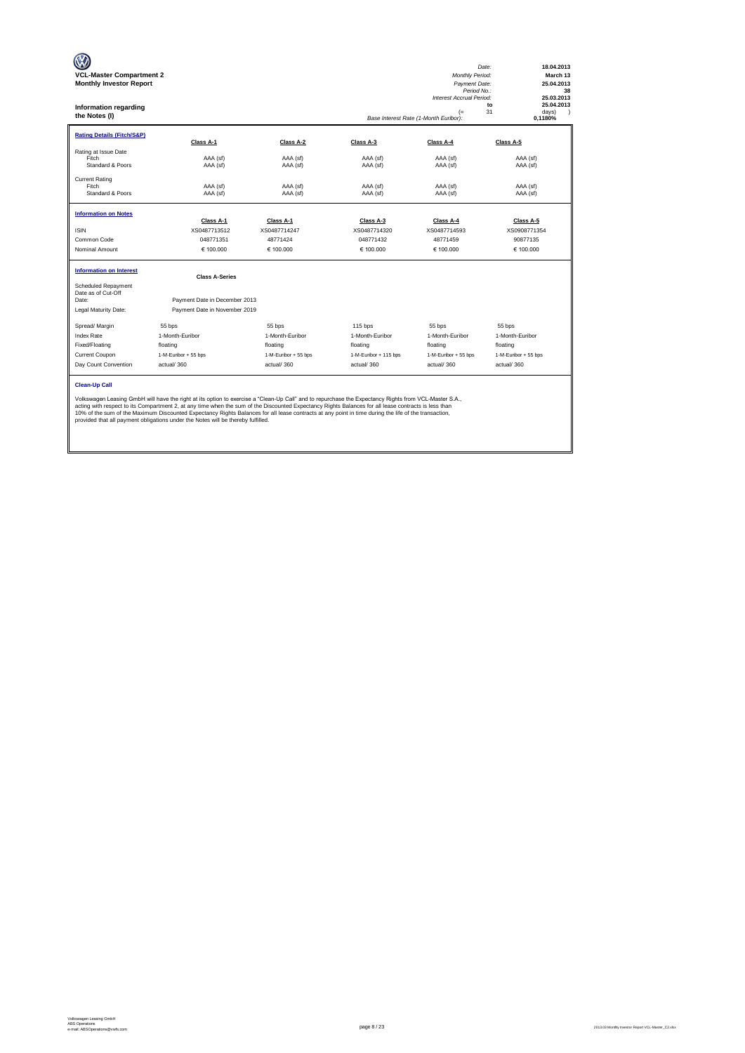| <b>VCL-Master Compartment 2</b><br><b>Monthly Investor Report</b><br><b>Information regarding</b><br>the Notes (I) |                                                                                                                                                                                                                                                                                                                                                                                                                                                                                                                                                           |                           |                           | <b>Monthly Period:</b><br>Payment Date:<br>Period No.:<br><b>Interest Accrual Period:</b><br>$(=$<br>Base Interest Rate (1-Month Euribor): | 18.04.2013<br>Date:<br>March 13<br>25.04.2013<br>38<br>25.03.2013<br>25.04.2013<br>to<br>31<br>davs)<br>$\lambda$<br>0.1180% |
|--------------------------------------------------------------------------------------------------------------------|-----------------------------------------------------------------------------------------------------------------------------------------------------------------------------------------------------------------------------------------------------------------------------------------------------------------------------------------------------------------------------------------------------------------------------------------------------------------------------------------------------------------------------------------------------------|---------------------------|---------------------------|--------------------------------------------------------------------------------------------------------------------------------------------|------------------------------------------------------------------------------------------------------------------------------|
| <b>Rating Details (Fitch/S&amp;P)</b>                                                                              | Class A-1                                                                                                                                                                                                                                                                                                                                                                                                                                                                                                                                                 | Class A-2                 | Class A-3                 | Class A-4                                                                                                                                  | Class A-5                                                                                                                    |
| Rating at Issue Date<br>Fitch<br>Standard & Poors                                                                  | AAA (sf)<br>AAA (sf)                                                                                                                                                                                                                                                                                                                                                                                                                                                                                                                                      | AAA (sf)<br>AAA (sf)      | AAA (sf)<br>AAA (sf)      | AAA (sf)<br>AAA (sf)                                                                                                                       | AAA (sf)<br>AAA (sf)                                                                                                         |
| <b>Current Rating</b><br>Fitch<br>Standard & Poors                                                                 | AAA (sf)<br>AAA (sf)                                                                                                                                                                                                                                                                                                                                                                                                                                                                                                                                      | AAA (sf)<br>AAA (sf)      | AAA (sf)<br>AAA (sf)      | AAA (sf)<br>AAA (sf)                                                                                                                       | AAA (sf)<br>AAA (sf)                                                                                                         |
| <b>Information on Notes</b>                                                                                        |                                                                                                                                                                                                                                                                                                                                                                                                                                                                                                                                                           |                           |                           |                                                                                                                                            |                                                                                                                              |
| <b>ISIN</b>                                                                                                        | Class A-1<br>XS0487713512                                                                                                                                                                                                                                                                                                                                                                                                                                                                                                                                 | Class A-1<br>XS0487714247 | Class A-3<br>XS0487714320 | Class A-4<br>XS0487714593                                                                                                                  | Class A-5<br>XS0908771354                                                                                                    |
| Common Code                                                                                                        | 048771351                                                                                                                                                                                                                                                                                                                                                                                                                                                                                                                                                 | 48771424                  | 048771432                 | 48771459                                                                                                                                   | 90877135                                                                                                                     |
| Nominal Amount                                                                                                     | € 100,000                                                                                                                                                                                                                                                                                                                                                                                                                                                                                                                                                 | € 100,000                 | € 100.000                 | € 100.000                                                                                                                                  | € 100.000                                                                                                                    |
| <b>Information on Interest</b>                                                                                     | <b>Class A-Series</b>                                                                                                                                                                                                                                                                                                                                                                                                                                                                                                                                     |                           |                           |                                                                                                                                            |                                                                                                                              |
| Scheduled Repayment<br>Date as of Cut-Off<br>Date:<br>Legal Maturity Date:                                         | Payment Date in December 2013<br>Payment Date in November 2019                                                                                                                                                                                                                                                                                                                                                                                                                                                                                            |                           |                           |                                                                                                                                            |                                                                                                                              |
| Spread/ Margin                                                                                                     | 55 bps                                                                                                                                                                                                                                                                                                                                                                                                                                                                                                                                                    | 55 bps                    | 115 bps                   | 55 bps                                                                                                                                     | 55 bps                                                                                                                       |
| <b>Index Rate</b>                                                                                                  | 1-Month-Euribor                                                                                                                                                                                                                                                                                                                                                                                                                                                                                                                                           | 1-Month-Euribor           | 1-Month-Euribor           | 1-Month-Euribor                                                                                                                            | 1-Month-Euribor                                                                                                              |
| Fixed/Floating                                                                                                     | floating                                                                                                                                                                                                                                                                                                                                                                                                                                                                                                                                                  | floating                  | floating                  | floating                                                                                                                                   | floating                                                                                                                     |
| Current Coupon                                                                                                     | 1-M-Euribor + 55 bps                                                                                                                                                                                                                                                                                                                                                                                                                                                                                                                                      | 1-M-Euribor + 55 bps      | 1-M-Euribor + 115 bps     | 1-M-Euribor + 55 bps                                                                                                                       | 1-M-Euribor + 55 bps                                                                                                         |
| Day Count Convention                                                                                               | actual/360                                                                                                                                                                                                                                                                                                                                                                                                                                                                                                                                                | actual/360                | actual/360                | actual/360                                                                                                                                 | actual/360                                                                                                                   |
| <b>Clean-Up Call</b>                                                                                               | Volkswagen Leasing GmbH will have the right at its option to exercise a "Clean-Up Call" and to repurchase the Expectancy Rights from VCL-Master S.A.,<br>acting with respect to its Compartment 2, at any time when the sum of the Discounted Expectancy Rights Balances for all lease contracts is less than<br>10% of the sum of the Maximum Discounted Expectancy Rights Balances for all lease contracts at any point in time during the life of the transaction,<br>provided that all payment obligations under the Notes will be thereby fulfilled. |                           |                           |                                                                                                                                            |                                                                                                                              |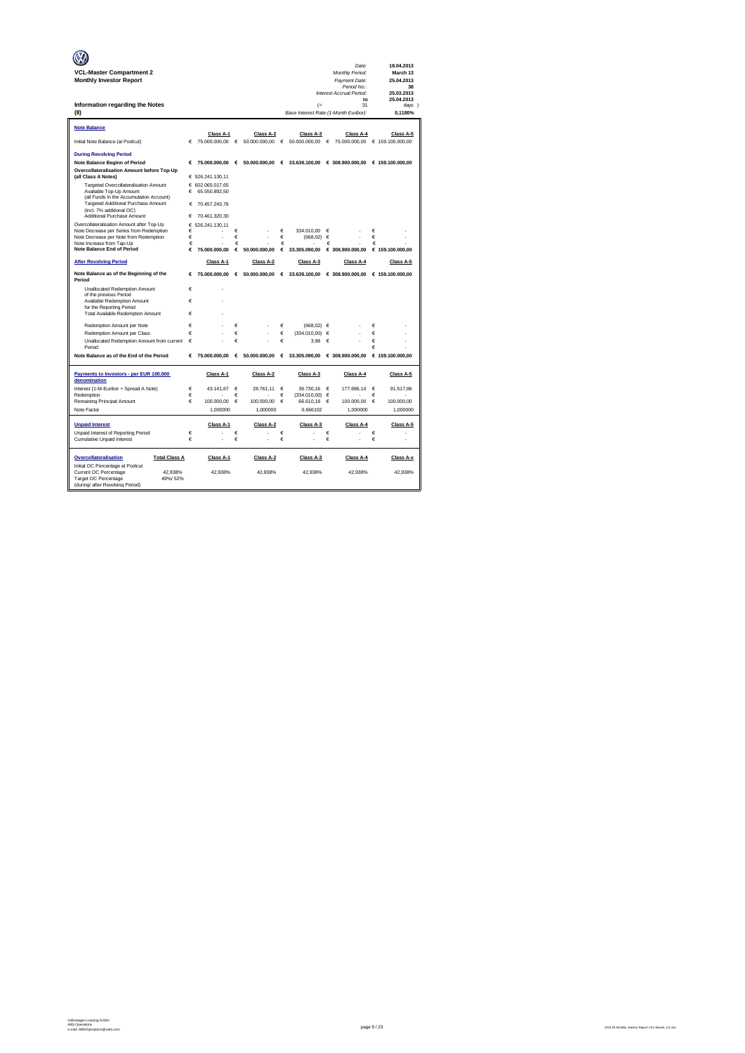|                                                                                       |        |                            |            |                            |            |                                            |        | Date:                                           |        | 18.04.2013                    |
|---------------------------------------------------------------------------------------|--------|----------------------------|------------|----------------------------|------------|--------------------------------------------|--------|-------------------------------------------------|--------|-------------------------------|
| <b>VCL-Master Compartment 2</b>                                                       |        |                            |            |                            |            |                                            |        | Monthly Period:                                 |        | March 13                      |
| <b>Monthly Investor Report</b>                                                        |        |                            |            |                            |            |                                            |        | Payment Date:<br>Period No.:                    |        | 25.04.2013<br>38              |
|                                                                                       |        |                            |            |                            |            |                                            |        | Interest Accrual Period:                        |        | 25.03.2013                    |
|                                                                                       |        |                            |            |                            |            |                                            |        | to<br>31                                        |        | 25.04.2013                    |
| Information regarding the Notes<br>(II)                                               |        |                            |            |                            |            | (<br>Base Interest Rate (1-Month Euribor): |        |                                                 |        | days )<br>0.1180%             |
|                                                                                       |        |                            |            |                            |            |                                            |        |                                                 |        |                               |
| <b>Note Balance</b>                                                                   |        |                            |            |                            |            |                                            |        |                                                 |        |                               |
| Initial Note Balance (at Poolcut)                                                     | €      | Class A-1<br>75.000.000,00 | $\epsilon$ | Class A-2<br>50.000.000,00 | $\epsilon$ | Class A-3<br>50.000.000,00                 | €      | Class A-4<br>75.000.000,00                      |        | Class A-5<br>€ 159.100.000,00 |
|                                                                                       |        |                            |            |                            |            |                                            |        |                                                 |        |                               |
| <b>During Revolving Period</b>                                                        |        |                            |            |                            |            |                                            |        |                                                 |        |                               |
| Note Balance Beginn of Period                                                         | €      | 75,000,000.00 €            |            | 50,000,000,00 €            |            |                                            |        | 33.639.100.00 € 308.900.000.00 € 159.100.000.00 |        |                               |
| Overcollateralisation Amount before Top-Up<br>(all Class A Notes)                     |        | € 526.241.130,11           |            |                            |            |                                            |        |                                                 |        |                               |
| Targeted Overcollateralisation Amount                                                 |        | € 602.065.017.65           |            |                            |            |                                            |        |                                                 |        |                               |
| Available Top-Up Amount<br>(all Funds in the Accumulation Account)                    | €      | 65.550.892,50              |            |                            |            |                                            |        |                                                 |        |                               |
| Targeted Additional Purchase Amount                                                   | €      | 70.457.243.76              |            |                            |            |                                            |        |                                                 |        |                               |
| (incl. 7% additional OC)                                                              |        |                            |            |                            |            |                                            |        |                                                 |        |                               |
| Additional Purchase Amount                                                            | €      | 70.461.320,30              |            |                            |            |                                            |        |                                                 |        |                               |
| Overcollateralisation Amount after Top-Up<br>Note Decrease per Series from Redemption | €<br>€ | 526.241.130.11             | €          |                            | $\epsilon$ | 334.010,00                                 | €      |                                                 | €      |                               |
| Note Decrease per Note from Redemption                                                | €      |                            | €          |                            | $\in$      | (668, 02)                                  | €      |                                                 | €      |                               |
| Note Increase from Tap-Up<br><b>Note Balance End of Period</b>                        | €<br>€ | 75.000.000.00              | €<br>€     | 50,000,000.00              | €<br>€     | 33,305,090.00                              | €      | € 308.900.000.00                                | €      | € 159,100,000,00              |
|                                                                                       |        |                            |            |                            |            |                                            |        |                                                 |        |                               |
| <b>After Revolving Period</b>                                                         |        | Class A-1                  |            | Class A-2                  |            | Class A-3                                  |        | Class A-4                                       |        | Class A-5                     |
| Note Balance as of the Beginning of the<br>Period                                     |        | 75.000.000.00<br>€         | €          | 50,000,000,00              |            | 6.33.639.100,00                            |        | € 308.900.000,00                                |        | € 159.100.000.00              |
| Unallocated Redemption Amount                                                         | €      | ×.                         |            |                            |            |                                            |        |                                                 |        |                               |
| of the previous Period<br>Available Redemption Amount                                 | €      |                            |            |                            |            |                                            |        |                                                 |        |                               |
| for the Reporting Period                                                              |        |                            |            |                            |            |                                            |        |                                                 |        |                               |
| Total Available Redemption Amount                                                     | €      |                            |            |                            |            |                                            |        |                                                 |        |                               |
| Redemption Amount per Note                                                            | €      |                            | €          |                            | €          | $(668.02) \in$                             |        |                                                 | €      |                               |
| Redemption Amount per Class                                                           | €      | í.                         | €          |                            | €          | (334.010,00)                               | €      |                                                 | €      |                               |
| Unallocated Redemption Amount from current                                            | €      |                            | €          |                            | €          | 3,98                                       | €      |                                                 | €      |                               |
| Period                                                                                |        |                            |            |                            |            |                                            |        |                                                 | €      |                               |
| Note Balance as of the End of the Period                                              | €      | 75,000,000,00              | $\epsilon$ | 50,000,000,00              | €          | 33,305,090.00                              |        | € 308,900,000,00                                |        | € 159,100,000,00              |
| Payments to Investors - per EUR 100.000<br>denomination                               |        | Class A-1                  |            | Class A-2                  |            | Class A-3                                  |        | Class A-4                                       |        | Class A-5                     |
| Interest (1-M-Euribor + Spread A Note)                                                | €      | 43.141,67                  | €          | 28,761.11                  | €          | 36,730.16                                  | €      | 177,686.14                                      | €      | 91.517,86                     |
| Redemption                                                                            | €      |                            | €          |                            | €          | $(334.010,00)$ $\in$                       |        |                                                 | €      |                               |
| Remaining Principal Amount                                                            | €      | 100.000,00                 | €          | 100.000,00                 | €          | 66.610,18                                  | €      | 100.000,00                                      | €      | 100.000,00                    |
| Note Factor                                                                           |        | 1,000000                   |            | 1,000000                   |            | 0,666102                                   |        | 1,000000                                        |        | 1,000000                      |
| <b>Unpaid Interest</b>                                                                |        | Class A-1                  |            | Class A-2                  |            | Class A-3                                  |        | Class A-4                                       |        | Class A-5                     |
| Unpaid Interest of Reporting Period                                                   | €<br>€ |                            | €<br>€     |                            | €<br>€     |                                            | €<br>€ |                                                 | €<br>€ |                               |
| Cumulative Unpaid Interest                                                            |        |                            |            |                            |            |                                            |        |                                                 |        |                               |
| Overcollateralisation<br><b>Total Class A</b>                                         |        | Class A-1                  |            | Class A-2                  |            | Class A-3                                  |        | Class A-4                                       |        | Class A-x                     |
| Initial OC Percentage at Poolcut                                                      |        |                            |            |                            |            |                                            |        |                                                 |        |                               |
| Current OC Percentage<br>42.938%<br>Target OC Percentage<br>49%/52%                   |        | 42,938%                    |            | 42,938%                    |            | 42,938%                                    |        | 42,938%                                         |        | 42,938%                       |
| (during/ after Revolving Period)                                                      |        |                            |            |                            |            |                                            |        |                                                 |        |                               |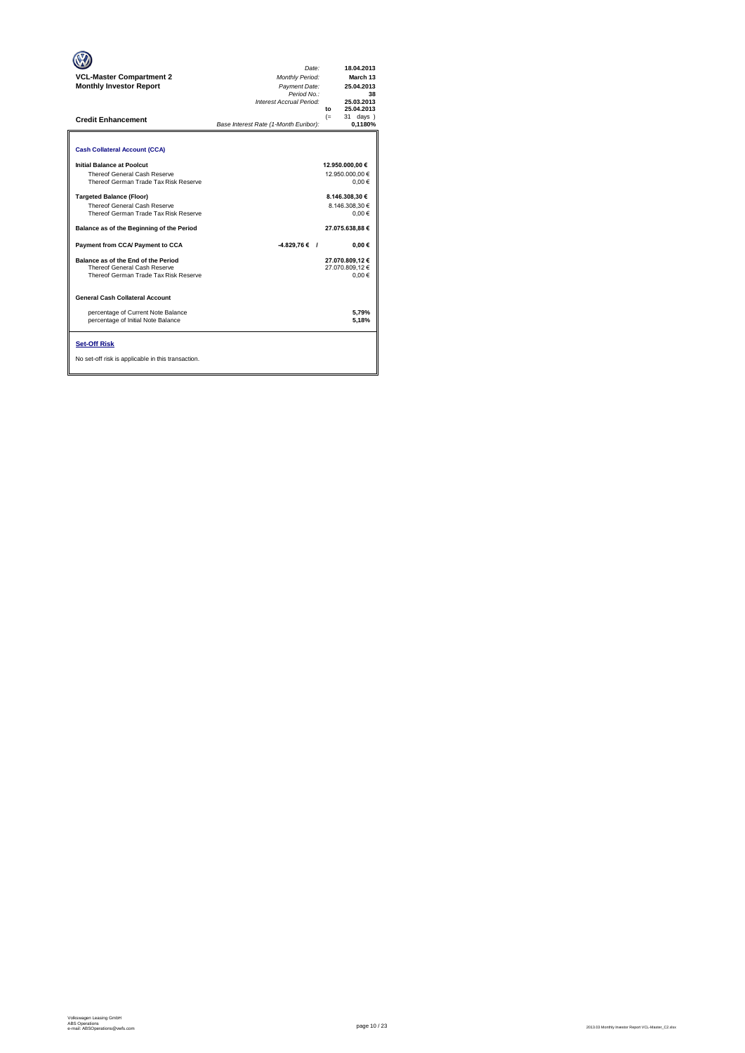| <b>VCL-Master Compartment 2</b><br><b>Monthly Investor Report</b><br><b>Credit Enhancement</b>                                                        | Date:<br><b>Monthly Period:</b><br>Payment Date:<br>Period No.:<br>Interest Accrual Period:<br>Base Interest Rate (1-Month Euribor): | 18.04.2013<br>March 13<br>25.04.2013<br>38<br>25.03.2013<br>25.04.2013<br>to<br>$(=$<br>31 days<br>0,1180% |
|-------------------------------------------------------------------------------------------------------------------------------------------------------|--------------------------------------------------------------------------------------------------------------------------------------|------------------------------------------------------------------------------------------------------------|
| <b>Cash Collateral Account (CCA)</b>                                                                                                                  |                                                                                                                                      |                                                                                                            |
| Initial Balance at Poolcut<br>Thereof General Cash Reserve<br>Thereof German Trade Tax Risk Reserve                                                   |                                                                                                                                      | 12.950.000,00 €<br>12.950.000.00 €<br>0.00€                                                                |
| <b>Targeted Balance (Floor)</b><br>Thereof General Cash Reserve<br>Thereof German Trade Tax Risk Reserve<br>Balance as of the Beginning of the Period |                                                                                                                                      | 8.146.308.30 €<br>8.146.308.30 €<br>$0,00 \in$<br>27.075.638.88 €                                          |
| Payment from CCA/ Payment to CCA                                                                                                                      | $-4.829,76€$ /                                                                                                                       | 0,00€                                                                                                      |
| Balance as of the End of the Period<br>Thereof General Cash Reserve<br>Thereof German Trade Tax Risk Reserve                                          |                                                                                                                                      | 27.070.809.12 €<br>27.070.809.12 €<br>0.00€                                                                |
| <b>General Cash Collateral Account</b>                                                                                                                |                                                                                                                                      |                                                                                                            |
| percentage of Current Note Balance<br>percentage of Initial Note Balance                                                                              |                                                                                                                                      | 5.79%<br>5,18%                                                                                             |
| <b>Set-Off Risk</b><br>No set-off risk is applicable in this transaction.                                                                             |                                                                                                                                      |                                                                                                            |

**. . . .** Trigger Level 1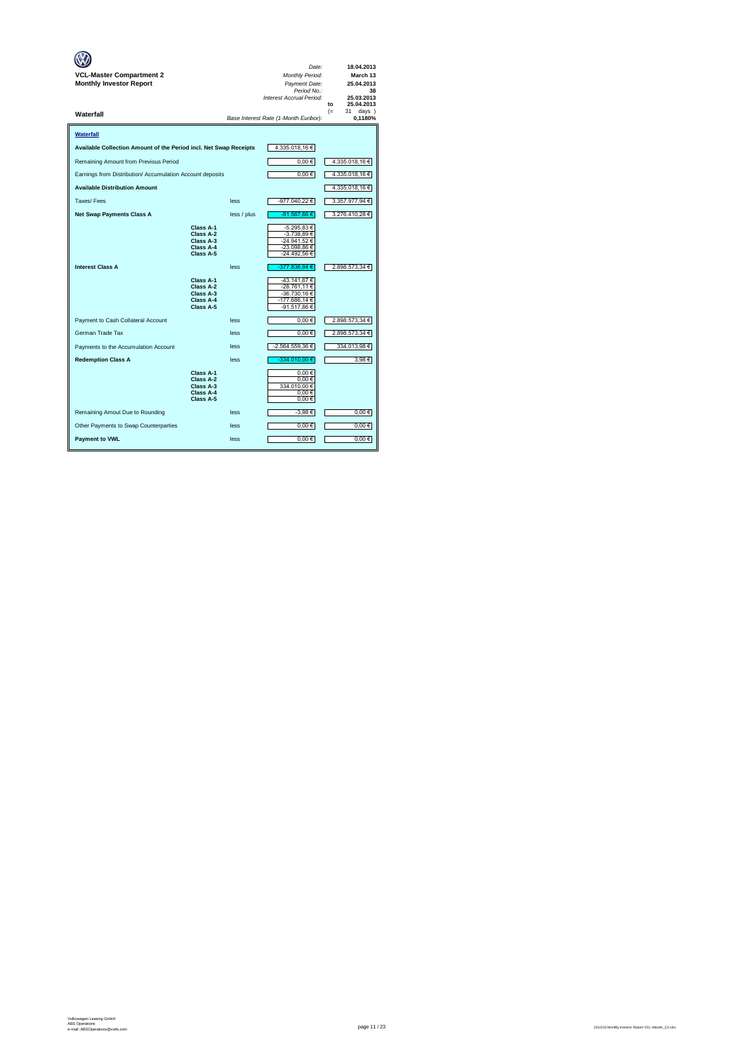| VCL-Master Compartment 2<br><b>Monthly Investor Report</b>        |                                                               |             | Date:<br>Monthly Period:<br>Payment Date:<br>Period No.:<br>Interest Accrual Period: | 18.04.2013<br>March 13<br>25.04.2013<br>38<br>25.03.2013<br>25.04.2013<br>to |
|-------------------------------------------------------------------|---------------------------------------------------------------|-------------|--------------------------------------------------------------------------------------|------------------------------------------------------------------------------|
| Waterfall                                                         |                                                               |             | Base Interest Rate (1-Month Euribor):                                                | $(=$<br>31<br>days )<br>0,1180%                                              |
| Waterfall                                                         |                                                               |             |                                                                                      |                                                                              |
| Available Collection Amount of the Period incl. Net Swap Receipts |                                                               |             | 4.335.018,16€                                                                        |                                                                              |
| Remaining Amount from Previous Period                             |                                                               |             | 0,00€                                                                                | 4.335.018,16 €                                                               |
| Earnings from Distribution/ Accumulation Account deposits         |                                                               |             | $0,00 \in$                                                                           | 4.335.018,16 €                                                               |
| <b>Available Distribution Amount</b>                              |                                                               |             |                                                                                      | 4.335.018,16 €                                                               |
| Taxes/Fees                                                        |                                                               | less        | -977.040,22€                                                                         | 3.357.977,94 €                                                               |
| <b>Net Swap Payments Class A</b>                                  |                                                               | less / plus | -81.567,66 €                                                                         | 3.276.410,28 €                                                               |
|                                                                   | Class A-1<br>Class A-2<br>Class A-3<br>Class A-4<br>Class A-5 |             | -5.295,83 €<br>-3.738,89 €<br>-24.941.52 €<br>-23.098,86 €<br>-24.492,56 €           |                                                                              |
| <b>Interest Class A</b>                                           |                                                               | less        | -377.836,94 €                                                                        | 2.898.573,34 €                                                               |
|                                                                   | Class A-1<br>Class A-2<br>Class A-3<br>Class A-4<br>Class A-5 |             | -43.141.67 €<br>-28.761,11 €<br>-36.730,16 €<br>-177.686,14 €<br>-91.517,86 €        |                                                                              |
| Payment to Cash Collateral Account                                |                                                               | less        | $0.00 \in$                                                                           | 2.898.573,34 €                                                               |
| German Trade Tax                                                  |                                                               | less        | $0,00 \in$                                                                           | 2.898.573,34 €                                                               |
| Payments to the Accumulation Account                              |                                                               | less        | -2.564.559,36 €                                                                      | 334.013,98 €                                                                 |
| <b>Redemption Class A</b>                                         |                                                               | less        | $-334.010,00 \in$                                                                    | 3.98€                                                                        |
|                                                                   | Class A-1<br>Class A-2<br>Class A-3<br>Class A-4<br>Class A-5 |             | 0.00€<br>0.00€<br>334.010,00 €<br>0,00€<br>$0,00 \in$                                |                                                                              |
| Remaining Amout Due to Rounding                                   |                                                               | less        | -3,98€                                                                               | $0,00 \in$                                                                   |
| Other Payments to Swap Counterparties                             |                                                               | less        | $0,00 \in$                                                                           | $0,00 \in$                                                                   |
| <b>Payment to VWL</b>                                             |                                                               | less        | 0,00€                                                                                | 0.00€                                                                        |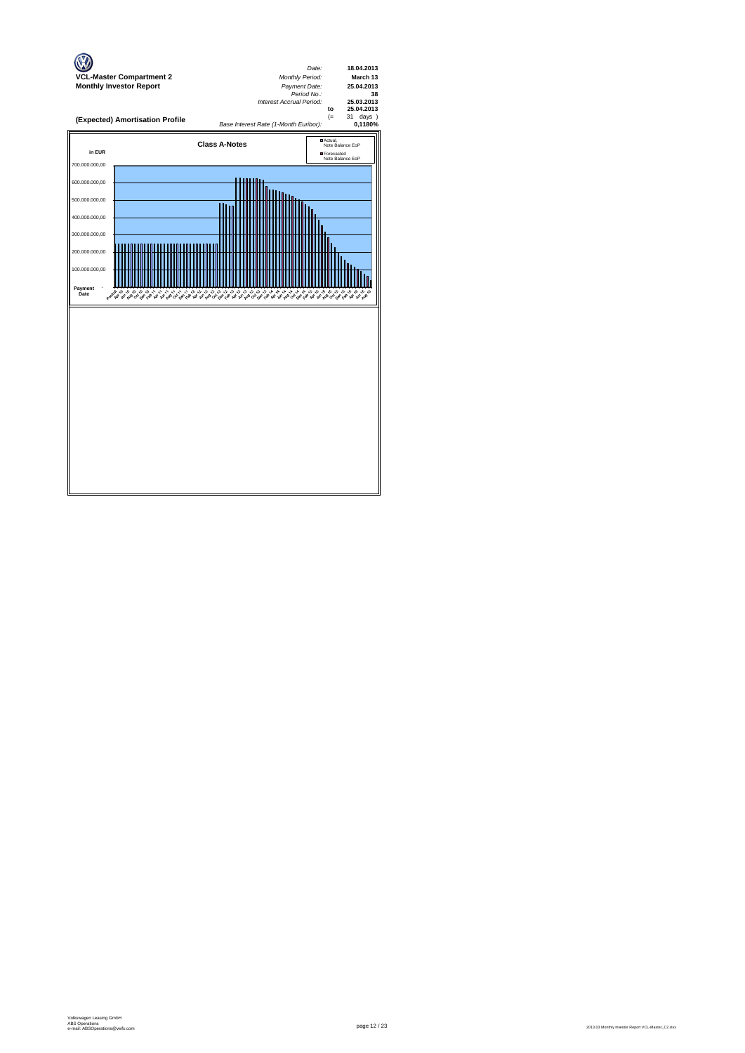

page 12 / 23 2013.03 Monthly Investor Report VCL-Master\_C2.xlsx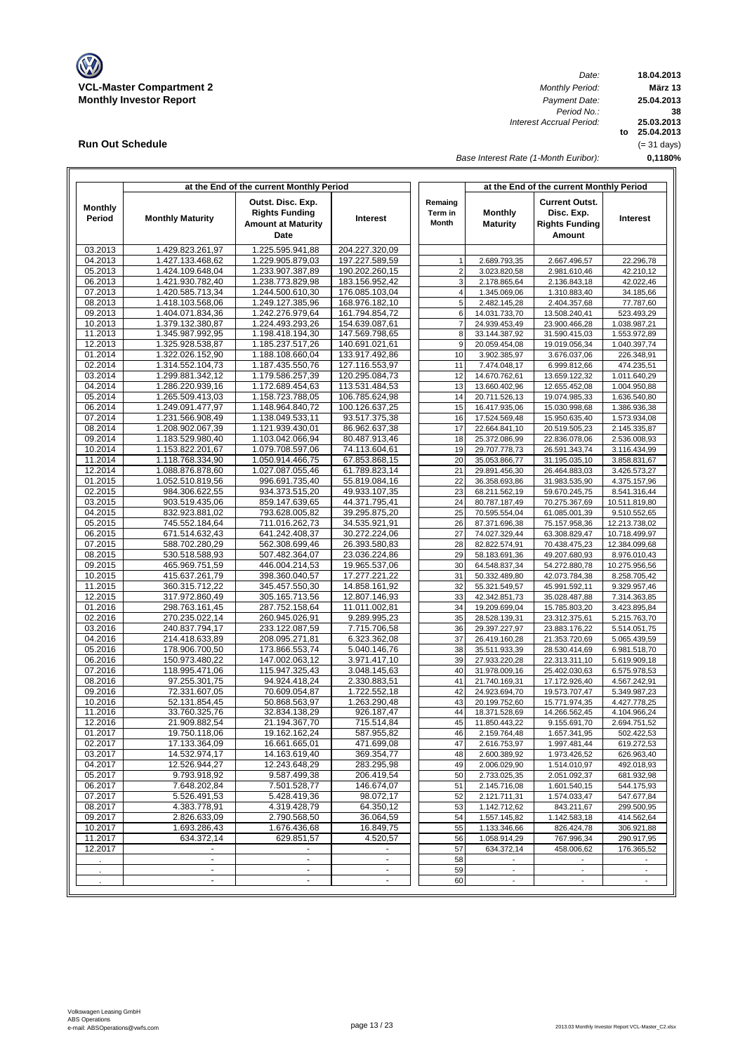

**Run Out Schedule**

*Date: Period No.: Interest Accrual Period:*

**18.04.2013 März 13 to 25.04.2013 25.03.2013 0,1180% 38 25.04.2013** (= 31 days)

*Base Interest Rate (1-Month Euribor):*

|                          |                                      | at the End of the current Monthly Period                                        |                                  |                             | at the End of the current Monthly Period |                                                                        |                               |  |  |  |  |
|--------------------------|--------------------------------------|---------------------------------------------------------------------------------|----------------------------------|-----------------------------|------------------------------------------|------------------------------------------------------------------------|-------------------------------|--|--|--|--|
| <b>Monthly</b><br>Period | <b>Monthly Maturity</b>              | Outst. Disc. Exp.<br><b>Rights Funding</b><br><b>Amount at Maturity</b><br>Date | Interest                         | Remaing<br>Term in<br>Month | Monthly<br><b>Maturity</b>               | <b>Current Outst.</b><br>Disc. Exp.<br><b>Rights Funding</b><br>Amount | Interest                      |  |  |  |  |
| 03.2013                  | 1.429.823.261,97                     | 1.225.595.941,88                                                                | 204.227.320,09                   |                             |                                          |                                                                        |                               |  |  |  |  |
| 04.2013                  | 1.427.133.468,62                     | 1.229.905.879,03                                                                | 197.227.589,59                   | 1                           | 2.689.793.35                             | 2.667.496,57                                                           | 22.296,78                     |  |  |  |  |
| 05.2013                  | 1.424.109.648,04                     | 1.233.907.387,89                                                                | 190.202.260,15                   | $\overline{\mathbf{c}}$     | 3.023.820,58                             | 2.981.610,46                                                           | 42.210,12                     |  |  |  |  |
| 06.2013                  | 1.421.930.782,40                     | 1.238.773.829,98                                                                | 183.156.952,42                   | 3                           | 2.178.865,64                             | 2.136.843,18                                                           | 42.022,46                     |  |  |  |  |
| 07.2013                  | 1.420.585.713,34                     | 1.244.500.610,30                                                                | 176.085.103,04                   | 4                           | 1.345.069,06                             | 1.310.883,40                                                           | 34.185,66                     |  |  |  |  |
| 08.2013                  | 1.418.103.568,06                     | 1.249.127.385,96                                                                | 168.976.182,10                   | 5                           | 2.482.145,28                             | 2.404.357,68                                                           | 77.787,60                     |  |  |  |  |
| 09.2013                  | 1.404.071.834,36                     | 1.242.276.979,64                                                                | 161.794.854,72<br>154.639.087,61 | 6<br>$\overline{7}$         | 14.031.733,70                            | 13.508.240,41                                                          | 523.493,29                    |  |  |  |  |
| 10.2013<br>11.2013       | 1.379.132.380,87<br>1.345.987.992,95 | 1.224.493.293,26<br>1.198.418.194,30                                            | 147.569.798,65                   | 8                           | 24.939.453,49<br>33.144.387,92           | 23.900.466,28<br>31.590.415,03                                         | 1.038.987,21<br>1.553.972,89  |  |  |  |  |
| 12.2013                  | 1.325.928.538,87                     | 1.185.237.517,26                                                                | 140.691.021,61                   | 9                           | 20.059.454,08                            | 19.019.056,34                                                          | 1.040.397,74                  |  |  |  |  |
| 01.2014                  | 1.322.026.152,90                     | 1.188.108.660,04                                                                | 133.917.492,86                   | 10                          | 3.902.385,97                             | 3.676.037,06                                                           | 226.348,91                    |  |  |  |  |
| 02.2014                  | 1.314.552.104,73                     | 1.187.435.550,76                                                                | 127.116.553,97                   | 11                          | 7.474.048,17                             | 6.999.812,66                                                           | 474.235,51                    |  |  |  |  |
| 03.2014                  | 1.299.881.342,12                     | 1.179.586.257,39                                                                | 120.295.084,73                   | 12                          | 14.670.762,61                            | 13.659.122,32                                                          | 1.011.640,29                  |  |  |  |  |
| 04.2014                  | 1.286.220.939,16                     | 1.172.689.454,63                                                                | 113.531.484,53                   | 13                          | 13.660.402,96                            | 12.655.452,08                                                          | 1.004.950,88                  |  |  |  |  |
| 05.2014                  | 1.265.509.413,03                     | 1.158.723.788,05                                                                | 106.785.624,98                   | 14                          | 20.711.526,13                            | 19.074.985,33                                                          | 1.636.540,80                  |  |  |  |  |
| 06.2014                  | 1.249.091.477,97                     | 1.148.964.840,72                                                                | 100.126.637,25                   | 15                          | 16.417.935,06                            | 15.030.998,68                                                          | 1.386.936,38                  |  |  |  |  |
| 07.2014                  | 1.231.566.908,49                     | 1.138.049.533,11                                                                | 93.517.375,38                    | 16                          | 17.524.569,48                            | 15.950.635,40                                                          | 1.573.934,08                  |  |  |  |  |
| 08.2014                  | 1.208.902.067,39                     | 1.121.939.430,01                                                                | 86.962.637,38                    | 17                          | 22.664.841,10                            | 20.519.505,23                                                          | 2.145.335,87                  |  |  |  |  |
| 09.2014                  | 1.183.529.980,40                     | 1.103.042.066,94                                                                | 80.487.913,46                    | 18                          | 25.372.086,99                            | 22.836.078,06                                                          | 2.536.008,93                  |  |  |  |  |
| 10.2014                  | 1.153.822.201,67                     | 1.079.708.597,06                                                                | 74.113.604,61                    | 19                          | 29.707.778,73                            | 26.591.343,74                                                          | 3.116.434,99                  |  |  |  |  |
| 11.2014                  | 1.118.768.334,90                     | 1.050.914.466,75                                                                | 67.853.868,15                    | 20                          | 35.053.866,77                            | 31.195.035,10                                                          | 3.858.831,67                  |  |  |  |  |
| 12.2014                  | 1.088.876.878,60                     | 1.027.087.055,46                                                                | 61.789.823,14                    | 21                          | 29.891.456,30                            | 26.464.883,03                                                          | 3.426.573,27                  |  |  |  |  |
| 01.2015<br>02.2015       | 1.052.510.819,56<br>984.306.622,55   | 996.691.735,40<br>934.373.515,20                                                | 55.819.084,16<br>49.933.107,35   | 22<br>23                    | 36.358.693,86                            | 31.983.535,90                                                          | 4.375.157,96                  |  |  |  |  |
| 03.2015                  | 903.519.435,06                       | 859.147.639,65                                                                  | 44.371.795,41                    | 24                          | 68.211.562,19<br>80.787.187,49           | 59.670.245,75<br>70.275.367,69                                         | 8.541.316,44<br>10.511.819,80 |  |  |  |  |
| 04.2015                  | 832.923.881.02                       | 793.628.005,82                                                                  | 39.295.875,20                    | 25                          | 70.595.554,04                            | 61.085.001,39                                                          | 9.510.552,65                  |  |  |  |  |
| 05.2015                  | 745.552.184,64                       | 711.016.262,73                                                                  | 34.535.921,91                    | 26                          | 87.371.696,38                            | 75.157.958,36                                                          | 12.213.738,02                 |  |  |  |  |
| 06.2015                  | 671.514.632,43                       | 641.242.408,37                                                                  | 30.272.224,06                    | 27                          | 74.027.329,44                            | 63.308.829,47                                                          | 10.718.499,97                 |  |  |  |  |
| 07.2015                  | 588.702.280,29                       | 562.308.699,46                                                                  | 26.393.580,83                    | 28                          | 82.822.574,91                            | 70.438.475,23                                                          | 12.384.099,68                 |  |  |  |  |
| 08.2015                  | 530.518.588,93                       | 507.482.364,07                                                                  | 23.036.224,86                    | 29                          | 58.183.691,36                            | 49.207.680,93                                                          | 8.976.010,43                  |  |  |  |  |
| 09.2015                  | 465.969.751,59                       | 446.004.214,53                                                                  | 19.965.537,06                    | 30                          | 64.548.837,34                            | 54.272.880,78                                                          | 10.275.956,56                 |  |  |  |  |
| 10.2015                  | 415.637.261,79                       | 398.360.040,57                                                                  | 17.277.221,22                    | 31                          | 50.332.489,80                            | 42.073.784,38                                                          | 8.258.705,42                  |  |  |  |  |
| 11.2015                  | 360.315.712,22                       | 345.457.550,30                                                                  | 14.858.161,92                    | 32                          | 55.321.549,57                            | 45.991.592,11                                                          | 9.329.957,46                  |  |  |  |  |
| 12.2015                  | 317.972.860,49                       | 305.165.713,56                                                                  | 12.807.146,93                    | 33                          | 42.342.851,73                            | 35.028.487,88                                                          | 7.314.363,85                  |  |  |  |  |
| 01.2016                  | 298.763.161,45                       | 287.752.158,64                                                                  | 11.011.002,81                    | 34                          | 19.209.699,04                            | 15.785.803,20                                                          | 3.423.895,84                  |  |  |  |  |
| 02.2016<br>03.2016       | 270.235.022,14                       | 260.945.026,91                                                                  | 9.289.995,23                     | 35                          | 28.528.139,31                            | 23.312.375,61                                                          | 5.215.763,70                  |  |  |  |  |
| 04.2016                  | 240.837.794,17<br>214.418.633,89     | 233.122.087,59<br>208.095.271,81                                                | 7.715.706,58<br>6.323.362,08     | 36<br>37                    | 29.397.227,97<br>26.419.160,28           | 23.883.176,22<br>21.353.720,69                                         | 5.514.051,75<br>5.065.439,59  |  |  |  |  |
| 05.2016                  | 178.906.700,50                       | 173.866.553,74                                                                  | 5.040.146,76                     | 38                          | 35.511.933,39                            | 28.530.414,69                                                          | 6.981.518,70                  |  |  |  |  |
| 06.2016                  | 150.973.480,22                       | 147.002.063,12                                                                  | 3.971.417,10                     | 39                          | 27.933.220,28                            | 22.313.311,10                                                          | 5.619.909,18                  |  |  |  |  |
| 07.2016                  | 118.995.471,06                       | 115.947.325,43                                                                  | 3.048.145,63                     | 40                          | 31.978.009,16                            | 25.402.030,63                                                          | 6.575.978,53                  |  |  |  |  |
| 08.2016                  | 97.255.301,75                        | 94.924.418,24                                                                   | 2.330.883,51                     | 41                          | 21.740.169,31                            | 17.172.926,40                                                          | 4.567.242,91                  |  |  |  |  |
| 09.2016                  | 72.331.607,05                        | 70.609.054,87                                                                   | 1.722.552,18                     | 42                          | 24.923.694,70                            | 19.573.707,47                                                          | 5.349.987,23                  |  |  |  |  |
| 10.2016                  | 52.131.854,45                        | 50.868.563,97                                                                   | 1.263.290,48                     | 43                          | 20.199.752,60                            | 15.771.974,35                                                          | 4.427.778,25                  |  |  |  |  |
| 11.2016                  | 33.760.325,76                        | 32.834.138,29                                                                   | 926.187,47                       | 44                          | 18.371.528,69                            | 14.266.562,45                                                          | 4.104.966,24                  |  |  |  |  |
| 12.2016                  | 21.909.882,54                        | 21.194.367,70                                                                   | 715.514,84                       | 45                          | 11.850.443,22                            | 9.155.691,70                                                           | 2.694.751,52                  |  |  |  |  |
| 01.2017                  | 19.750.118,06                        | 19.162.162,24                                                                   | 587.955,82                       | 46                          | 2.159.764,48                             | 1.657.341,95                                                           | 502.422,53                    |  |  |  |  |
| 02.2017                  | 17.133.364,09                        | 16.661.665,01                                                                   | 471.699,08                       | 47                          | 2.616.753,97                             | 1.997.481,44                                                           | 619.272,53                    |  |  |  |  |
| 03.2017                  | 14.532.974,17<br>12.526.944,27       | 14.163.619,40                                                                   | 369.354,77                       | 48                          | 2.600.389,92                             | 1.973.426,52                                                           | 626.963.40                    |  |  |  |  |
| 04.2017<br>05.2017       | 9.793.918,92                         | 12.243.648,29<br>9.587.499,38                                                   | 283.295,98<br>206.419,54         | 49<br>50                    | 2.006.029,90<br>2.733.025,35             | 1.514.010,97<br>2.051.092,37                                           | 492.018,93                    |  |  |  |  |
| 06.2017                  | 7.648.202,84                         | 7.501.528,77                                                                    | 146.674,07                       | 51                          | 2.145.716,08                             | 1.601.540,15                                                           | 681.932,98<br>544.175,93      |  |  |  |  |
| 07.2017                  | 5.526.491,53                         | 5.428.419,36                                                                    | 98.072,17                        | 52                          | 2.121.711,31                             | 1.574.033,47                                                           | 547.677,84                    |  |  |  |  |
| 08.2017                  | 4.383.778,91                         | 4.319.428,79                                                                    | 64.350.12                        | 53                          | 1.142.712,62                             | 843.211,67                                                             | 299.500,95                    |  |  |  |  |
| 09.2017                  | 2.826.633,09                         | 2.790.568,50                                                                    | 36.064,59                        | 54                          | 1.557.145,82                             | 1.142.583,18                                                           | 414.562,64                    |  |  |  |  |
| 10.2017                  | 1.693.286,43                         | 1.676.436,68                                                                    | 16.849,75                        | 55                          | 1.133.346,66                             | 826.424,78                                                             | 306.921,88                    |  |  |  |  |
| 11.2017                  | 634.372,14                           | 629.851,57                                                                      | 4.520,57                         | 56                          | 1.058.914,29                             | 767.996,34                                                             | 290.917,95                    |  |  |  |  |
| 12.2017                  | $\sim$                               | $\sim$                                                                          | $\blacksquare$                   | 57                          | 634.372,14                               | 458.006,62                                                             | 176.365,52                    |  |  |  |  |
|                          |                                      |                                                                                 |                                  | 58                          |                                          |                                                                        |                               |  |  |  |  |
|                          | $\blacksquare$                       | $\blacksquare$                                                                  | $\overline{\phantom{a}}$         | 59                          | $\blacksquare$                           | $\blacksquare$                                                         | $\overline{\phantom{a}}$      |  |  |  |  |
|                          | $\omega$                             | $\mathcal{L}_{\mathcal{A}}$                                                     | $\mathbf{r}$                     | 60                          | $\blacksquare$                           |                                                                        |                               |  |  |  |  |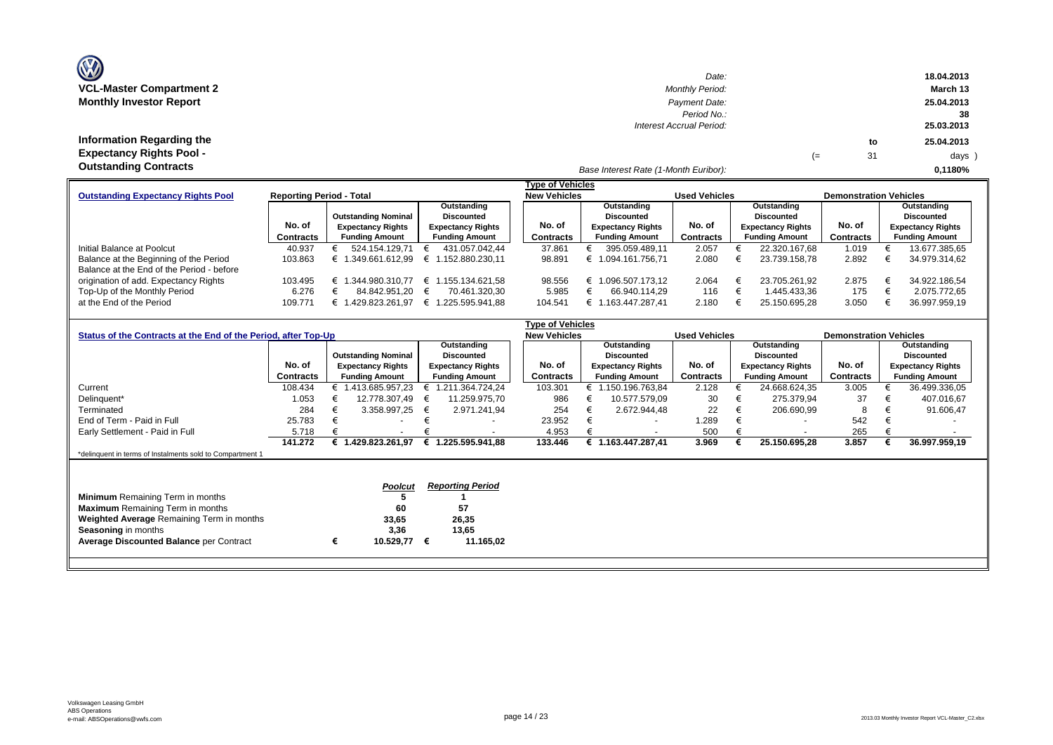| <b>VCL-Master Compartment 2</b> |  |  |
|---------------------------------|--|--|
| <b>Monthly Investor Report</b>  |  |  |

**Information Regarding the Expectancy Rights Pool -** 

| $\mathbf{w}$                    | Date:                    |    |    | 18.04.2013 |
|---------------------------------|--------------------------|----|----|------------|
| <b>VCL-Master Compartment 2</b> | <b>Monthly Period:</b>   |    |    | March 13   |
| <b>Monthly Investor Report</b>  | Payment Date:            |    |    | 25.04.2013 |
|                                 | Period No.:              |    |    | 38         |
|                                 | Interest Accrual Period: |    |    | 25.03.2013 |
| Information Regarding the       |                          |    | to | 25.04.2013 |
| <b>Expectancy Rights Pool -</b> |                          | (≔ | 31 | days )     |
| Outotonding Contracto           |                          |    |    |            |

*Base Interest Rate (1-Month Euribor):* **Outstanding Contracts 0,1180%**

|                                           |                                 |                            |                          | <b>Type of Vehicles</b> |                          |                      |                          |                               |                          |
|-------------------------------------------|---------------------------------|----------------------------|--------------------------|-------------------------|--------------------------|----------------------|--------------------------|-------------------------------|--------------------------|
| <b>Outstanding Expectancy Rights Pool</b> | <b>Reporting Period - Total</b> |                            |                          | <b>New Vehicles</b>     |                          | <b>Used Vehicles</b> |                          | <b>Demonstration Vehicles</b> |                          |
|                                           |                                 |                            | Outstanding              |                         | Outstanding              |                      | Outstanding              |                               | Outstanding              |
|                                           |                                 | <b>Outstanding Nominal</b> | <b>Discounted</b>        |                         | Discounted               |                      | <b>Discounted</b>        |                               | <b>Discounted</b>        |
|                                           | No. of                          | <b>Expectancy Rights</b>   | <b>Expectancy Rights</b> | No. of                  | <b>Expectancy Rights</b> | No. of               | <b>Expectancy Rights</b> | No. of                        | <b>Expectancy Rights</b> |
|                                           | <b>Contracts</b>                | <b>Funding Amount</b>      | <b>Funding Amount</b>    | Contracts               | <b>Funding Amount</b>    | <b>Contracts</b>     | <b>Funding Amount</b>    | Contracts                     | <b>Funding Amount</b>    |
| Initial Balance at Poolcut                | 40.937                          | 524.154.129.71             | 431.057.042.44<br>€      | 37.861                  | 395.059.489.11           | 2.057                | 22.320.167.68            | 1.019                         | 13.677.385,65            |
| Balance at the Beginning of the Period    | 103.863                         | .349.661.612.99            | .152.880.230.11<br>€     | 98.891                  | € 1.094.161.756.71       | 2.080                | 23.739.158.78            | 2.892                         | 34.979.314.62            |
| Balance at the End of the Period - before |                                 |                            |                          |                         |                          |                      |                          |                               |                          |
| origination of add. Expectancy Rights     | 103.495                         | .344.980.310.77            | .155.134.621.58<br>€     | 98.556                  | .096.507.173.12          | 2.064                | 23.705.261.92            | 2.875                         | 34.922.186,54            |
| Top-Up of the Monthly Period              | 6.276                           | 84.842.951.20              | 70.461.320.30<br>€       | 5.985                   | 66.940.114.29            | 116                  | 1.445.433.36             | 175                           | 2.075.772.65             |
| at the End of the Period                  | 109.771                         | .429.823.261.97            | .225.595.941.88          | 104.541                 | 163.447.287.41           | 2.180                | 25.150.695.28            | 3.050                         | 36.997.959.19            |

|                                                                |           |                            |                          |   |                          |  | Type of Vehicles    |                   |                          |                      |                   |                          |                               |                   |                          |  |
|----------------------------------------------------------------|-----------|----------------------------|--------------------------|---|--------------------------|--|---------------------|-------------------|--------------------------|----------------------|-------------------|--------------------------|-------------------------------|-------------------|--------------------------|--|
| Status of the Contracts at the End of the Period, after Top-Up |           |                            |                          |   |                          |  | <b>New Vehicles</b> |                   |                          | <b>Used Vehicles</b> |                   |                          | <b>Demonstration Vehicles</b> |                   |                          |  |
|                                                                |           |                            |                          |   | Outstanding              |  | Outstanding         |                   |                          |                      | Outstanding       |                          |                               |                   | Outstanding              |  |
|                                                                |           | <b>Outstanding Nominal</b> |                          |   | <b>Discounted</b>        |  |                     | <b>Discounted</b> |                          |                      | <b>Discounted</b> |                          |                               | <b>Discounted</b> |                          |  |
|                                                                | No. of    |                            | <b>Expectancy Rights</b> |   | <b>Expectancy Rights</b> |  | No. of              |                   | <b>Expectancy Rights</b> | No. of               |                   | <b>Expectancy Rights</b> | No. of                        |                   | <b>Expectancy Rights</b> |  |
|                                                                | Contracts |                            | <b>Funding Amount</b>    |   | <b>Funding Amount</b>    |  | Contracts           |                   | <b>Funding Amount</b>    | <b>Contracts</b>     |                   | <b>Funding Amount</b>    | <b>Contracts</b>              |                   | <b>Funding Amount</b>    |  |
| Current                                                        | 108.434   |                            | € 1.413.685.957,23       | € | 1.211.364.724,24         |  | 103.301             |                   | € 1.150.196.763,84       | 2.128                |                   | 24.668.624,35            | 3.005                         |                   | 36.499.336,05            |  |
| Delinquent*                                                    | 1.053     |                            | 12.778.307,49            | € | 11.259.975,70            |  | 986                 |                   | 10.577.579.09            | 30                   |                   | 275.379,94               | 37                            |                   | 407.016,67               |  |
| Terminated                                                     | 284       |                            | 3.358.997,25             | € | 2.971.241.94             |  | 254                 |                   | 2.672.944.48             | 22                   |                   | 206.690,99               | 8                             |                   | 91.606,47                |  |
| End of Term - Paid in Full                                     | 25.783    | €                          |                          |   |                          |  | 23.952              |                   | $\overline{\phantom{0}}$ | .289                 |                   | $\overline{\phantom{a}}$ | 542                           |                   |                          |  |
| Early Settlement - Paid in Full                                | 5.718     |                            | $\overline{\phantom{a}}$ |   |                          |  | 4.953               |                   | $\overline{\phantom{a}}$ | 500                  |                   | $\overline{\phantom{a}}$ | 265                           |                   |                          |  |
|                                                                | 141.272   |                            | 1.429.823.261.97         | € | 1.225.595.941.88         |  | 133.446             |                   | € 1.163.447.287.41       | 3.969                |                   | 25.150.695,28            | 3.857                         |                   | 36.997.959,19            |  |
| *delinquent in terms of Instalments sold to Compartment 1      |           |                            |                          |   |                          |  |                     |                   |                          |                      |                   |                          |                               |                   |                          |  |
|                                                                |           |                            |                          |   |                          |  |                     |                   |                          |                      |                   |                          |                               |                   |                          |  |
|                                                                |           |                            |                          |   |                          |  |                     |                   |                          |                      |                   |                          |                               |                   |                          |  |
|                                                                |           |                            | <b>Poolcut</b>           |   | <b>Reporting Period</b>  |  |                     |                   |                          |                      |                   |                          |                               |                   |                          |  |
| <b>Minimum</b> Remaining Term in months                        |           |                            |                          |   |                          |  |                     |                   |                          |                      |                   |                          |                               |                   |                          |  |
| <b>Maximum</b> Remaining Term in months                        |           |                            | 60                       |   | 57                       |  |                     |                   |                          |                      |                   |                          |                               |                   |                          |  |
| Weighted Average Remaining Term in months                      |           |                            | 33,65                    |   | 26,35                    |  |                     |                   |                          |                      |                   |                          |                               |                   |                          |  |
| <b>Seasoning in months</b>                                     |           |                            | 3,36                     |   | 13,65                    |  |                     |                   |                          |                      |                   |                          |                               |                   |                          |  |
| <b>Average Discounted Balance per Contract</b>                 |           |                            | 10.529,77                | € | 11.165,02                |  |                     |                   |                          |                      |                   |                          |                               |                   |                          |  |
|                                                                |           |                            |                          |   |                          |  |                     |                   |                          |                      |                   |                          |                               |                   |                          |  |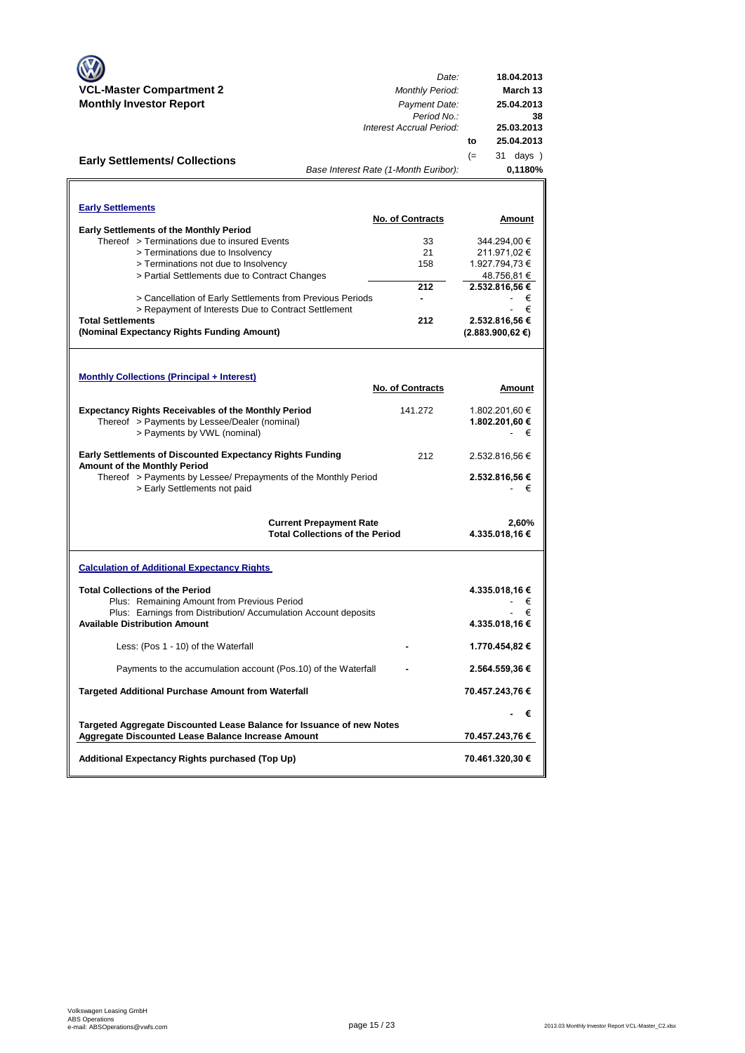|                                                                                                  | Date:                                   | 18.04.2013                 |
|--------------------------------------------------------------------------------------------------|-----------------------------------------|----------------------------|
| <b>VCL-Master Compartment 2</b><br><b>Monthly Investor Report</b>                                | <b>Monthly Period:</b><br>Payment Date: | March 13<br>25.04.2013     |
|                                                                                                  | Period No.:                             | 38                         |
|                                                                                                  | Interest Accrual Period:                | 25.03.2013                 |
|                                                                                                  |                                         | 25.04.2013<br>to           |
| <b>Early Settlements/ Collections</b>                                                            |                                         | $(=$<br>31 days )          |
|                                                                                                  | Base Interest Rate (1-Month Euribor):   | 0,1180%                    |
|                                                                                                  |                                         |                            |
| <b>Early Settlements</b>                                                                         |                                         |                            |
|                                                                                                  | <b>No. of Contracts</b>                 | Amount                     |
| <b>Early Settlements of the Monthly Period</b><br>Thereof > Terminations due to insured Events   | 33                                      | 344.294,00 €               |
| > Terminations due to Insolvency                                                                 | 21                                      | 211.971,02€                |
| > Terminations not due to Insolvency                                                             | 158                                     | 1.927.794,73 €             |
| > Partial Settlements due to Contract Changes                                                    |                                         | 48.756,81 €                |
|                                                                                                  | 212                                     | 2.532.816,56 €             |
| > Cancellation of Early Settlements from Previous Periods                                        |                                         | €                          |
| > Repayment of Interests Due to Contract Settlement                                              |                                         | €                          |
| <b>Total Settlements</b>                                                                         | 212                                     | 2.532.816,56 €             |
| (Nominal Expectancy Rights Funding Amount)                                                       |                                         | $(2.883.900, 62 \epsilon)$ |
|                                                                                                  |                                         |                            |
|                                                                                                  |                                         |                            |
| <b>Monthly Collections (Principal + Interest)</b>                                                |                                         |                            |
|                                                                                                  | <b>No. of Contracts</b>                 | Amount                     |
| <b>Expectancy Rights Receivables of the Monthly Period</b>                                       | 141.272                                 | 1.802.201,60 €             |
| Thereof > Payments by Lessee/Dealer (nominal)                                                    |                                         | 1.802.201,60 €             |
| > Payments by VWL (nominal)                                                                      |                                         | €                          |
|                                                                                                  |                                         |                            |
| <b>Early Settlements of Discounted Expectancy Rights Funding</b><br>Amount of the Monthly Period | 212                                     | 2.532.816,56 €             |
| Thereof > Payments by Lessee/ Prepayments of the Monthly Period                                  |                                         | 2.532.816,56 €             |
| > Early Settlements not paid                                                                     |                                         | €                          |
|                                                                                                  |                                         |                            |
|                                                                                                  | <b>Current Prepayment Rate</b>          | 2,60%                      |
|                                                                                                  | <b>Total Collections of the Period</b>  | 4.335.018,16 €             |
|                                                                                                  |                                         |                            |
| <b>Calculation of Additional Expectancy Rights</b>                                               |                                         |                            |
| <b>Total Collections of the Period</b>                                                           |                                         | 4.335.018,16 €             |
| Plus: Remaining Amount from Previous Period                                                      |                                         | €                          |
| Plus: Earnings from Distribution/Accumulation Account deposits                                   |                                         | €                          |
| <b>Available Distribution Amount</b>                                                             |                                         | 4.335.018,16 €             |
|                                                                                                  |                                         |                            |
| Less: (Pos 1 - 10) of the Waterfall                                                              |                                         | 1.770.454,82 €             |
| Payments to the accumulation account (Pos.10) of the Waterfall                                   |                                         | 2.564.559,36 €             |
|                                                                                                  |                                         |                            |
| <b>Targeted Additional Purchase Amount from Waterfall</b>                                        |                                         | 70.457.243,76 €            |
|                                                                                                  |                                         | - €                        |
| Targeted Aggregate Discounted Lease Balance for Issuance of new Notes                            |                                         |                            |
| Aggregate Discounted Lease Balance Increase Amount                                               |                                         | 70.457.243,76 €            |
| Additional Expectancy Rights purchased (Top Up)                                                  |                                         | 70.461.320,30 €            |
|                                                                                                  |                                         |                            |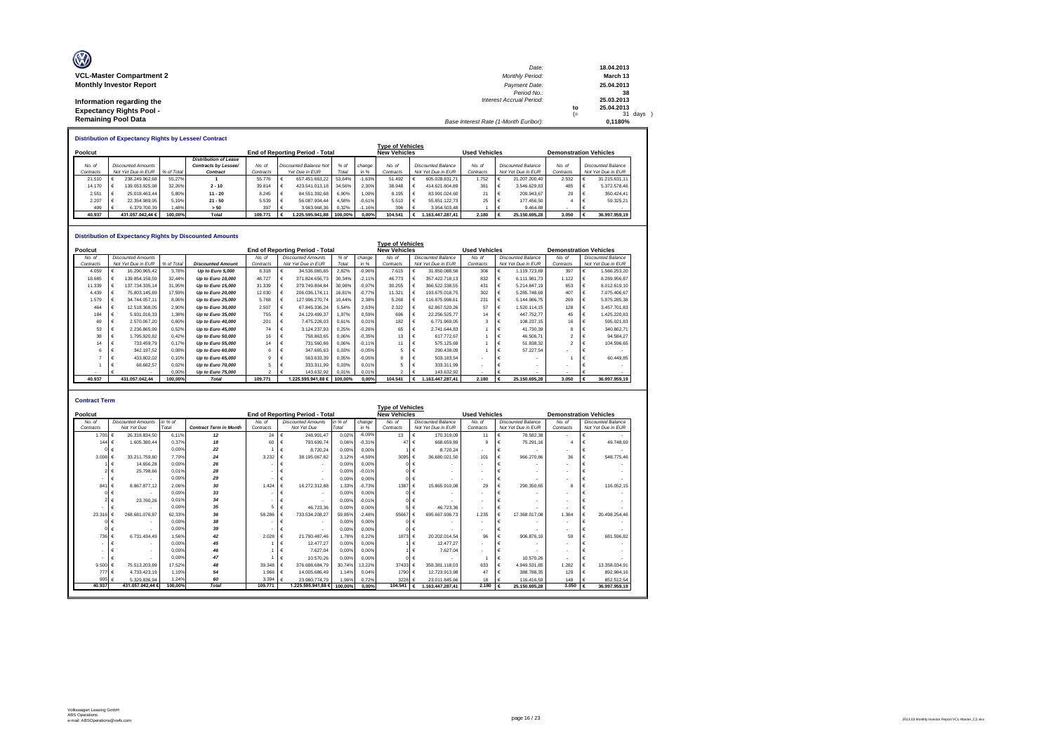| O                               | Date:                                 |      | 18.04.2013 |
|---------------------------------|---------------------------------------|------|------------|
| <b>VCL-Master Compartment 2</b> | <b>Monthly Period:</b>                |      | March 13   |
| <b>Monthly Investor Report</b>  | Payment Date:                         |      | 25.04.2013 |
|                                 | Period No.:                           |      | 38         |
| Information regarding the       | <b>Interest Accrual Period:</b>       |      | 25.03.2013 |
| <b>Expectancy Rights Pool -</b> |                                       | to   | 25.04.2013 |
|                                 |                                       | $(=$ | 31 days )  |
| <b>Remaining Pool Data</b>      | Base Interest Rate (1-Month Euribor): |      | 0.1180%    |

|           | <b>Distribution of Expectancy Rights by Lessee/ Contract</b> |                           |            |                              |           |  |                                        |        |          |                         |  |                    |           |                               |                    |           |  |                    |
|-----------|--------------------------------------------------------------|---------------------------|------------|------------------------------|-----------|--|----------------------------------------|--------|----------|-------------------------|--|--------------------|-----------|-------------------------------|--------------------|-----------|--|--------------------|
|           |                                                              |                           |            |                              |           |  |                                        |        |          | <b>Type of Vehicles</b> |  |                    |           |                               |                    |           |  |                    |
| Poolcut   |                                                              |                           |            |                              |           |  | <b>End of Reporting Period - Total</b> |        |          | <b>New Vehicles</b>     |  |                    |           | <b>Demonstration Vehicles</b> |                    |           |  |                    |
|           |                                                              |                           |            | <b>Distribution of Lease</b> |           |  |                                        |        |          |                         |  |                    |           |                               |                    |           |  |                    |
| No. of    |                                                              | <b>Discounted Amounts</b> |            | Contracts by Lessee/         | No at     |  | Discounted Balance Not                 | % of   | change   | No. of                  |  | Discounted Balance | No. of    |                               | Discounted Balance | No. of    |  | Discounted Balance |
| Contracts |                                                              | Not Yet Due in EUR        | % of Total | Contract                     | Contracts |  | Yet Due in EUR                         | Total  | in %     | Contracts               |  | Not Yet Due in EUR | Contracts |                               | Not Yet Due in EUR | Contracts |  | Not Yet Due in EUR |
| 21.510    |                                                              | 238.249.962.68            | 55.27%     |                              | 55.776    |  | 657.451.663.22                         | 53.64% | $-1.63%$ | 51.492                  |  | 605.028.831.71     | 1.752     |                               | 21.207.200.40      | 2.532     |  | 31.215.631.11      |
| 14.170    |                                                              | 139.053.925.98            | 32.26%     | $2 - 10$                     | 39.814    |  | 423.541.013.18                         | 34.56% | 2.30%    | 38.948                  |  | 414.621.804.89     | 381       |                               | 3.546.629.83       | 485       |  | 5.372.578.46       |
| 2.551     |                                                              | 25.018.463.44             | 5.80%      | $11 - 20$                    | 8.245     |  | 84.551.392.68                          | 6.90%  | 1.09%    | 8.195                   |  | 83.991.024.60      | 21        |                               | 209.943.67         | 29        |  | 350.424.41         |
| 2.207     |                                                              | 22.354.989.95             | 5.19%      | $21 - 50$                    | 5.539     |  | 56.087.904.44                          | 4.58%  | $-0.61%$ | 5.510                   |  | 55.851.122.73      | 25        |                               | 177,456.50         |           |  | 59,325.21          |
| 499       |                                                              | 6.379.700.39              | 1.48%      | > 50                         | 397       |  | 3.963.968.36                           | 0.32%  | $-1.16%$ | 396                     |  | 3.954.503.48       |           |                               | 9.464.88           |           |  |                    |
| 40.937    |                                                              | 431.057.042.44 €          | 100.00%    | Total                        | 109,771   |  | 100.00% 1225.595.941.88                |        | 0.00%    | 104.541                 |  | 1.163.447.287.41   | 2.180     |                               | 25.150.695.28      | 3.050     |  | 36.997.959.19      |

#### **Distribution of Expectancy Rights by Discounted Amounts**

|           |                           |            | שווואטוווא שטווויד שטווואט זע נושווייז זערווויגע ווען וועווויגע שטווויג |           |                                 |         |          |                                                |   |                           |                      |                           |                               |                           |
|-----------|---------------------------|------------|-------------------------------------------------------------------------|-----------|---------------------------------|---------|----------|------------------------------------------------|---|---------------------------|----------------------|---------------------------|-------------------------------|---------------------------|
| Poolcut   |                           |            |                                                                         |           | End of Reporting Period - Total |         |          | <b>Type of Vehicles</b><br><b>New Vehicles</b> |   |                           | <b>Used Vehicles</b> |                           | <b>Demonstration Vehicles</b> |                           |
| No. of    | <b>Discounted Amounts</b> |            |                                                                         | No. of    | <b>Discounted Amounts</b>       | % of    | change   | No. of                                         |   | <b>Discounted Balance</b> | No. of               | <b>Discounted Balance</b> | No. of                        | <b>Discounted Balance</b> |
| Contracts | Not Yet Due in EUR        | % of Total | <b>Discounted Amount</b>                                                | Contracts | Not Yet Due in EUR              | Total   | in %     | Contracts                                      |   | Not Yet Due in EUR        | Contracts            | Not Yet Due in EUR        | Contracts                     | Not Yet Due in EUR        |
| 4.059     | 16.290.965.42             | 3.78%      | Up to Euro 5,000                                                        | 8.318     | 34.536.065,65                   | 2.82%   | $-0.96%$ | 7.615                                          |   | 31.850.088.56             | 306                  | 1.119.723.89              | 397                           | 1.566.253.20              |
| 18.685    | 139.854.158.59            | 32.44%     | Up to Euro 10,000                                                       | 48.727    | 371.824.656.73                  | 30.34%  | $-2.11%$ | 46,773                                         |   | 357.422.718.13            | 832                  | 6.111.981.73              | 1.122                         | 8.289.956.87              |
| 11.339    | 137.734.335.14            | 31.95%     | Up to Euro 15,000                                                       | 31.339    | 379.749.804.84                  | 30.98%  | $-0.97%$ | 30.255                                         |   | 366.522.338.55            | 431                  | 5.214.847.19              | 653                           | 8.012.619.10              |
| 4.439     | 75.803.145.89             | 17.59%     | Up to Euro 20,000                                                       | 12.030    | 206.036.174.11                  | 16.81%  | $-0.77%$ | 11.321                                         |   | 193.675.018.75            | 302                  | 5.285.748.69              | 407                           | 7.075.406.67              |
| 1.579     | 34.744.057.11             | 8.06%      | Up to Euro 25,000                                                       | 5.768     | 127.996.270.74                  | 10.44%  | 2,38%    | 5.268                                          |   | 116.875.998.61            | 231                  | 5.144.986.75              | 269                           | 5.975.285.38              |
| 464       | 12.518.368.05             | 2,90%      | Up to Euro 30,000                                                       | 2.507     | 67.845.336.24                   | 5.54%   | 2,63%    | 2.322                                          |   | 62.867.520.26             | 57                   | 1.520.114.15              | 128                           | 3.457.701.83              |
| 184       | 5.931.016.33              | 1,38%      | Up to Euro 35,000                                                       | 755       | 24.129.499.37                   | 1,97%   | 0,59%    | 696                                            |   | 22.256.525.77             | 14                   | 447.752.77                | 45                            | 425.220.83                |
| 69        | 2.570.067.20              | 0.60%      | Up to Euro 40,000                                                       | 201       | 7.475.228.03                    | 0.61%   | 0.01%    | 182                                            |   | 6.771.969.05              |                      | 108.237.15                | 16                            | 595.021.83                |
| 53        | 2.236.865.99              | 0.52%      | Up to Euro 45,000                                                       | 74        | 3.124.237.93                    | 0.25%   | $-0.26%$ | 65                                             |   | 2.741.644.83              |                      | 41.730.39                 |                               | 340.862.71                |
| 38        | 1.795.920.82              | 0.42%      | Up to Euro 50,000                                                       | 16        | 758.863.65                      | 0.06%   | $-0.35%$ | 13                                             |   | 617.772.67                |                      | 46,506.71                 |                               | 94.584.27                 |
| 14        | 733.459.79                | 0.17%      | Up to Euro 55,000                                                       | 14        | 731.560,66                      | 0.06%   | $-0.11%$ | 11                                             | € | 575.125.69                |                      | 51.838,32                 |                               | 104.596.65                |
|           | 342.197.52                | 0.08%      | Up to Euro 60,000                                                       | 6         | 347.665,63                      | 0.03%   | $-0.05%$ |                                                |   | 290.438.09                |                      | 57.227.54                 |                               |                           |
|           | 433.802.02                | 0.10%      | Up to Euro 65,000                                                       | a         | 563.633.39                      | 0.05%   | $-0.05%$ | 8                                              |   | 503.183.54                | $\blacksquare$       |                           |                               | 60.449.85                 |
|           | 68.682.57                 | 0.02%      | Up to Euro 70,000                                                       |           | 333.311.99                      | 0.03%   | 0.01%    |                                                |   | 333.311.99                |                      |                           |                               |                           |
|           |                           | 0.00%      | Up to Euro 75,000                                                       |           | 143.632.92                      | 0.01%   | 0.01%    |                                                |   | 143.632.92                | $\sim$               |                           |                               |                           |
| 40.937    | 431.057.042.44            | 100.00%    | <b>Total</b>                                                            | 109,771   | 1.225.595.941.88 €              | 100.00% | 0.00%    | 104.541                                        |   | 1.163.447.287.41          | 2.180                | 25.150.695.28             | 3.050                         | 36,997,959.19             |

| <b>Contract Term</b> |                           |         |                               |           |                                 |         |          |                         |                                     |                          |                           |                               |   |                           |
|----------------------|---------------------------|---------|-------------------------------|-----------|---------------------------------|---------|----------|-------------------------|-------------------------------------|--------------------------|---------------------------|-------------------------------|---|---------------------------|
|                      |                           |         |                               |           |                                 |         |          | <b>Type of Vehicles</b> |                                     |                          |                           |                               |   |                           |
| Poolcut              |                           |         |                               |           | End of Reporting Period - Total |         |          | <b>New Vehicles</b>     |                                     | <b>Used Vehicles</b>     |                           | <b>Demonstration Vehicles</b> |   |                           |
| No. of               | <b>Discounted Amounts</b> | in % of |                               | No. of    | <b>Discounted Amounts</b>       | in % of | change   | No. of                  | <b>Discounted Balance</b>           | No. of                   | <b>Discounted Balance</b> | No. of                        |   | <b>Discounted Balance</b> |
| Contracts            | Not Yet Due               | Total   | <b>Contract Term in Month</b> | Contracts | Not Yet Due                     | Total   | in %     | Contracts               | Not Yet Due in EUR                  | Contracts                | Not Yet Due in EUR        | Contracts                     |   | Not Yet Due in EUR        |
| 1.705 €              | 26.318.834.50             | 6.11%   | 12                            | 24        | 248.901.47<br>€                 | 0.02%   | $-6.09%$ | 13                      | 170,319.09<br>€                     | 11                       | 78.582.38                 | $\sim$                        | € | ٠                         |
| 144                  | 1.605.380.44              | 0.37%   | 18                            | 60        | 793,699.74                      | 0.06%   | $-0.31%$ | 47                      | 668,659.89<br>$\epsilon$            | $\mathbf{Q}$             | 75.291.16                 |                               |   | 49.748,69                 |
|                      |                           | 0.00%   | 22                            |           | 8.720.24                        | 0.00%   | 0.00%    |                         | 8.720.24<br>$1 \in$                 | $\overline{\phantom{a}}$ |                           |                               | € |                           |
| 3.008                | 33.211.759.80             | 7.70%   | 24                            | 3.232     | 38.195.067.82                   | 3.12%   | $-4.59%$ | 3095 €                  | 36.680.021.50                       | 101                      | 966,270.86                | 36                            | € | 548.775.46                |
|                      | 14,656.28                 | 0.00%   | 26                            |           |                                 | 0.00%   | 0.00%    |                         | nI€                                 | $\sim$                   |                           |                               |   |                           |
|                      | 25,798.66                 | 0.01%   | 28                            |           | $\overline{\phantom{a}}$        | 0.00%   | $-0.01%$ |                         | $0 \in$<br>$\overline{\phantom{a}}$ | $\sim$                   |                           |                               |   |                           |
|                      |                           | 0.00%   | 29                            |           | $\overline{\phantom{a}}$        | 0.00%   | 0.00%    |                         | $0 \in$                             | $\sim$                   |                           |                               | € |                           |
| 841                  | 8.867.877.12              | 2.06%   | 30                            | 1.424     | 16.272.312.88                   | 1.33%   | $-0.73%$ | 1387                    | 15.865.910,08<br>$\epsilon$         | 29                       | 290.350.65                |                               |   | 116.052.15                |
|                      |                           | 0.00%   | 33                            |           | $\overline{\phantom{a}}$        | 0.00%   | 0.00%    | ΩL                      |                                     | ٠                        |                           |                               |   |                           |
|                      | 23,760.26                 | 0.01%   | 34                            |           |                                 | 0.00%   | $-0.01%$ |                         | $0 \in$                             | $\sim$                   |                           |                               |   |                           |
|                      |                           | 0.00%   | 35                            |           | 46,723.36                       | 0.00%   | 0.00%    |                         | 46.723.36<br>$5 \in$                | $\overline{\phantom{a}}$ |                           | $\sim$                        |   |                           |
| 23.31                | 268.681.076.87            | 62.33%  | 36                            | 58,286    | 733.534.208.27                  | 59.85%  | $-2.48%$ | 55667                   | 695.667.936.73                      | 1.235                    | 17.368.017.08             | 1.384                         | € | 20.498.254.46             |
|                      |                           | 0.00%   | 38                            |           |                                 | 0.00%   | 0.00%    |                         | ∩I€                                 | $\sim$                   |                           | $\sim$                        |   |                           |
|                      |                           | 0.00%   | 39                            |           |                                 | 0.00%   | 0.00%    |                         | 0 I €                               | $\sim$                   |                           |                               | € |                           |
| 736                  | 6.731.434.49              | 1.56%   | 42                            | 2.028     | 21.790.487.46                   | 1.78%   | 0.22%    | 1873 €                  | 20.202.014.54                       | 96                       | 906.876.10                | 59                            | € | 681.596,82                |
|                      |                           | 0.00%   | 45                            |           | 12,477.27                       | 0.00%   | 0.00%    |                         | 12.477.27                           | $\overline{\phantom{a}}$ |                           |                               |   |                           |
|                      |                           | 0.00%   | 46                            |           | 7.627.04                        | 0.00%   | 0.00%    |                         | 7.627.04<br>1 I €                   | $\overline{\phantom{a}}$ |                           |                               |   |                           |
|                      |                           | 0.00%   | 47                            |           | 10,570.26                       | 0.00%   | 0.00%    |                         | $0 \in$                             |                          | 10.570.26                 | $\sim$                        |   |                           |
| 9.500                | 75.513.203.89             | 17.52%  | 48                            | 39,348    | 376,688,684.79                  | 30.74%  | 13.22%   | 37433 €                 | 358.381.118.03                      | 633                      | 4.949.531.85              | 1.282                         | € | 13.358.034.91             |
| 777                  | 4.733.423.19              | 1.10%   | 54                            | 1.966     | 14.005.686.49<br>€              | 1.14%   | 0.04%    | 1790 €                  | 12.723.913.98                       | 47                       | 388.788.35                | 129                           | € | 892.984,16                |
| 905                  | 5.329.836.94              | 1.24%   | 60                            | 3.394     | 23.980.774.79                   | 1.96%   | 0.72%    | 3228                    | 23.011.845.66                       | 18                       | 116,416.59                | 148                           |   | 852.512.54                |
| 40.937               | 431.057.042.44 6          | 100,00% | Total                         | 109,771   | 1.225.595.941.88 €              | 100.00% | 0.00%    | 104.541                 | 1.163.447.287.41                    | 2.180                    | 25.150.695,28             | 3.050                         |   | 36.997.959,19             |
|                      |                           |         |                               |           |                                 |         |          |                         |                                     |                          |                           |                               |   |                           |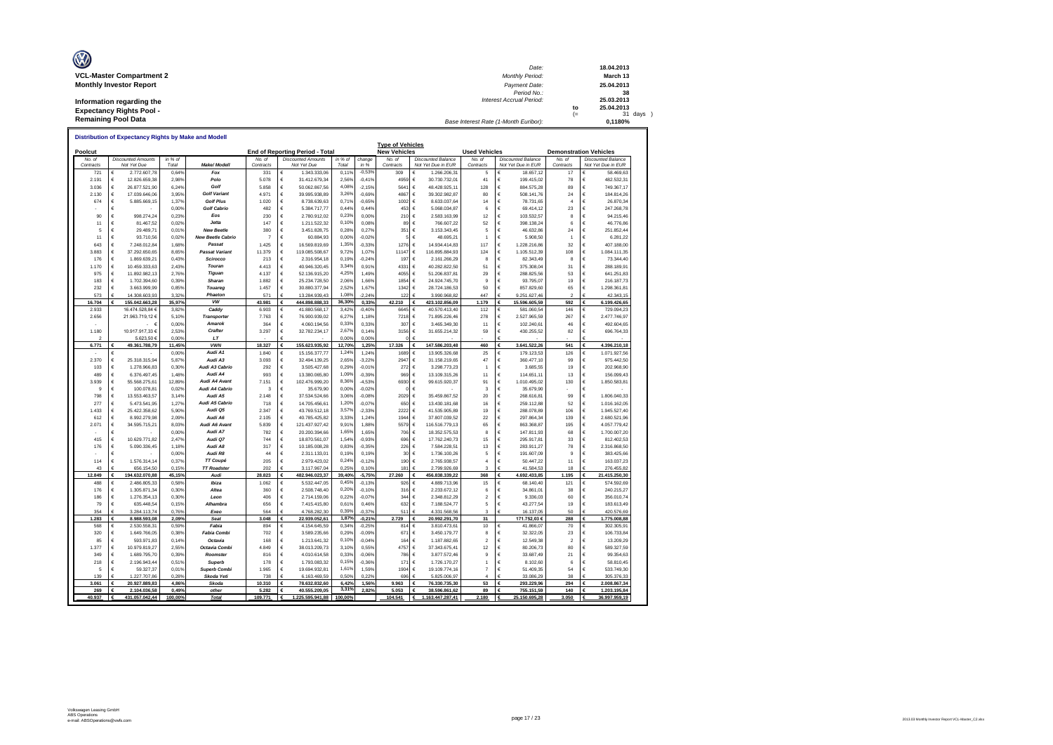| O                               | Date:                                 |     | 18.04.2013 |
|---------------------------------|---------------------------------------|-----|------------|
| <b>VCL-Master Compartment 2</b> | <b>Monthly Period:</b>                |     | March 13   |
| <b>Monthly Investor Report</b>  | Payment Date:                         |     | 25.04.2013 |
|                                 | Period No.:                           |     | 38         |
| Information regarding the       | Interest Accrual Period:              |     | 25.03.2013 |
| <b>Expectancy Rights Pool -</b> |                                       | to  | 25.04.2013 |
|                                 |                                       | $=$ | 31 days    |
| <b>Remaining Pool Data</b>      | Base Interest Rate (1-Month Euribor): |     | 0.1180%    |

|                        |                 |                               |                  | <u>Distribution of Expectancy Rights by Make and Modell</u> |                  |        |                                 |                  |                      | <b>Type of Vehicles</b> |                                                 |                        |        |                                                 |                               |        |                                 |
|------------------------|-----------------|-------------------------------|------------------|-------------------------------------------------------------|------------------|--------|---------------------------------|------------------|----------------------|-------------------------|-------------------------------------------------|------------------------|--------|-------------------------------------------------|-------------------------------|--------|---------------------------------|
| Poolcut                |                 |                               |                  |                                                             |                  |        | End of Reporting Period - Total |                  |                      | <b>New Vehicles</b>     |                                                 | <b>Used Vehicles</b>   |        |                                                 | <b>Demonstration Vehicles</b> |        |                                 |
| No. of<br>Contracts    |                 | <b>Discounted Amounts</b>     | in % of<br>Total | Make/ Modell                                                | No. of           |        | <b>Discounted Amounts</b>       | in % of<br>Total | change<br>in %       | No. of<br>Contracts     | <b>Discounted Balance</b><br>Not Yet Due in EUR | No. of<br>Contracts    |        | <b>Discounted Balance</b><br>Not Yet Due in EUR | No. of<br>Contracts           |        | <b>Discounted Balance</b>       |
| 721                    | €               | Not Yet Due<br>2.772.607,78   | 0,64%            | Fox                                                         | Contracts<br>331 | €      | Not Yet Due<br>1.343.333,06     | 0,115            | $-0,53%$             | 309                     | 1.266.206,31                                    | 5                      |        | 18.657,12                                       | 17                            | €      | Not Yet Due in EUR<br>58.469,63 |
| 2.191                  | €               | 12.826.659.38                 | 2.98%            | Polo                                                        | 5.078            | €      | 31.412.679,34                   | 2.56%            | $-0.419$             | 4959                    | €<br>30.730.732.01                              | 41                     | €      | 199.415.02                                      | 78                            | €      | 482.532.31                      |
| 3.036                  | €               | 26.877.521,90                 | 6,24%            | Golf                                                        | 5858             | €      | 50.062.867,56                   | 4,08%            | $-2,15%$             | 5641                    | €<br>48.428.925,11                              | 128                    | €      | 884.575,28                                      | 89                            | €      | 749.367,17                      |
| 2.130                  | €               | 17.039.646,06                 | 3,95%            | <b>Golf Variant</b>                                         | 4.971            | €      | 39.995.938,89                   | 3,269            | $-0,69%$             | 4867                    | €<br>39.302.982,87                              | 80                     | €      | 508.141,76                                      | 24                            | €      | 184.814,26                      |
| 674                    | €               | 5.885.669,15                  | 1,37%            | <b>Golf Plus</b>                                            | 1.020            | €      | 8.738.639,63                    | 0,719            | $-0.65%$             | 1002                    | €<br>8.633.037,64                               | 14                     | €      | 78.731,65                                       | $\overline{a}$                | €      | 26.870,34                       |
|                        | €               |                               | 0,00%            | <b>Golf Cabrio</b>                                          | 482              | €      | 5.384.717,77                    | 0,44%            | 0,44%                | 453                     | €<br>5.068.034,87                               | 6                      | €      | 69.414,12                                       | 23                            | €      | 247.268,78                      |
| 90                     | €               | 998.274,24                    | 0,23%            | Eos                                                         | 230              | €      | 2.780.912,02                    | 0.23%            | 0,00%                | 210                     | €<br>2.583.163,99                               | 12                     | €      | 103.532,57                                      | 8                             | €      | 94.215,46                       |
| 11                     | €               | 81.467,52                     | 0,029            | Jetta                                                       | 147              | €      | 1.211.522,32                    | 0,10%            | 0,08%                | 89                      | €<br>766.607,22                                 | 52                     | €      | 398.138,24                                      | 6                             | €      | 46.776,86                       |
| 5                      | €               | 29.489,71                     | 0,019            | <b>New Beetle</b>                                           | 380              | €      | 3.451.828,75                    | 0,28%            | 0,27%                | 351                     | €<br>3.153.343,45                               | 5                      | €      | 46.632,86                                       | 24                            | €      | 251.852,44                      |
| 11                     | €               | 93.710,56                     | 0,029            | <b>New Beetle Cabric</b>                                    | $\overline{7}$   | €      | 60.884,93                       | 0,00%            | $-0.02%$             |                         | €<br>48.695,21                                  | $\overline{1}$         | €      | 5.908,50                                        | $\overline{1}$                | €      | 6.281,22                        |
| 643<br>3.883           | €<br>€          | 7.248.012,84<br>37.292.650,65 | 1,68%            | Passat<br><b>Passat Variant</b>                             | 1.425<br>11,379  | €<br>€ | 16.569.819,69                   | 1,35%            | $-0,339$<br>1.07%    | 1276<br>11147           | €<br>14.934.414,83<br>€<br>116.895.884,93       | 117<br>124             | €<br>€ | 1.228.216,86<br>1.105.512,39                    | 32<br>108                     | €<br>€ | 407.188,00                      |
| 176                    | €               | 1.869.639,21                  | 8,65%<br>0,43%   | Scirocco                                                    | 213              | €      | 119.085.508,67<br>2.316.954,18  | 9,72%<br>0,199   | $-0,249$             | 197                     | €<br>2.161.266,29                               | $\mathbf{a}$           | €      | 82.343,49                                       | 8                             | €      | 1.084.111,35<br>73.344,40       |
| 1.170                  | €               | 10.459.333,63                 | 2,43%            | Touran                                                      | 4.413            | €      | 40.946.320,45                   | 3,34%            | 0.91%                | 4331                    | €<br>40.282.822,50                              | 51                     | €      | 375.308,04                                      | 31                            | €      | 288.189,91                      |
| 975                    | €               | 11.892.982,13                 | 2,769            | Tiguan                                                      | 4.137            | €      | 52.136.915,20                   | 4,25%            | 1,49%                | 4055                    | €<br>51.206.837,81                              | 29                     | €      | 288.825,56                                      | 53                            | €      | 641.251,83                      |
| 183                    | €               | 1.702.394,60                  | 0,399            | Sharan                                                      | 1.882            | €      | 25.234.728,50                   | 2,06%            | 1,66%                | 1854                    | €<br>24.924.745,70                              | 9                      | €      | 93.795,07                                       | 19                            | €      | 216.187,73                      |
| 232                    | €               | 3.663.999,99                  | 0,85%            | Touareg                                                     | 1.457            | €      | 30.880.377,94                   | 2,52%            | 1,67%                | 1342                    | €<br>28.724.186,53                              | 50                     | €      | 857.829,60                                      | 65                            | €      | 1.298.361,81                    |
| 573                    | €               | 14.308.603,93                 | 3,329            | Phaeton                                                     | 571              | €      | 13.284.939,43                   | 1,08%            | 2,249                | 122                     | 3.990.968,82                                    | 447                    |        | 9.251.627,46                                    | $\sim$                        | c      | 42.343,15                       |
| 16.704                 | €               | 155.042.663,28                | 35,97%           | <b>VW</b>                                                   | 43.981           | €      | 444.898.888,33                  | 36,309           | 0,33%                | 42.210                  | €<br>423.102.856,09                             | 1.179                  | €      | 15.596.605,59                                   | 592                           | €      | 6.199.426,65                    |
| 2.933                  |                 | 16.474.528,84 €               | 3,82%            | Caddy                                                       | 6.903            | €      | 41.880.568,17                   | 3,429            | $-0,40%$             | 6645                    | €<br>40.570.413,40                              | 112                    | €      | 581.060,54                                      | 146                           | €      | 729.094,23                      |
| 2.656                  |                 | 21.963.719,12€                | 5.10%            | Transporter                                                 | 7.763            | €      | 76.900.939,02                   | 6,27%            | 1.189                | 7218                    | €<br>71.895.226,46                              | 278                    | €      | 2.527.965,59                                    | 267                           | €      | 2.477.746,97                    |
|                        |                 | -6<br>$\sim$                  | 0,00%            | Amarok                                                      | 364              | €      | 4.060.194,56                    | 0,33%            | 0,33%                | 307                     | €<br>3.465.349,30                               | 11                     | €      | 102.240,61                                      | 46                            | €      | 492.604,65                      |
| 1.180                  |                 | 10.917.917,33 €               | 2,53%            | Crafter                                                     | 3.297            | €      | 32.782.234,17                   | 2,67%            | 0,14%                | 3156                    | €<br>31.655.214,32                              | 59                     | €      | 430.255,52                                      | 82                            | €      | 696.764,33                      |
| $\mathcal{P}$<br>6.771 |                 | 5.623,50 €<br>49.361.788,79   | 0.00%<br>11,45%  | LT<br><b>VWN</b>                                            | 18.327           | €      | 155.623.935,92                  | 0.00%<br>12,709  | 0,00%<br>1,25%       | 17.326                  | €<br>147.586.203,48                             | 460                    | €      | 3.641.522,26                                    | 541                           | Ė<br>€ | 4.396.210,18                    |
|                        | €               |                               | 0,00%            | Audi A1                                                     | 1.840            | €      | 15.156.377,77                   | 1,24%            | 1.249                | 1689                    | €<br>13.905.326,68                              | 25                     | €      | 179.123.53                                      | 126                           | €      | 1.071.927,56                    |
| 2.370                  | €               | 25.318.315.94                 | 5.87%            | Audi A3                                                     | 3.093            | €      | 32.494.139.25                   | 2,65%            | $-3.229$             | 2947                    | €<br>31.158.219.65                              | 47                     | €      | 360.477,10                                      | 99                            | €      | 975.442.50                      |
| 103                    | €               | 1.278.966.83                  | 0.30%            | Audi A3 Cabrio                                              | 292              | €      | 3.505.427.68                    | 0,29%            | $-0.019$             | 272                     | €<br>3.298.773.23                               | 1                      | €      | 3.685.55                                        | 19                            | €      | 202.968.90                      |
| 489                    | €               | 6.376.497,45                  | 1,48%            | Audi A4                                                     | 993              | €      | 13.380.065,80                   | 1,09%            | $-0,39%$             | 969                     | €<br>13.109.315,26                              | 11                     | €      | 114.651,11                                      | 13                            | €      | 156.099,43                      |
| 3.939                  | €               | 55.568.275.61                 | 12.89%           | Audi A4 Avant                                               | 7.151            | €      | 102.476.999.20                  | 8,369            | $-4.539$             | 6930                    | €<br>99.615.920.37                              | 91                     | €      | 1.010.495.02                                    | 130                           | €      | 1.850.583.81                    |
| 9                      | $\epsilon$      | 100.078,81                    | 0,029            | Audi A4 Cabrio                                              | 3                | €      | 35.679,90                       | 0,00%            | $-0.029$             | $\Omega$                | €                                               | 3                      | $\in$  | 35.679,90                                       |                               | €      |                                 |
| 798                    | $\epsilon$      | 13.553.463,57                 | 3,14%            | Audi A5                                                     | 2.148            | €      | 37.534.524,66                   | 3,06%            | $-0,08%$             | 2029                    | €<br>35.459.867,52                              | 20                     | €      | 268.616,81                                      | 99                            | €      | 1.806.040,33                    |
| 277                    | €               | 5.473.541,95                  | 1.27%            | Audi A5 Cabrio                                              | 718              | €      | 14.705.456,61                   | 1,209            | $-0.079$             | 650                     | €<br>13.430.181.68                              | 16                     | €      | 259.112,88                                      | 52                            | €      | 1.016.162,05                    |
| 1.433                  | €               | 25.422.358,62                 | 5.90%            | Audi Q5                                                     | 2.347            | €      | 43.769.512,18                   | 3,57%            | $-2.339$             | 2222                    | €<br>41.535.905,89                              | 19                     | €      | 288.078,89                                      | 106                           | €      | 1.945.527,40                    |
| 612                    | €               | 8.992.279.98                  | 2.09%            | Audi A6                                                     | 2.105            | €      | 40.785.425.82                   | 3.33%            | 1.249                | 1944                    | €<br>37.807.039.52                              | 22                     | €      | 297.864.34                                      | 139                           | €      | 2.680.521.96                    |
| 2.071                  | $\epsilon$<br>€ | 34.595.715,21                 | 8,03%            | Audi A6 Avant                                               | 5.839            | €      | 121.437.927,42                  | 9.91%            | 1,88%                | 5579                    | €<br>116.516.779,13                             | 65                     | €      | 863.368,87                                      | 195                           | €      | 4.057.779,42                    |
|                        |                 |                               | 0.00%            | Audi A7<br>Audi Q7                                          | 782              | €<br>€ | 20.200.394.66                   | 1.65%            | 1.65%                | 706                     | €<br>18.352.575.53                              | 8                      | €      | 147.811.93                                      | 68                            | €      | 1.700.007,20                    |
| 415<br>176             | €<br>€          | 10.629.771,82<br>5.090.336,45 | 2,47%<br>1,18%   | Audi A8                                                     | 744<br>317       | €      | 18.870.561,07<br>10.185.008,28  | 1,549<br>0,83%   | $-0,939$<br>$-0,35%$ | 696<br>226              | €<br>17.762.240,73<br>€<br>7.584.228,51         | 15<br>13               | €<br>€ | 295.917,81<br>283.911,27                        | 33<br>78                      | €<br>€ | 812.402,53<br>2.316.868,50      |
|                        | €               |                               | 0.00%            | Audi R8                                                     | 44               | €      | 2.311.133,01                    | 0,199            | 0.19%                | 30                      | €<br>1.736.100,26                               | 5                      | €      | 191.607.09                                      | $\mathbf{Q}$                  | €      | 383.425,66                      |
| 114                    | €               | 1.576.314,14                  | 0,379            | TT Coupé                                                    | 205              | €      | 2.979.423,02                    | 0,24%            | $-0,12%$             | 190                     | €<br>2.765.938,57                               | $\overline{4}$         | $\in$  | 50.447,22                                       | 11                            | €      | 163.037,23                      |
| 43                     | €               | 656.154.50                    | 0.15%            | <b>TT Roadster</b>                                          | 202              | €      | 3.117.967.04                    | 0.25%            | 0.10%                | 181                     | €<br>2.799.926.69                               | $\overline{3}$         | €      | 41.584.53                                       | 18                            | €      | 276.455.82                      |
| 12,849                 |                 | 194.632.070,88                | 45,15%           | Audi                                                        | 28.823           | €      | 482.946.023,37                  | 39,40%           | $-5,75%$             | 27.260                  | 456.838.339,22                                  | 368                    |        | 4.692.433,85                                    | 1.195                         | €      | 21.415.250,30                   |
| 488                    | €               | 2.486.805,33                  | 0,58%            | lbiza                                                       | 1.062            | €      | 5.532.447,05                    | 0.45%            | $-0,139$             | 926                     | €<br>4.889.713,96                               | 15                     | €      | 68.140,40                                       | 121                           | €      | 574.592,69                      |
| 176                    | €               | 1.305.871,34                  | 0,30%            | Altea                                                       | 360              | €      | 2.508.748,40                    | 0,20%            | $-0,10%$             | 316                     | €<br>2.233.672,12                               | 6                      | €      | 34.861,01                                       | 38                            | €      | 240.215,27                      |
| 186                    | €               | 1.276.354,13                  | 0,30%            | Leon                                                        | 406              | €      | 2.714.159,06                    | 0,229            | $-0,07%$             | 344                     | €<br>2.348.812,29                               | $\overline{2}$         | €      | 9.336,03                                        | 60                            | €      | 356.010,74                      |
| 79                     | €               | 635.448,54                    | 0,15%            | Alhambra                                                    | 656              | €      | 7.415.415,80                    | 0,61%            | 0.46%                | 632                     | €<br>7.188.524,77                               | 5                      | €      | 43.277,54                                       | 19                            | €      | 183,613,49                      |
| 354                    | €               | 3.284.113,74                  | 0,76%            | Exeo                                                        | 564              | €      | 4.768.282,30                    | 0,39%            | $-0,379$             | 511                     | 4.331.568,56                                    | 3                      |        | 16.137,05                                       | 50                            | €      | 420.576,69                      |
| 1.283<br>568           | €<br>€          | 8.988.593,08                  | 2,09%<br>0.59    | Seat<br>Fabia                                               | 3.048<br>894     | €<br>€ | 22.939.052,61                   | 1.879<br>0,349   | $-0,21$<br>$-0,259$  | 2.729<br>814            | €<br>20.992.291,70<br>€                         | 31<br>10               | €      | 171.752,03 €<br>41.866,07                       | 288<br>70                     | €      | 1.775.008,88                    |
| 320                    | €               | 2.530.558,31<br>1.649.766,05  | 0,38%            | <b>Fabia Combi</b>                                          | 702              | €      | 4.154.645,59<br>3.589.235,66    | 0,29%            | $-0.09%$             | 671                     | 3.810.473,61<br>€<br>3.450.179,77               | 8                      | €      | 32.322,05                                       | 23                            | €<br>€ | 302.305,91<br>106.733,84        |
| 85                     | €               | 593.971,83                    | 0.149            | Octavia                                                     | 168              | €      | 1.213.641,32                    | 0,10%            | $-0.04%$             | 164                     | €<br>1.187.882,65                               | $\overline{2}$         | €      | 12,549.38                                       | $\overline{z}$                | €      | 13.209,29                       |
| 1.377                  | €               | 10.979.819,27                 | 2,55%            | Octavia Combi                                               | 4.849            | €      | 38.013.209,73                   | 3,10%            | 0,55%                | 4757                    | €<br>37.343.675,41                              | 12                     | €      | 80.206,73                                       | 80                            | €      | 589.327,59                      |
| 349                    | €               | 1.689.795,70                  | 0.39%            | Roomster                                                    | 816              | €      | 4.010.614,58                    | 0,33%            | $-0,06%$             | 786                     | €<br>3.877.572,46                               | 9                      | €      | 33.687,49                                       | 21                            | €      | 99.354,63                       |
| 218                    | €               | 2.196.943,44                  | 0,51%            | <b>Superb</b>                                               | 178              | €      | 1.793.083,32                    | 0,15%            | $-0,369$             | 171                     | €<br>1.726.170,27                               | 1                      | €      | 8.102,60                                        | 6                             | €      | 58.810,45                       |
| 5                      | €               | 59.327,37                     | 0,019            | <b>Superb Combi</b>                                         | 1.965            | €      | 19.694.932,81                   | 1,61%            | 1,59%                | 1904                    | €<br>19.109.774,16                              | $\overline{7}$         | €      | 51.409,35                                       | 54                            | €      | 533.749,30                      |
| 139                    | €               | 1.227.707.86                  | 0.28%            | Skoda Yeti                                                  | 738              |        | 6.163.469.59                    | 0.50%            | 0.229                | 696                     | 5.825.006.97                                    | $\boldsymbol{\Lambda}$ |        | 33,086.29                                       | 38                            | Ė      | 305.376.33                      |
| 3.061                  | €               | 20.927.889,83                 | 4,86°            | Skoda                                                       | 10.310           |        | 78.632.832,60                   | 6,42             | 1,56%                | 9.963                   | 76.330.735,30                                   | 53                     | €      | 293.229,96                                      | 294                           | €      | 2.008.867,34                    |
| 269                    | €               | 2.104.036,58                  | 0,49%            | other                                                       | 5.282            | €      | 40.555.209.05                   | 3,31             | 2,82%                | 5.053                   | 38.596.861,62                                   | 89                     | €      | 755.151,59                                      | 140                           | €      | 1.203.195,84                    |
| 40.937                 | €               | 431.057.042,44                | 100,00%          | <b>Total</b>                                                | 109.771          | €      | 1.225.595.941,88                | 100,00%          |                      | 104.541                 | 1.163.447.287,41<br>€                           | 2.180                  |        | 25.150.695,28                                   | 3.050                         |        | 36.997.959,19                   |

г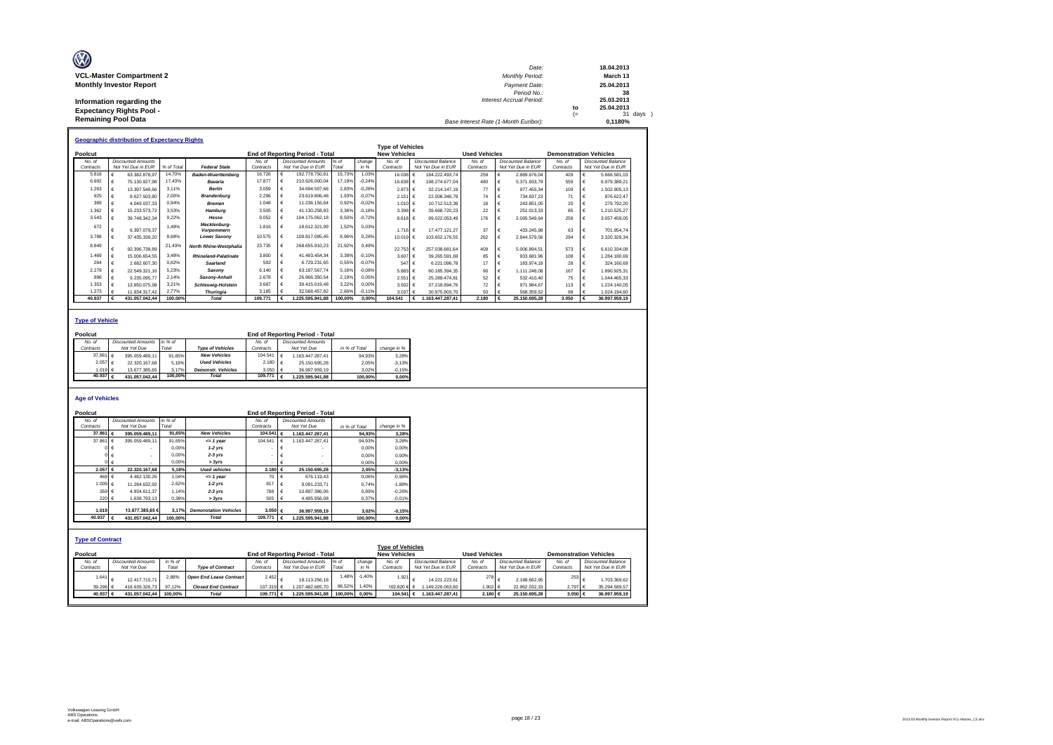| O                                                                                          | Date:                                 |           | 18.04.2013                          |
|--------------------------------------------------------------------------------------------|---------------------------------------|-----------|-------------------------------------|
| <b>VCL-Master Compartment 2</b>                                                            | <b>Monthly Period:</b>                |           | March 13                            |
| <b>Monthly Investor Report</b>                                                             | Payment Date:<br>Period No.:          |           | 25.04.2013<br>38                    |
| Information regarding the<br><b>Expectancy Rights Pool -</b><br><b>Remaining Pool Data</b> | Interest Accrual Period:              | to<br>$=$ | 25.03.2013<br>25.04.2013<br>31 days |
|                                                                                            | Base Interest Rate (1-Month Euribor): |           | 0.1180%                             |

|           | <b>Geographic distribution of Expectancy Rights</b> |            |                                   |           |   |                                        |         |          |                         |                       |                      |   |                           |                               |                           |
|-----------|-----------------------------------------------------|------------|-----------------------------------|-----------|---|----------------------------------------|---------|----------|-------------------------|-----------------------|----------------------|---|---------------------------|-------------------------------|---------------------------|
|           |                                                     |            |                                   |           |   |                                        |         |          | <b>Type of Vehicles</b> |                       |                      |   |                           |                               |                           |
| Poolcut   |                                                     |            |                                   |           |   | <b>End of Reporting Period - Total</b> |         |          | <b>New Vehicles</b>     |                       | <b>Used Vehicles</b> |   |                           | <b>Demonstration Vehicles</b> |                           |
| No. of    | <b>Discounted Amounts</b>                           |            |                                   | No. of    |   | <b>Discounted Amounts</b>              | $%$ of  | change   | No. of                  | Discounted Balance    | No. of               |   | <b>Discounted Balance</b> | No. of                        | <b>Discounted Balance</b> |
| Contracts | Not Yet Due in EUR                                  | % of Total | <b>Federal State</b>              | Contracts |   | Not Yet Due in EUR                     | Total   | in %     | Contracts               | Not Yet Due in EUR    | Contracts            |   | Not Yet Due in EUR        | Contracts                     | Not Yet Due in EUR        |
| 5,818     | 63.382.878.97                                       | 14,70%     | <b>Baden-Wuerttemberg</b>         | 16.726    |   | 192.778.750.81                         | 15,73%  | 1.03%    | 16.038 €                | 184.222.493.74        | 259                  |   | 288967604                 | 429                           | 5.666.581.03              |
| 6.692     | 75.130.927.98                                       | 17.43%     | Bavaria                           | 17,877    | € | 210.626.000.04                         | 17.19%  | $-0.24%$ | 16.838 €                | 198.274.677.04        | 480                  |   | 5.371.933.79              | 559                           | 6.979.389.21              |
| 1.263     | 13.397.548.66                                       | 3.11%      | <b>Berlin</b>                     | 3.059     |   | 34.694.507.66                          | 2,83%   | $-0.28%$ | 2.873 €                 | 32.214.147.19         | 77                   |   | 977.455.34                | 109                           | 1.502.905.13              |
| 925       | 8.627.503.80                                        | 2.00%      | <b>Brandenburg</b>                | 2.296     |   | 23.619.806.48                          | 1,93%   | $-0.07%$ | 2.151                   | 22.008.346.78<br>I€   | 74                   | € | 734.837.23                |                               | 876.622.47                |
| 389       | 4.049.037.33                                        | 0.94%      | <b>Bremen</b>                     | 1.048     |   | 11.236.156.64                          | 0,92%   | $-0.02%$ | 1.010 €                 | 10.712.513,39         | 18                   |   | 243.851.05                | 20                            | 279.792.20                |
| 1.362     | 15.233.573.72                                       | 3.53%      | Hamburg                           | 3.505     |   | 41.130.258.83                          | 3,36%   | $-0.18%$ | 3.398 $\in$             | 39.668.720.23         | 22                   |   | 251.013.33                | 85                            | 1.210.525.27              |
| 3.543     | 39.748.342.34                                       | 9.22%      | Hesse                             | 9.052     |   | 104.175.062.18                         | 8,50%   | $-0,72%$ | 8618 F                  | 99.022.053.49         | 176                  | € | 2.095.549.64              | 258                           | 3.057.459.05              |
| 672       | 6.397.079.37                                        | 1.48%      | Mecklenburg-<br><b>Vorpommern</b> | 1.816     | € | 18.612.321.99                          | 1,52%   | 0.03%    | 1.716 €                 | 17.477.121.27         | 37                   | € | 433.245,98                | 63                            | 701.954.74                |
| 3.788     | 37.435.339.20                                       | 8.68%      | <b>Lower Saxonv</b>               | 10.575    |   | 109.817.085.45                         | 8,96%   | 0,28%    | 10.019 €                | 103.652.176.55        | 262                  | € | 2.844.579.56              | 294                           | 3.320.329.34              |
| 8,849     | 92.396.738.89                                       | 21,43%     | North Rhine-Westphalia            | 23.735    |   | 268.655.910.23                         | 21,92%  | 0.49%    | 22.753 €                | 257 038 681 64        | 409                  | € | 5.006.894.51              | 573                           | 6.610.334.08              |
| 1.469     | 15.006.654.55                                       | 3.48%      | <b>Rhineland-Palatinate</b>       | 3,800     | € | 41 483 454 34                          | 3.38%   | $-0.10%$ | 3.607 €                 | 39.265.591.69         | 85                   |   | 933.681.96                | 108                           | 1.284.180.69              |
| 264       | 2.682.607.30                                        | 0.62%      | Saarland                          | 592       |   | 6.729.231.65                           | 0,55%   | $-0.07%$ | 547 €                   | 6.221.096.78          | 17                   | € | 183,974.18                | 28                            | 324,160.69                |
| 2.279     | 22.549.321.16                                       | 5.23%      | Saxony                            | 6.140     | € | 63.187.567.74                          | 5,16%   | $-0.08%$ | 5.883 €                 | 60.185.394.35         | 90                   | € | 1.111.248.08              | 167                           | 1.890.925.31              |
| 998       | 9.235.095.77                                        | 2.14%      | Saxony-Anhalt                     | 2.678     |   | 26.866.350.54                          | 2,19%   | 0.05%    | 2.551                   | 25.289.474.81<br>ا€   | 52                   |   | 532.410.40                | 75                            | 1.044.465.33              |
| 1.353     | 13.850.075.98                                       | 3,21%      | <b>Schleswig-Holstein</b>         | 3.687     |   | 39.415.019.48                          | 3,22%   | 0,00%    | 3.502 €                 | 37.218.894.76         | 72                   |   | 971.984.67                | 113                           | 1.224.140.05              |
| 1.273     | 11.934.317.42                                       | 2.77%      | <b>Thuringia</b>                  | 3.185     |   | 32.568.457.82                          | 2,66%   | $-0,11%$ | 3.037 €                 | 30.975.903.70         | 50                   |   | 568,359.52                | 98                            | 1.024.194.60              |
| 40.937    | 431.057.042.44                                      | 100.00%    | Total                             | 109,771   |   | .225.595.941.88                        | 100.00% | 0.00%    | 104.541                 | 1.163.447.287.41<br>€ | 2.180                | € | 25.150.695.28             | 3.050                         | 36,997,959.19             |

### **Type of Vehicle**

| Poolcut           |                           |         |                           |                    |   | <b>End of Reporting Period - Total</b> |               |             |
|-------------------|---------------------------|---------|---------------------------|--------------------|---|----------------------------------------|---------------|-------------|
| No. of            | <b>Discounted Amounts</b> | in % of |                           | No of              |   | <b>Discounted Amounts</b>              |               |             |
| Contracts         | Not Yet Due               | Total   | <b>Type of Vehicles</b>   | Contracts          |   | Not Yet Due                            | in % of Total | change in % |
| 37,861 €          | 395.059.489.11            | 91.65%  | <b>New Vehicles</b>       | 104.541            | € | 1.163.447.287.41                       | 94.93%        | 3.28%       |
| 2.057 €           | 22.320.167.68             | 5.18%   | <b>Used Vehicles</b>      | 2.180  €           |   | 25.150.695.28                          | 2.05%         | $-3.13%$    |
| 1.019 $6$         | 13.677.385.65             | 3.17%   | <b>Demonstr.</b> Vehicles | 3.050 $\epsilon$   |   | 36.997.959.19                          | 3.02%         | $-0.15%$    |
| 40.937 $\epsilon$ | 431.057.042.44            | 100.00% | <b>Total</b>              | 109.771 $\epsilon$ |   | .225.595.941.88                        | 100.00%       | 0.00%       |
|                   |                           |         |                           |                    |   |                                        |               |             |

#### **Age of Vehicles**

| Poolcut                            |                           |         |                                |           |             | <b>End of Reporting Period - Total</b> |               |          |                                                |   |                           |                      |                            |                               |                           |
|------------------------------------|---------------------------|---------|--------------------------------|-----------|-------------|----------------------------------------|---------------|----------|------------------------------------------------|---|---------------------------|----------------------|----------------------------|-------------------------------|---------------------------|
| No. of                             | <b>Discounted Amounts</b> | in % of |                                | No. of    |             | <b>Discounted Amounts</b>              |               |          |                                                |   |                           |                      |                            |                               |                           |
| Contracts                          | Not Yet Due               | Total   |                                | Contracts |             | Not Yet Due                            | in % of Total |          | change in %                                    |   |                           |                      |                            |                               |                           |
| 37,861                             | 395.059.489.11<br>€       | 91.65%  | <b>New Vehicles</b>            | 104.541 € |             | 1.163.447.287.41                       |               | 94.93%   | 3.28%                                          |   |                           |                      |                            |                               |                           |
| 37.861 $\epsilon$                  | 395.059.489.11            | 91.65%  | $= 1$ year                     | 104.541   | $\epsilon$  | 1.163.447.287.41                       |               | 94.93%   | 3,28%                                          |   |                           |                      |                            |                               |                           |
|                                    |                           | 0.00%   | $1-2$ vrs                      |           | €           |                                        |               | 0.00%    | 0,00%                                          |   |                           |                      |                            |                               |                           |
|                                    |                           | 0.00%   | $2-3$ yrs                      |           | €           |                                        |               | 0.00%    | 0,00%                                          |   |                           |                      |                            |                               |                           |
|                                    | $0 \in$                   | 0.00%   | > 3yrs                         |           | €           |                                        |               | 0.00%    | 0,00%                                          |   |                           |                      |                            |                               |                           |
| 2.057                              | 22.320.167.68<br>€        | 5.18%   | <b>Used vehicles</b>           | 2.180 €   |             | 25.150.695.28                          |               | 2.05%    | $-3.13%$                                       |   |                           |                      |                            |                               |                           |
| 469 $\epsilon$                     | 4.462.130.26              | 1.04%   | $= 1$ vear                     | 70 €      |             | 676.119.43                             |               | 0.06%    | $-0.98%$                                       |   |                           |                      |                            |                               |                           |
| 1.009 €                            | 11.284.632.92             | 2.62%   | $1-2$ vrs                      | 817       | €           | 9.091.233.71                           |               | 0.74%    | $-1.88%$                                       |   |                           |                      |                            |                               |                           |
| 359 €                              | 4.934.611.37              | 1.14%   | $2-3$ yrs                      | 788       | $\cdot \in$ | 10.897.386.06                          |               | 0.89%    | $-0.26%$                                       |   |                           |                      |                            |                               |                           |
| 220 €                              | 1.638.793.13              | 0,38%   | > 3yrs                         | 505       | $\vdash$    | 4.485.956.08                           |               | 0.37%    | $-0.01%$                                       |   |                           |                      |                            |                               |                           |
|                                    |                           |         |                                |           |             |                                        |               |          |                                                |   |                           |                      |                            |                               |                           |
| 1.019                              | 13,677,385,65 €           | 3.17%   | <b>Demonstation Vehicles</b>   | 3.050 €   |             | 36.997.959.19                          |               | 3.02%    | $-0,15%$                                       |   |                           |                      |                            |                               |                           |
| 40.937                             | 431.057.042.44<br>€       | 100.00% | <b>Total</b>                   | 109,771   | ا €         | 1.225.595.941.88                       |               | 100.00%  | 0,00%                                          |   |                           |                      |                            |                               |                           |
| <b>Type of Contract</b><br>Poolcut |                           |         |                                |           |             | <b>End of Reporting Period - Total</b> |               |          | <b>Type of Vehicles</b><br><b>New Vehicles</b> |   |                           | <b>Used Vehicles</b> |                            | <b>Demonstration Vehicles</b> |                           |
| No. of                             | <b>Discounted Amounts</b> | in % of |                                | No. of    |             | <b>Discounted Amounts</b>              | % of          | change   | No. of                                         |   | <b>Discounted Balance</b> | No. of               | <b>Discounted Balance</b>  | No. of                        | <b>Discounted Balance</b> |
| Contracts                          | Not Yet Due               | Total   | <b>Type of Contract</b>        | Contracts |             | Not Yet Due in EUR                     | Total         | in %     | Contracts                                      |   | Not Yet Due in EUR        | Contracts            | Not Yet Due in EUR         | Contracts                     | Not Yet Due in EUR        |
| 1.641                              | 12.417.715.71             | 2,88%   | <b>Open End Lease Contract</b> | 2.452     | $\epsilon$  | 18,113,256.18                          | 1,48%         | $-1,40%$ | 1.921                                          | € | 14.221.223.61             | 278                  | $\epsilon$<br>2.188.662.95 | 253                           | €                         |
| 39.296                             | 418.639.326,73            | 97.12%  | <b>Closed End Contract</b>     | 107.319 € |             | 1.207.482.685.70                       | 98,52%        | 1,40%    | 102.620 €                                      |   | 1.149.226.063.80          | 1.902 €              | 22.962.032.33              | 2.797 €                       |                           |
| 40.937 €                           | 431.057.042.44            | 100.00% | <b>Total</b>                   | 109,771 € |             | 1.225.595.941.88                       | 100.00%       | $0.00\%$ | 104.541 €                                      |   | 1.163.447.287.41          | 2.180 €              | 25.150.695.28              | $3.050$ €                     |                           |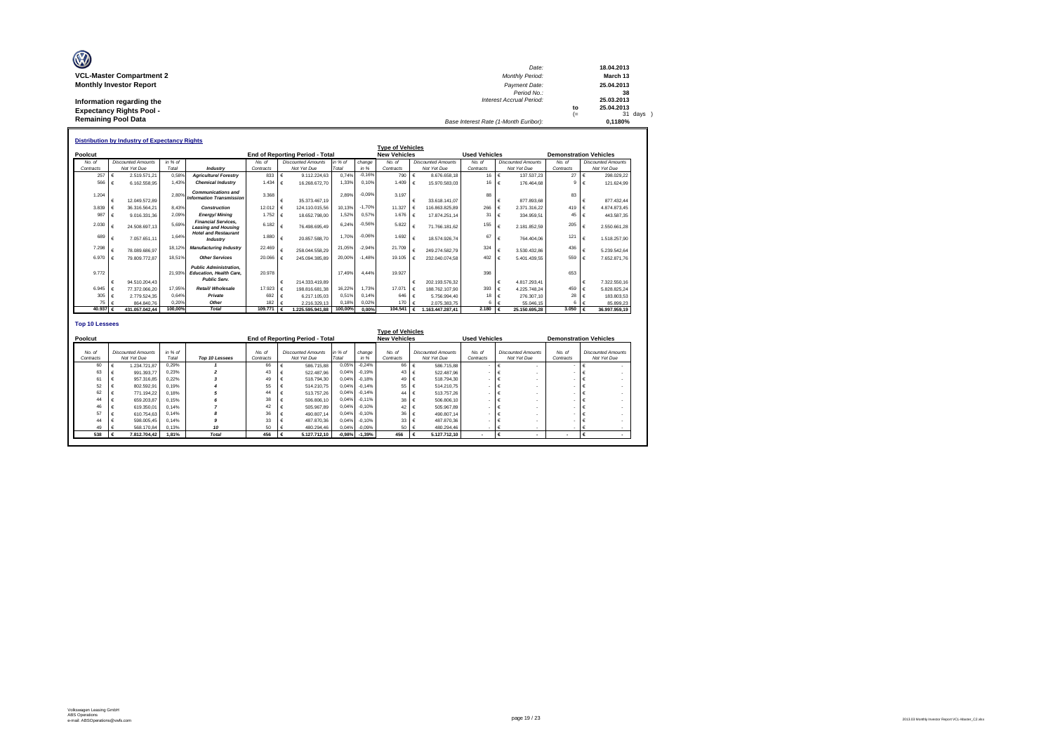| O                               | Date:                                 |      | 18.04.2013 |
|---------------------------------|---------------------------------------|------|------------|
| <b>VCL-Master Compartment 2</b> | <b>Monthly Period:</b>                |      | March 13   |
| <b>Monthly Investor Report</b>  | Payment Date:                         |      | 25.04.2013 |
|                                 | Period No.:                           |      | 38         |
| Information regarding the       | <b>Interest Accrual Period:</b>       |      | 25.03.2013 |
| <b>Expectancy Rights Pool -</b> |                                       | to   | 25.04.2013 |
|                                 |                                       | $(=$ | 31 days )  |
| <b>Remaining Pool Data</b>      | Base Interest Rate (1-Month Euribor): |      | 0.1180%    |

|                       |                         | <b>Distribution by Industry of Expectancy Rights</b> |                  |                                                                 |                |   |                                        |                  |          |                         |            |                           |                        |            |                           |                               |            |                           |
|-----------------------|-------------------------|------------------------------------------------------|------------------|-----------------------------------------------------------------|----------------|---|----------------------------------------|------------------|----------|-------------------------|------------|---------------------------|------------------------|------------|---------------------------|-------------------------------|------------|---------------------------|
|                       |                         |                                                      |                  |                                                                 |                |   |                                        |                  |          | <b>Type of Vehicles</b> |            |                           |                        |            |                           |                               |            |                           |
| Poolcut               |                         |                                                      |                  |                                                                 |                |   | <b>End of Reporting Period - Total</b> |                  |          | <b>New Vehicles</b>     |            |                           | <b>Used Vehicles</b>   |            |                           | <b>Demonstration Vehicles</b> |            |                           |
| No. of                |                         | <b>Discounted Amounts</b>                            | in % of          |                                                                 | No. of         |   | <b>Discounted Amounts</b>              | in $%$ of        | change   | No of                   |            | <b>Discounted Amounts</b> | No of                  |            | <b>Discounted Amounts</b> | No of                         |            | <b>Discounted Amounts</b> |
| Contracts             |                         | Not Yet Due                                          | Total            | Industry                                                        | Contracts      |   | Not Yet Due                            | Total            | in %     | Contracts               |            | Not Yet Due               | Contracts              |            | Not Yet Due               | Contracts                     |            | Not Yet Due               |
| 257                   |                         | 2.519.571.21                                         | 0.58%            | <b>Agriculture/ Forestry</b>                                    | 833            | € | 9.112.224.63                           | 0.74%            | $-0.16%$ | 790                     |            | 8.676.658.18              | 16 $\in$               |            | 137.537.23                | 27                            | $\epsilon$ | 298.029.22                |
| 566                   |                         | 6.162.558.95                                         | 1.43%            | <b>Chemical Industry</b>                                        | 1.434          | € | 16.268.672.70                          | 1.33%            | 0.10%    | 1.409                   | $\epsilon$ | 15.970.583.03             | 16 $\epsilon$          |            | 176,464.68                | я                             |            | 121.624.99                |
|                       |                         |                                                      |                  | <b>Communications and</b>                                       |                |   |                                        |                  | $-0.09%$ |                         |            |                           |                        |            |                           |                               |            |                           |
| 1.204                 |                         | 12.049.572.89                                        | 2.80%            | <b>Information Transmission</b>                                 | 3.368          | € | 35.373.467.19                          | 2.89%            |          | 3.197                   |            | 33.618.141.07             | 88                     | €          | 877.893.68                | 83                            | -6         | 877.432.44                |
| 3.839                 |                         | 36.316.564.21                                        | 8.43%            | Construction                                                    | 12.012         |   | 124.110.015.56                         | 10.13%           | $-1.70%$ | 11.327                  |            | 116.863.825.89            | 266                    | $\epsilon$ | 2.371.316.22              | 419                           |            | 4.874.873.45              |
| 987                   |                         | 9.016.331.36                                         | 2.09%            | <b>Energy/Mining</b>                                            | 1.752          |   | 18.652.798.00                          | 1.52%            | 0,57%    | 1.676                   |            | 17.874.251.14             | 31                     | $\epsilon$ | 334.959.51                | 45                            |            | 443.587.35                |
|                       |                         |                                                      |                  | <b>Financial Services.</b>                                      |                |   |                                        |                  |          |                         |            |                           |                        |            |                           |                               |            |                           |
| 2.030                 |                         | 24.508.697.13                                        | 5.69%            | <b>Leasing and Housing</b>                                      | 6.182          |   | 76.498.695.49                          | 6.24%            | $-0.56%$ | 5.822                   |            | 71.766.181.62             | 155                    | €          | 2.181.852.59              | 205                           |            | 2.550.661.28              |
| 689                   |                         |                                                      | 1.64%            | <b>Hotel and Restaurant</b>                                     | 1,880          |   |                                        | 1.70%            | $-0.06%$ | 1.692                   |            |                           | 67                     |            |                           | 121                           |            |                           |
|                       |                         | 7.057.651.11                                         |                  | Industry                                                        |                | € | 20.857.588.70                          |                  |          |                         |            | 18,574,926.74             |                        | €          | 764.404.06                |                               |            | 1.518.257.90              |
| 7.298                 |                         | 78.089.686.97                                        | 18.12%           | <b>Manufacturing Industry</b>                                   | 22.469         |   | 258.044.558.29                         | 21.05%           | $-2.94%$ | 21.709                  |            | 249.274.582.79            | 324                    | €          | 3.530.432.86              | 436                           |            | 5.239.542.64              |
| 6.970                 |                         | 79.809.772.87                                        | 18.51%           | <b>Other Services</b>                                           | 20,066         |   | 245.094.385.89                         | 20.00%           | $-1.48%$ | 19.105                  |            | 232.040.074.58            | 402                    | €          | 5.401.439.55              | 559                           |            | 7.652.871.76              |
|                       |                         |                                                      |                  |                                                                 |                |   |                                        |                  |          |                         |            |                           |                        |            |                           |                               |            |                           |
| 9.772                 |                         |                                                      | 21.93%           | <b>Public Administration.</b><br><b>Education, Health Care.</b> | 20.978         |   |                                        | 17.49%           | 4.44%    | 19.927                  |            |                           | 398                    |            |                           | 653                           |            |                           |
|                       |                         |                                                      |                  | <b>Public Serv.</b>                                             |                |   |                                        |                  |          |                         |            |                           |                        |            |                           |                               |            |                           |
|                       |                         | 94.510.204.43                                        |                  |                                                                 |                |   | 214.333.419.89                         |                  |          |                         |            | 202.193.576.32            |                        | €          | 4.817.293.41              |                               |            | 7.322.550.16              |
| 6.945                 |                         | 77.372.066.20                                        | 17.95%           | Retail/ Wholesale                                               | 17.923         |   | 198.816.681.38                         | 16.22%           | 1.73%    | 17.071                  |            | 188,762,107.90            | 393                    | $\epsilon$ | 4.225.748.24              | 459                           |            | 5.828.825.24              |
| 305                   |                         | 2.779.524.35                                         | 0.64%            | Private                                                         | 692            |   | 6.217.105.03                           | 0.51%            | 0.14%    | 646                     |            | 5.756.994.40              | $18 \in$               |            | 276.307,10                | 28                            |            | 183.803.53                |
| 75<br>40.937          | €                       | 864,840.76                                           | 0.20%<br>100,00% | Other<br><b>Total</b>                                           | 182<br>109,771 |   | 2.216.329.13                           | 0.18%<br>100,00% | 0.02%    | 170<br>104,541          |            | 2.075.383.75              | 6.<br>2.180 $\epsilon$ | €          | 55.046.15                 | 6<br>3,050                    |            | 85.899.23                 |
|                       |                         | 431.057.042.44                                       |                  |                                                                 |                |   | 1.225.595.941.88                       |                  | 0.00%    |                         | €          | 1.163.447.287.41          |                        |            | 25.150.695.28             |                               |            | 36.997.959.19             |
|                       |                         |                                                      |                  |                                                                 |                |   |                                        |                  |          |                         |            |                           |                        |            |                           |                               |            |                           |
| <b>Top 10 Lessees</b> |                         |                                                      |                  |                                                                 |                |   |                                        |                  |          |                         |            |                           |                        |            |                           |                               |            |                           |
|                       | <b>Tyne of Vehicles</b> |                                                      |                  |                                                                 |                |   |                                        |                  |          |                         |            |                           |                        |            |                           |                               |            |                           |

|           |                           |         |                |           |                                 |          |          | בסוטווס א וט שעעו   |                           |                      |                           |                          |                               |
|-----------|---------------------------|---------|----------------|-----------|---------------------------------|----------|----------|---------------------|---------------------------|----------------------|---------------------------|--------------------------|-------------------------------|
| Poolcut   |                           |         |                |           | End of Reporting Period - Total |          |          | <b>New Vehicles</b> |                           | <b>Used Vehicles</b> |                           |                          | <b>Demonstration Vehicles</b> |
|           |                           |         |                |           |                                 |          |          |                     |                           |                      |                           |                          |                               |
| No. of    | <b>Discounted Amounts</b> | in % of |                | No. of    | <b>Discounted Amounts</b>       | in % of  | change   | No. of              | <b>Discounted Amounts</b> | No. of               | <b>Discounted Amounts</b> | No. of                   | <b>Discounted Amounts</b>     |
| Contracts | Not Yet Due               | Total   | Top 10 Lessees | Contracts | Not Yet Due                     | Total    | in %     | Contracts           | Not Yet Due               | Contracts            | Not Yet Due               | Contracts                | Not Yet Due                   |
| 60        | 1.234.721.87              | 0.29%   |                | 66        | 586,715.88                      | 0.05%    | $-0.24%$ | 66                  | 586,715.88                |                      |                           |                          |                               |
| 63        | 991.393.77                | 0.23%   |                | 43        | 522.487.96                      | 0.04%    | $-0.19%$ | 43                  | 522.487.96                |                      |                           |                          |                               |
| 61        | 957.316.85                | 0.22%   |                | 49        | 518,794.30                      | 0,04%    | $-0.18%$ | 49 $6$              | 518,794.30                |                      |                           |                          |                               |
| 52        | 802.592.91                | 0.19%   |                | 55        | 514.210.75                      | 0.04%    | $-0.14%$ | 55                  | 514.210.75                |                      |                           |                          |                               |
| 62        | 771.194.22                | 0.18%   |                | 44        | 513,757.26                      | 0.04%    | $-0.14%$ | 44                  | 513,757.26                |                      |                           |                          |                               |
| 44        | 659.203.87                | 0.15%   |                | 38        | 506,806.10                      | 0.04%    | $-0.11%$ | 38 <sub>0</sub>     | 506,806.10                |                      |                           |                          |                               |
| 46        | 619,350.01                | 0.14%   |                | 42        | 505.967.89                      | 0.04%    | $-0.10%$ | 42                  | 505.967.89                |                      |                           |                          |                               |
| 57        | 610.754.63                | 0.14%   |                | 36        | 490.807.14                      | 0.04%    | $-0.10%$ | 36                  | 490,807.14                |                      |                           |                          |                               |
| 44        | 598.005.45                | 0.14%   |                | 33        | 487.870.36                      | 0,04%    | $-0.10%$ | 33                  | 487.870.36                |                      |                           |                          |                               |
| 49        | 568.170.84                | 0.13%   | 10             | 50        | 480.294.46                      | 0.04%    | $-0.09%$ | 50                  | 480.294.46                |                      |                           |                          |                               |
| 538       | 7.812.704.42              | 1.81%   | <b>Total</b>   | 456       | 5.127.712.10                    | $-0,98%$ | $-1,39%$ | 456                 | 5.127.712.10              |                      |                           | $\overline{\phantom{a}}$ |                               |

 $\mathsf{r}$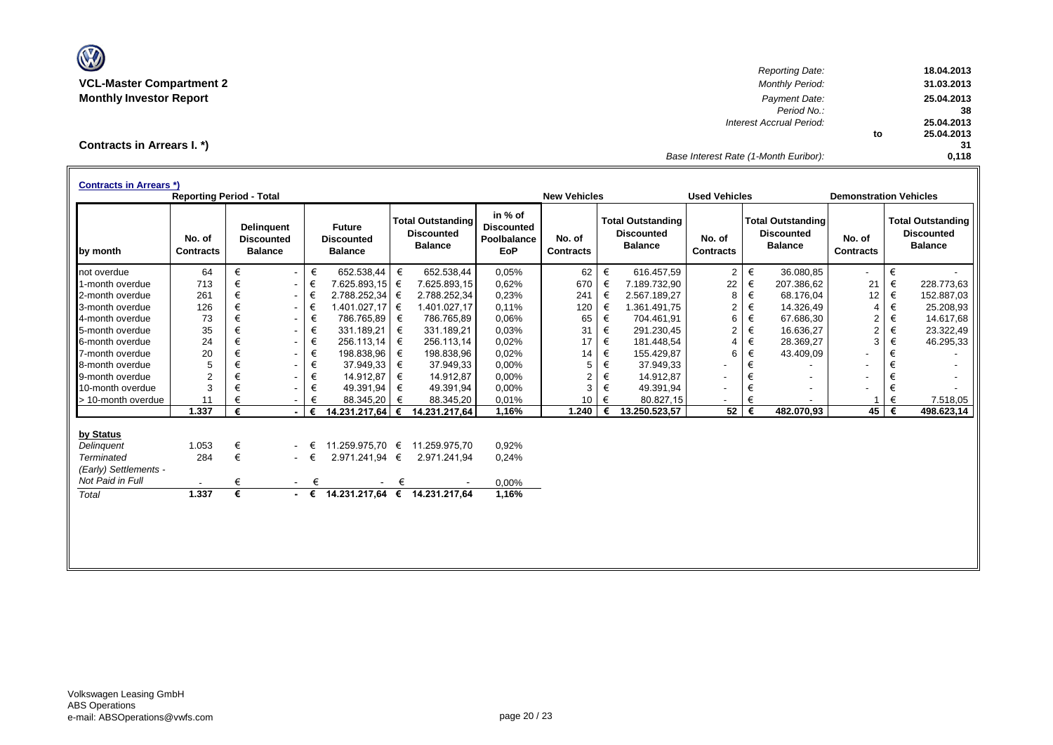

*Reporting Date:* **18.04.2013 VCL-Master Compartment 2** *Monthly Period:* **31.03.2013 Monthly Investor Report** *Payment Date:* **25.04.2013** *Period No.:* **38** *Interest Accrual Period:* **25.04.2013 to 25.04.2013 31** *Base Interest Rate (1-Month Euribor):* **0,118**

**Contracts in Arrears I. \*)**

| <b>Contracts in Arrears *)</b> | <b>Reporting Period - Total</b> |   |                                                          |             |                                                      |   |                                                                 |                                                    | <b>New Vehicles</b>        |   |                                                                 | <b>Used Vehicles</b>       |   |                                                                 | <b>Demonstration Vehicles</b> |   |                                                                 |
|--------------------------------|---------------------------------|---|----------------------------------------------------------|-------------|------------------------------------------------------|---|-----------------------------------------------------------------|----------------------------------------------------|----------------------------|---|-----------------------------------------------------------------|----------------------------|---|-----------------------------------------------------------------|-------------------------------|---|-----------------------------------------------------------------|
| by month                       | No. of<br><b>Contracts</b>      |   | <b>Delinguent</b><br><b>Discounted</b><br><b>Balance</b> |             | <b>Future</b><br><b>Discounted</b><br><b>Balance</b> |   | <b>Total Outstanding</b><br><b>Discounted</b><br><b>Balance</b> | in % of<br><b>Discounted</b><br>Poolbalance<br>EoP | No. of<br><b>Contracts</b> |   | <b>Total Outstanding</b><br><b>Discounted</b><br><b>Balance</b> | No. of<br><b>Contracts</b> |   | <b>Total Outstanding</b><br><b>Discounted</b><br><b>Balance</b> | No. of<br><b>Contracts</b>    |   | <b>Total Outstanding</b><br><b>Discounted</b><br><b>Balance</b> |
| not overdue                    | 64                              | € | $\sim$                                                   | €           | 652.538,44                                           | € | 652.538,44                                                      | 0,05%                                              | 62                         | € | 616.457,59                                                      | $\overline{2}$             | € | 36.080,85                                                       | ۰                             | € |                                                                 |
| 1-month overdue                | 713                             | € | $\sim$                                                   | €           | 7.625.893,15                                         | € | 7.625.893,15                                                    | 0,62%                                              | 670                        | € | 7.189.732,90                                                    | 22                         | € | 207.386,62                                                      | 21                            | € | 228.773,63                                                      |
| 2-month overdue                | 261                             | € | $\sim$                                                   | €           | 2.788.252,34                                         | € | 2.788.252,34                                                    | 0,23%                                              | 241                        | € | 2.567.189,27                                                    | 8                          | € | 68.176,04                                                       | 12                            | € | 152.887,03                                                      |
| 3-month overdue                | 126                             | € | $\sim$                                                   | €           | 1.401.027,17                                         | € | 1.401.027,17                                                    | 0,11%                                              | 120                        | € | 1.361.491,75                                                    | $\overline{2}$             | € | 14.326,49                                                       | 4                             | € | 25.208,93                                                       |
| 4-month overdue                | 73                              | € | $\sim$                                                   | €           | 786.765,89                                           | € | 786.765,89                                                      | 0.06%                                              | 65                         | € | 704.461,91                                                      | 6                          | € | 67.686,30                                                       | 2                             | € | 14.617,68                                                       |
| 5-month overdue                | 35                              | € | $\sim$                                                   | €           | 331.189,21                                           | € | 331.189,21                                                      | 0.03%                                              | 31                         | € | 291.230,45                                                      | $\overline{2}$             | € | 16.636,27                                                       | $\overline{2}$                | € | 23.322,49                                                       |
| 6-month overdue                | 24                              | € | ۰.                                                       | €           | 256.113,14                                           | € | 256.113,14                                                      | 0,02%                                              | 17                         | € | 181.448,54                                                      | $\overline{4}$             | € | 28.369,27                                                       | 3                             | € | 46.295,33                                                       |
| 7-month overdue                | 20                              | € | $\sim$                                                   | €           | 198.838,96                                           | € | 198.838,96                                                      | 0,02%                                              | 14                         | € | 155.429,87                                                      | 6                          | € | 43.409,09                                                       |                               |   |                                                                 |
| 8-month overdue                | 5                               | € | $\sim$                                                   | €           | 37.949,33                                            | € | 37.949,33                                                       | 0,00%                                              | 5                          | € | 37.949,33                                                       |                            | € |                                                                 | -                             |   |                                                                 |
| 9-month overdue                | $\overline{2}$                  | € | $\overline{\phantom{a}}$                                 | €           | 14.912,87                                            | € | 14.912,87                                                       | 0,00%                                              | $\overline{2}$             | € | 14.912,87                                                       | ۰                          | € |                                                                 |                               |   |                                                                 |
| 10-month overdue               | 3                               | € |                                                          | €           | 49.391,94                                            | € | 49.391,94                                                       | 0,00%                                              | 3                          | € | 49.391,94                                                       |                            | € |                                                                 |                               | € |                                                                 |
| > 10-month overdue             | 11                              | € |                                                          | €           | 88.345,20                                            | € | 88.345,20                                                       | 0.01%                                              | 10                         | € | 80.827,15                                                       |                            | € |                                                                 |                               | € | 7.518,05                                                        |
|                                | 1.337                           | € |                                                          | €           | 14.231.217,64                                        | € | 14.231.217,64                                                   | 1,16%                                              | 1.240                      | € | 13.250.523,57                                                   | 52                         | € | 482.070,93                                                      | 45                            | € | 498.623.14                                                      |
| by Status                      |                                 |   |                                                          |             |                                                      |   |                                                                 |                                                    |                            |   |                                                                 |                            |   |                                                                 |                               |   |                                                                 |
| Delinguent                     | 1.053                           | € |                                                          | €           | 11.259.975.70 €                                      |   | 11.259.975.70                                                   | 0,92%                                              |                            |   |                                                                 |                            |   |                                                                 |                               |   |                                                                 |
| Terminated                     | 284                             | € | $\sim$                                                   | €           | 2.971.241,94 €                                       |   | 2.971.241.94                                                    | 0,24%                                              |                            |   |                                                                 |                            |   |                                                                 |                               |   |                                                                 |
| (Early) Settlements -          |                                 |   |                                                          |             |                                                      |   |                                                                 |                                                    |                            |   |                                                                 |                            |   |                                                                 |                               |   |                                                                 |
| Not Paid in Full               |                                 | € | $\sim$                                                   | €           |                                                      | € |                                                                 | 0,00%                                              |                            |   |                                                                 |                            |   |                                                                 |                               |   |                                                                 |
| Total                          | 1.337                           | € |                                                          | $ \epsilon$ | 14.231.217,64 €                                      |   | 14.231.217,64                                                   | 1,16%                                              |                            |   |                                                                 |                            |   |                                                                 |                               |   |                                                                 |
|                                |                                 |   |                                                          |             |                                                      |   |                                                                 |                                                    |                            |   |                                                                 |                            |   |                                                                 |                               |   |                                                                 |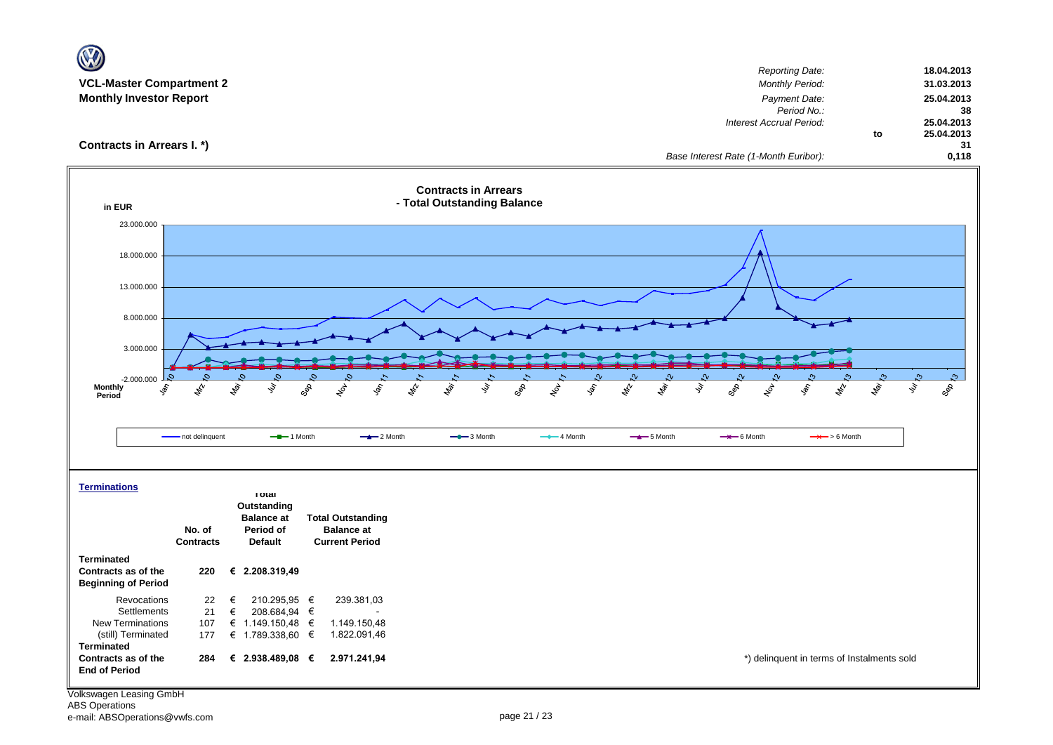| $\mathbf \Omega$                                                            |                                                                                   |                                                                                                                   |                                               |
|-----------------------------------------------------------------------------|-----------------------------------------------------------------------------------|-------------------------------------------------------------------------------------------------------------------|-----------------------------------------------|
| <b>VCL-Master Compartment 2</b><br><b>Monthly Investor Report</b>           |                                                                                   | <b>Reporting Date:</b><br><b>Monthly Period:</b><br>Payment Date:<br>Period No.:                                  | 18.04.2013<br>31.03.2013<br>25.04.2013<br>38  |
| Contracts in Arrears I. *)                                                  |                                                                                   | Interest Accrual Period:<br>Base Interest Rate (1-Month Euribor):                                                 | 25.04.2013<br>25.04.2013<br>to<br>31<br>0,118 |
| in EUR                                                                      | <b>Contracts in Arrears</b><br>- Total Outstanding Balance                        |                                                                                                                   |                                               |
| 23.000.000                                                                  |                                                                                   |                                                                                                                   |                                               |
| 18.000.000                                                                  |                                                                                   |                                                                                                                   |                                               |
| 13.000.000                                                                  |                                                                                   |                                                                                                                   |                                               |
|                                                                             |                                                                                   |                                                                                                                   |                                               |
| 8.000.000                                                                   |                                                                                   |                                                                                                                   |                                               |
| 3.000.000                                                                   |                                                                                   |                                                                                                                   |                                               |
|                                                                             |                                                                                   |                                                                                                                   |                                               |
| C.<br>$-2.000.000$                                                          |                                                                                   |                                                                                                                   | $\mathfrak{S}$<br>ಿ<br>Ŀ.                     |
| <b>Monthly</b><br>ligi.<br>ş<br>令<br>ş,<br>Period                           | Ş<br>GOR<br><b>HOL</b><br><b>Sol</b><br>$\mathscr{f}_{\mathscr{V}}$<br><b>May</b> | $\frac{1}{2}$<br>$z_p^{\prime}$<br>l de<br>ş<br>son<br>GRR<br>$x_{\sigma}^{\prime}$<br>$\mathcal{E}_{\phi}$<br>ş, | ş<br>Geb<br><b>May</b><br>$\phi_{\!\!\!\chi}$ |
|                                                                             |                                                                                   |                                                                                                                   |                                               |
| - not delinquent                                                            | $-$ -1 Month<br>$-2$ Month<br>$-$ 3 Month                                         | $-$ 4 Month<br>$-$ 5 Month<br>$\rightarrow$ 6 Month                                                               | $\rightarrow$ > 6 Month                       |
| <b>Terminations</b>                                                         |                                                                                   |                                                                                                                   |                                               |
| <b>TOTAL</b><br>Outstanding                                                 |                                                                                   |                                                                                                                   |                                               |
| <b>Balance at</b>                                                           | <b>Total Outstanding</b>                                                          |                                                                                                                   |                                               |
| No. of<br>Period of<br><b>Default</b><br><b>Contracts</b>                   | <b>Balance at</b><br><b>Current Period</b>                                        |                                                                                                                   |                                               |
| <b>Terminated</b>                                                           |                                                                                   |                                                                                                                   |                                               |
| Contracts as of the<br>€ 2.208.319,49<br>220<br><b>Beginning of Period</b>  |                                                                                   |                                                                                                                   |                                               |
| Revocations<br>22<br>€<br>210.295,95 €<br>Settlements<br>208.684,94 €<br>21 | 239.381,03                                                                        |                                                                                                                   |                                               |
| €<br><b>New Terminations</b><br>107<br>€ 1.149.150,48 €                     | 1.149.150,48                                                                      |                                                                                                                   |                                               |
| (still) Terminated<br>€ 1.789.338,60 €<br>177<br><b>Terminated</b>          | 1.822.091,46                                                                      |                                                                                                                   |                                               |
| Contracts as of the<br>€ 2.938.489,08 $∈$<br>284<br><b>End of Period</b>    | 2.971.241,94                                                                      |                                                                                                                   | *) delinquent in terms of Instalments sold    |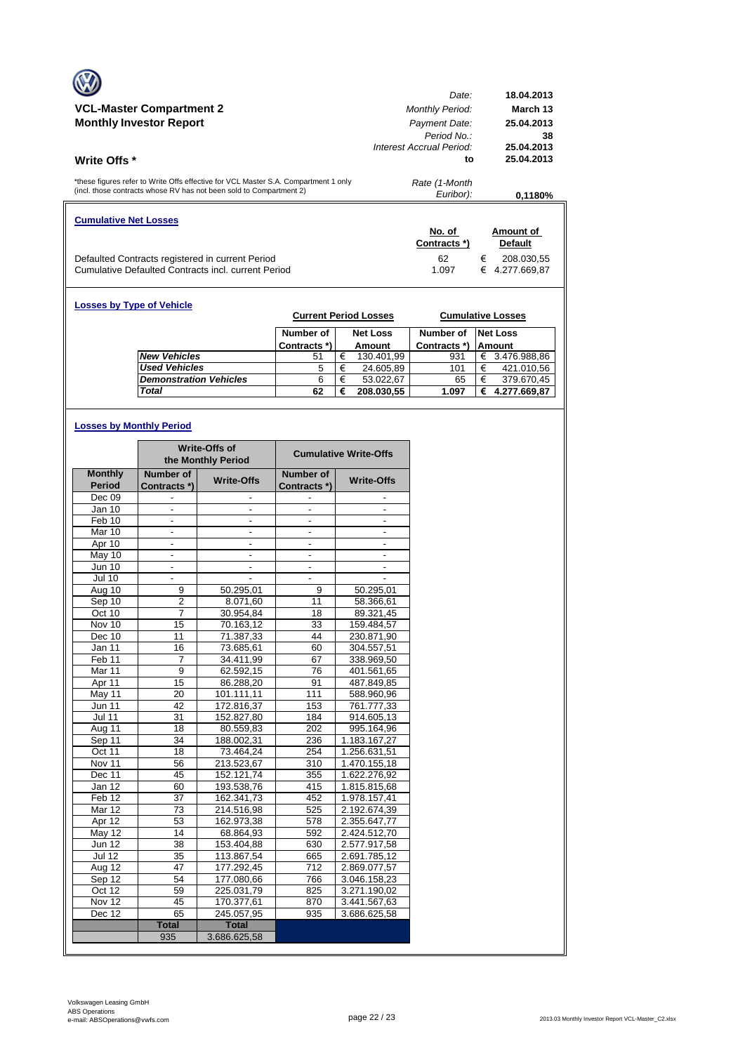|                                                                                                                                                            | Date:                                                   | 18.04.2013                     |
|------------------------------------------------------------------------------------------------------------------------------------------------------------|---------------------------------------------------------|--------------------------------|
| <b>VCL-Master Compartment 2</b>                                                                                                                            | <b>Monthly Period:</b>                                  | March 13                       |
| <b>Monthly Investor Report</b>                                                                                                                             | Payment Date:<br>Period No.<br>Interest Accrual Period: | 25.04.2013<br>38<br>25.04.2013 |
| <b>Write Offs</b> *                                                                                                                                        | to                                                      | 25.04.2013                     |
| *these figures refer to Write Offs effective for VCL Master S.A. Compartment 1 only<br>(incl. those contracts whose RV has not been sold to Compartment 2) | Rate (1-Month<br>Euribor):                              | 0.1180%                        |
| <b>Cumulative Net Losses</b>                                                                                                                               | No. of                                                  | Amount of                      |
|                                                                                                                                                            | Contracts *)                                            | <b>Default</b>                 |
|                                                                                                                                                            |                                                         |                                |

| <b>Losses by Type of Vehicle</b> | <b>Current Period Losses</b> |   |                           | <b>Cumulative Losses</b>  |   |                                  |
|----------------------------------|------------------------------|---|---------------------------|---------------------------|---|----------------------------------|
|                                  | Number of<br>Contracts *)    |   | <b>Net Loss</b><br>Amount | Number of<br>Contracts *) |   | <b>Net Loss</b><br><b>Amount</b> |
| <b>New Vehicles</b>              | 51                           | € | 130.401,99                | 931                       | € | 3.476.988,86                     |
| <b>Used Vehicles</b>             | 5                            | € | 24.605,89                 | 101                       | € | 421.010,56                       |
| <b>Demonstration Vehicles</b>    | 6                            | € | 53.022.67                 | 65                        | € | 379.670,45                       |
| <b>Total</b>                     | 62                           | € | 208.030.55                | 1.097                     | € | 4.277.669,87                     |

# **Losses by Monthly Period**

|                |                          | <b>Write-Offs of</b><br>the Monthly Period | <b>Cumulative Write-Offs</b> |                          |  |
|----------------|--------------------------|--------------------------------------------|------------------------------|--------------------------|--|
| <b>Monthly</b> | Number of                | <b>Write-Offs</b>                          | Number of                    | <b>Write-Offs</b>        |  |
| Period         | Contracts *)             |                                            | Contracts *)                 |                          |  |
| Dec 09         |                          |                                            |                              |                          |  |
| Jan 10         |                          |                                            |                              |                          |  |
| Feb 10         | $\frac{1}{2}$            | $\frac{1}{2}$                              | $\overline{\phantom{a}}$     |                          |  |
| Mar 10         | ä,                       | $\overline{\phantom{a}}$                   | L.                           | ÷,                       |  |
| Apr 10         |                          |                                            |                              |                          |  |
| May 10         | $\overline{\phantom{a}}$ | $\frac{1}{2}$                              | $\overline{\phantom{a}}$     | $\overline{\phantom{a}}$ |  |
| <b>Jun 10</b>  | $\frac{1}{2}$            | $\overline{\phantom{a}}$                   | ٠                            |                          |  |
| <b>Jul 10</b>  |                          |                                            | L.                           |                          |  |
| Aug 10         | 9                        | 50.295,01                                  | 9                            | 50.295,01                |  |
| Sep 10         | $\overline{2}$           | 8.071,60                                   | 11                           | 58.366,61                |  |
| Oct 10         | $\overline{7}$           | 30.954,84                                  | 18                           | 89.321,45                |  |
| Nov 10         | 15                       | 70.163,12                                  | 33                           | 159.484,57               |  |
| Dec 10         | 11                       | 71.387,33                                  | 44                           | 230.871,90               |  |
| Jan 11         | 16                       | 73.685,61                                  | 60                           | 304.557,51               |  |
| Feb 11         | 7                        | 34.411.99                                  | 67                           | 338.969,50               |  |
| Mar 11         | $\overline{9}$           | 62.592,15                                  | 76                           | 401.561,65               |  |
| Apr 11         | $\overline{15}$          | 86.288,20                                  | 91                           | 487.849,85               |  |
| May 11         | 20                       | 101.111,11                                 | 111                          | 588.960,96               |  |
| <b>Jun 11</b>  | 42                       | 172.816,37                                 | 153                          | 761.777,33               |  |
| <b>Jul 11</b>  | 31                       | 152.827,80                                 | 184                          | 914.605,13               |  |
| Aug 11         | 18                       | 80.559,83                                  | 202                          | 995.164,96               |  |
| Sep 11         | 34                       | 188.002,31                                 | 236                          | 1.183.167,27             |  |
| Oct 11         | 18                       | 73.464,24                                  | 254                          | 1.256.631,51             |  |
| Nov 11         | 56                       | 213.523,67                                 | 310                          | 1.470.155.18             |  |
| Dec 11         | 45                       | 152.121,74                                 | 355                          | 1.622.276,92             |  |
| Jan 12         | 60                       | 193.538,76                                 | 415                          | 1.815.815,68             |  |
| Feb 12         | 37                       | 162.341,73                                 | 452                          | 1.978.157,41             |  |
| Mar 12         | 73                       | 214.516,98                                 | 525                          | 2.192.674,39             |  |
| Apr 12         | 53                       | 162.973,38                                 | 578                          | 2.355.647,77             |  |
| May 12         | 14                       | 68.864.93                                  | 592                          | 2.424.512,70             |  |
| Jun 12         | 38                       | 153.404,88                                 | 630                          | 2.577.917,58             |  |
| <b>Jul 12</b>  | 35                       | 113.867,54                                 | 665                          | 2.691.785,12             |  |
| Aug $12$       | 47                       | 177.292,45                                 | 712                          | 2.869.077,57             |  |
| Sep 12         | 54                       | 177.080,66                                 | 766                          | 3.046.158,23             |  |
| Oct 12         | 59                       | 225.031,79                                 | 825                          | 3.271.190,02             |  |
| Nov 12         | 45                       | 170.377,61                                 | 870                          | 3.441.567,63             |  |
| Dec 12         | 65                       | 245.057,95                                 | 935                          | 3.686.625,58             |  |
|                | <b>Total</b>             | <b>Total</b>                               |                              |                          |  |
|                | 935                      | 3.686.625.58                               |                              |                          |  |